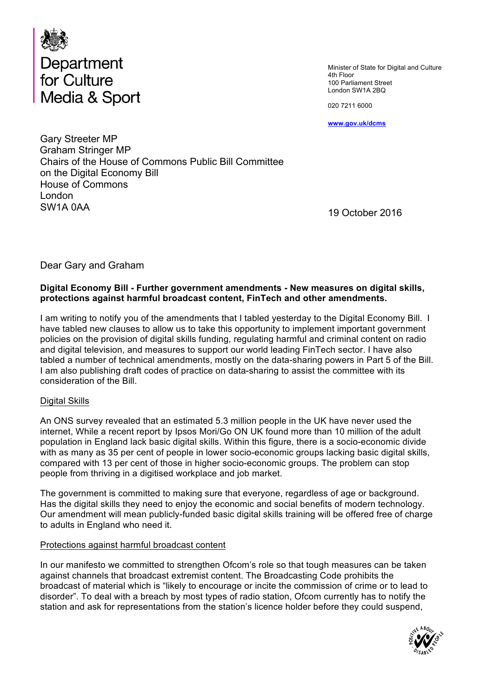

Minister of State for Digital and Culture 4th Floor 100 Parliament Street London SW1A 2BQ

020 7211 6000

**www.gov.uk/dcms**

Gary Streeter MP Graham Stringer MP Chairs of the House of Commons Public Bill Committee on the Digital Economy Bill House of Commons London SW1A 0AA

19 October 2016

Dear Gary and Graham

#### **Digital Economy Bill - Further government amendments - New measures on digital skills, protections against harmful broadcast content, FinTech and other amendments.**

I am writing to notify you of the amendments that I tabled yesterday to the Digital Economy Bill. I have tabled new clauses to allow us to take this opportunity to implement important government policies on the provision of digital skills funding, regulating harmful and criminal content on radio and digital television, and measures to support our world leading FinTech sector. I have also tabled a number of technical amendments, mostly on the data-sharing powers in Part 5 of the Bill. I am also publishing draft codes of practice on data-sharing to assist the committee with its consideration of the Bill.

#### Digital Skills

An ONS survey revealed that an estimated 5.3 million people in the UK have never used the internet, While a recent report by Ipsos Mori/Go ON UK found more than 10 million of the adult population in England lack basic digital skills. Within this figure, there is a socio-economic divide with as many as 35 per cent of people in lower socio-economic groups lacking basic digital skills, compared with 13 per cent of those in higher socio-economic groups. The problem can stop people from thriving in a digitised workplace and job market.

The government is committed to making sure that everyone, regardless of age or background. Has the digital skills they need to enjoy the economic and social benefits of modern technology. Our amendment will mean publicly-funded basic digital skills training will be offered free of charge to adults in England who need it.

#### Protections against harmful broadcast content

In our manifesto we committed to strengthen Ofcom's role so that tough measures can be taken against channels that broadcast extremist content. The Broadcasting Code prohibits the broadcast of material which is "likely to encourage or incite the commission of crime or to lead to disorder". To deal with a breach by most types of radio station, Ofcom currently has to notify the station and ask for representations from the station's licence holder before they could suspend,

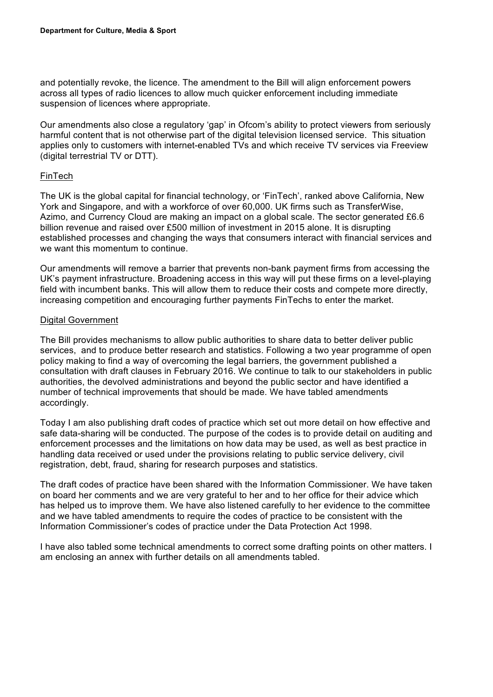and potentially revoke, the licence. The amendment to the Bill will align enforcement powers across all types of radio licences to allow much quicker enforcement including immediate suspension of licences where appropriate.

Our amendments also close a regulatory 'gap' in Ofcom's ability to protect viewers from seriously harmful content that is not otherwise part of the digital television licensed service. This situation applies only to customers with internet-enabled TVs and which receive TV services via Freeview (digital terrestrial TV or DTT).

#### FinTech

The UK is the global capital for financial technology, or 'FinTech', ranked above California, New York and Singapore, and with a workforce of over 60,000. UK firms such as TransferWise, Azimo, and Currency Cloud are making an impact on a global scale. The sector generated £6.6 billion revenue and raised over £500 million of investment in 2015 alone. It is disrupting established processes and changing the ways that consumers interact with financial services and we want this momentum to continue.

Our amendments will remove a barrier that prevents non-bank payment firms from accessing the UK's payment infrastructure. Broadening access in this way will put these firms on a level-playing field with incumbent banks. This will allow them to reduce their costs and compete more directly, increasing competition and encouraging further payments FinTechs to enter the market.

#### Digital Government

The Bill provides mechanisms to allow public authorities to share data to better deliver public services, and to produce better research and statistics. Following a two year programme of open policy making to find a way of overcoming the legal barriers, the government published a consultation with draft clauses in February 2016. We continue to talk to our stakeholders in public authorities, the devolved administrations and beyond the public sector and have identified a number of technical improvements that should be made. We have tabled amendments accordingly.

Today I am also publishing draft codes of practice which set out more detail on how effective and safe data-sharing will be conducted. The purpose of the codes is to provide detail on auditing and enforcement processes and the limitations on how data may be used, as well as best practice in handling data received or used under the provisions relating to public service delivery, civil registration, debt, fraud, sharing for research purposes and statistics.

The draft codes of practice have been shared with the Information Commissioner. We have taken on board her comments and we are very grateful to her and to her office for their advice which has helped us to improve them. We have also listened carefully to her evidence to the committee and we have tabled amendments to require the codes of practice to be consistent with the Information Commissioner's codes of practice under the Data Protection Act 1998.

I have also tabled some technical amendments to correct some drafting points on other matters. I am enclosing an annex with further details on all amendments tabled.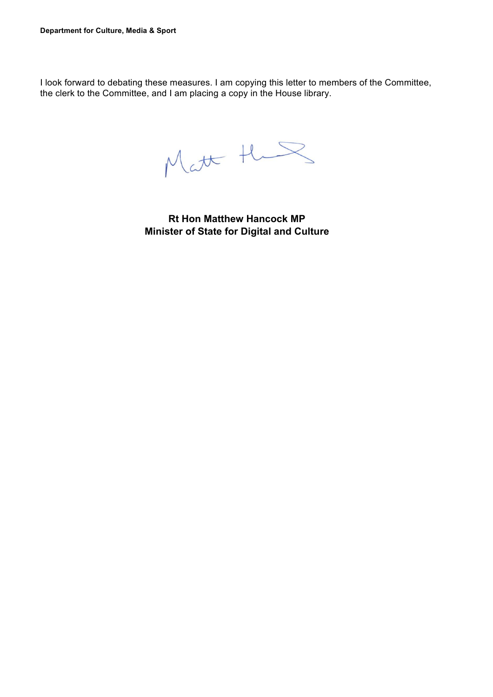I look forward to debating these measures. I am copying this letter to members of the Committee, the clerk to the Committee, and I am placing a copy in the House library.

Matt the

**Rt Hon Matthew Hancock MP Minister of State for Digital and Culture**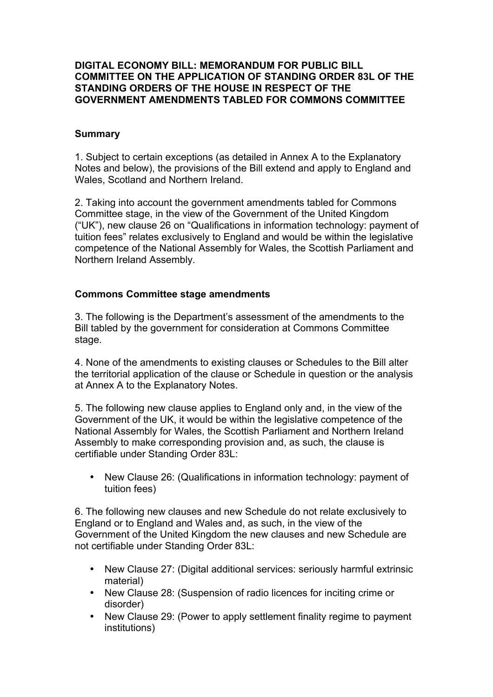#### **DIGITAL ECONOMY BILL: MEMORANDUM FOR PUBLIC BILL COMMITTEE ON THE APPLICATION OF STANDING ORDER 83L OF THE STANDING ORDERS OF THE HOUSE IN RESPECT OF THE GOVERNMENT AMENDMENTS TABLED FOR COMMONS COMMITTEE**

#### **Summary**

1. Subject to certain exceptions (as detailed in Annex A to the Explanatory Notes and below), the provisions of the Bill extend and apply to England and Wales, Scotland and Northern Ireland.

2. Taking into account the government amendments tabled for Commons Committee stage, in the view of the Government of the United Kingdom ("UK"), new clause 26 on "Qualifications in information technology: payment of tuition fees" relates exclusively to England and would be within the legislative competence of the National Assembly for Wales, the Scottish Parliament and Northern Ireland Assembly.

#### **Commons Committee stage amendments**

3. The following is the Department's assessment of the amendments to the Bill tabled by the government for consideration at Commons Committee stage.

4. None of the amendments to existing clauses or Schedules to the Bill alter the territorial application of the clause or Schedule in question or the analysis at Annex A to the Explanatory Notes.

5. The following new clause applies to England only and, in the view of the Government of the UK, it would be within the legislative competence of the National Assembly for Wales, the Scottish Parliament and Northern Ireland Assembly to make corresponding provision and, as such, the clause is certifiable under Standing Order 83L:

• New Clause 26: (Qualifications in information technology: payment of tuition fees)

6. The following new clauses and new Schedule do not relate exclusively to England or to England and Wales and, as such, in the view of the Government of the United Kingdom the new clauses and new Schedule are not certifiable under Standing Order 83L:

- New Clause 27: (Digital additional services: seriously harmful extrinsic material)
- New Clause 28: (Suspension of radio licences for inciting crime or disorder)
- New Clause 29: (Power to apply settlement finality regime to payment institutions)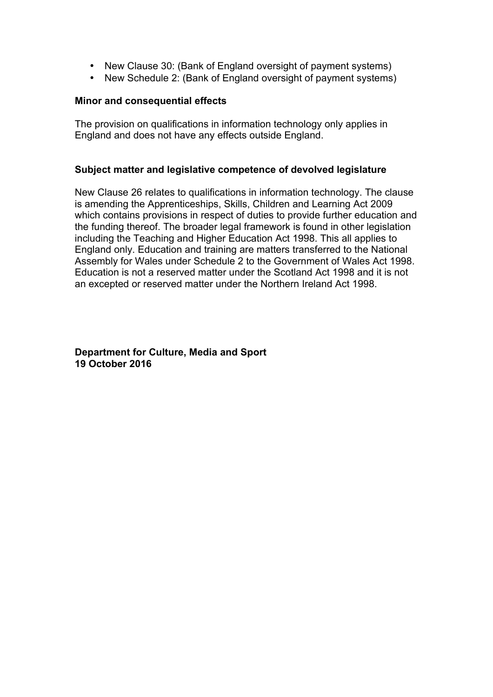- New Clause 30: (Bank of England oversight of payment systems)
- New Schedule 2: (Bank of England oversight of payment systems)

#### **Minor and consequential effects**

The provision on qualifications in information technology only applies in England and does not have any effects outside England.

#### **Subject matter and legislative competence of devolved legislature**

New Clause 26 relates to qualifications in information technology. The clause is amending the Apprenticeships, Skills, Children and Learning Act 2009 which contains provisions in respect of duties to provide further education and the funding thereof. The broader legal framework is found in other legislation including the Teaching and Higher Education Act 1998. This all applies to England only. Education and training are matters transferred to the National Assembly for Wales under Schedule 2 to the Government of Wales Act 1998. Education is not a reserved matter under the Scotland Act 1998 and it is not an excepted or reserved matter under the Northern Ireland Act 1998.

**Department for Culture, Media and Sport 19 October 2016**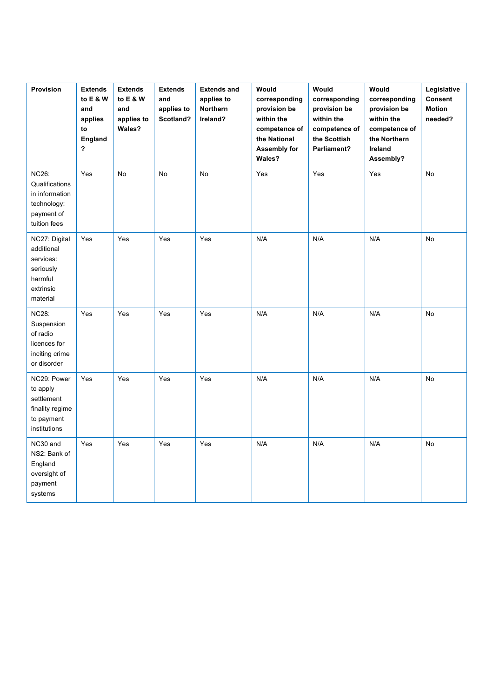| Provision                                                                                     | <b>Extends</b><br>to E & W<br>and<br>applies<br>to<br><b>England</b><br>? | <b>Extends</b><br>to E & W<br>and<br>applies to<br>Wales? | <b>Extends</b><br>and<br>applies to<br>Scotland? | <b>Extends and</b><br>applies to<br>Northern<br>Ireland? | Would<br>corresponding<br>provision be<br>within the<br>competence of<br>the National<br><b>Assembly for</b><br>Wales? | Would<br>corresponding<br>provision be<br>within the<br>competence of<br>the Scottish<br>Parliament? | Would<br>corresponding<br>provision be<br>within the<br>competence of<br>the Northern<br>Ireland<br>Assembly? | Legislative<br>Consent<br><b>Motion</b><br>needed? |
|-----------------------------------------------------------------------------------------------|---------------------------------------------------------------------------|-----------------------------------------------------------|--------------------------------------------------|----------------------------------------------------------|------------------------------------------------------------------------------------------------------------------------|------------------------------------------------------------------------------------------------------|---------------------------------------------------------------------------------------------------------------|----------------------------------------------------|
| <b>NC26:</b><br>Qualifications<br>in information<br>technology:<br>payment of<br>tuition fees | Yes                                                                       | No                                                        | No                                               | $\mathsf{No}$                                            | Yes                                                                                                                    | Yes                                                                                                  | Yes                                                                                                           | No                                                 |
| NC27: Digital<br>additional<br>services:<br>seriously<br>harmful<br>extrinsic<br>material     | Yes                                                                       | Yes                                                       | Yes                                              | Yes                                                      | N/A                                                                                                                    | N/A                                                                                                  | N/A                                                                                                           | No                                                 |
| <b>NC28:</b><br>Suspension<br>of radio<br>licences for<br>inciting crime<br>or disorder       | Yes                                                                       | Yes                                                       | Yes                                              | Yes                                                      | N/A                                                                                                                    | N/A                                                                                                  | N/A                                                                                                           | No                                                 |
| NC29: Power<br>to apply<br>settlement<br>finality regime<br>to payment<br>institutions        | Yes                                                                       | Yes                                                       | Yes                                              | Yes                                                      | N/A                                                                                                                    | N/A                                                                                                  | N/A                                                                                                           | <b>No</b>                                          |
| NC30 and<br>NS2: Bank of<br>England<br>oversight of<br>payment<br>systems                     | Yes                                                                       | Yes                                                       | Yes                                              | Yes                                                      | N/A                                                                                                                    | N/A                                                                                                  | N/A                                                                                                           | No                                                 |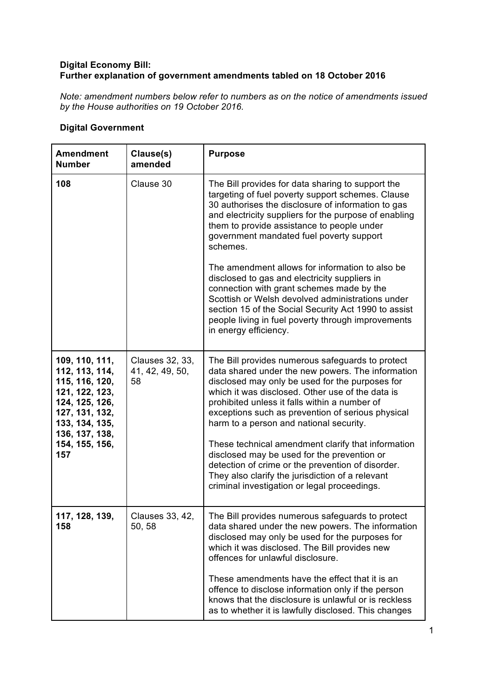#### **Digital Economy Bill: Further explanation of government amendments tabled on 18 October 2016**

*Note: amendment numbers below refer to numbers as on the notice of amendments issued by the House authorities on 19 October 2016.*

#### **Digital Government**

| <b>Amendment</b><br><b>Number</b>                                                                                                                                     | Clause(s)<br>amended                     | <b>Purpose</b>                                                                                                                                                                                                                                                                                                                                                                                                                                                                                                                                                                                                                                 |
|-----------------------------------------------------------------------------------------------------------------------------------------------------------------------|------------------------------------------|------------------------------------------------------------------------------------------------------------------------------------------------------------------------------------------------------------------------------------------------------------------------------------------------------------------------------------------------------------------------------------------------------------------------------------------------------------------------------------------------------------------------------------------------------------------------------------------------------------------------------------------------|
| 108                                                                                                                                                                   | Clause 30                                | The Bill provides for data sharing to support the<br>targeting of fuel poverty support schemes. Clause<br>30 authorises the disclosure of information to gas<br>and electricity suppliers for the purpose of enabling<br>them to provide assistance to people under<br>government mandated fuel poverty support<br>schemes.<br>The amendment allows for information to also be<br>disclosed to gas and electricity suppliers in<br>connection with grant schemes made by the<br>Scottish or Welsh devolved administrations under<br>section 15 of the Social Security Act 1990 to assist<br>people living in fuel poverty through improvements |
|                                                                                                                                                                       |                                          | in energy efficiency.                                                                                                                                                                                                                                                                                                                                                                                                                                                                                                                                                                                                                          |
| 109, 110, 111,<br>112, 113, 114,<br>115, 116, 120,<br>121, 122, 123,<br>124, 125, 126,<br>127, 131, 132,<br>133, 134, 135,<br>136, 137, 138,<br>154, 155, 156,<br>157 | Clauses 32, 33,<br>41, 42, 49, 50,<br>58 | The Bill provides numerous safeguards to protect<br>data shared under the new powers. The information<br>disclosed may only be used for the purposes for<br>which it was disclosed. Other use of the data is<br>prohibited unless it falls within a number of<br>exceptions such as prevention of serious physical<br>harm to a person and national security.<br>These technical amendment clarify that information<br>disclosed may be used for the prevention or<br>detection of crime or the prevention of disorder.<br>They also clarify the jurisdiction of a relevant<br>criminal investigation or legal proceedings.                    |
| 117, 128, 139,<br>158                                                                                                                                                 | Clauses 33, 42,<br>50, 58                | The Bill provides numerous safeguards to protect<br>data shared under the new powers. The information<br>disclosed may only be used for the purposes for<br>which it was disclosed. The Bill provides new<br>offences for unlawful disclosure.<br>These amendments have the effect that it is an<br>offence to disclose information only if the person<br>knows that the disclosure is unlawful or is reckless<br>as to whether it is lawfully disclosed. This changes                                                                                                                                                                         |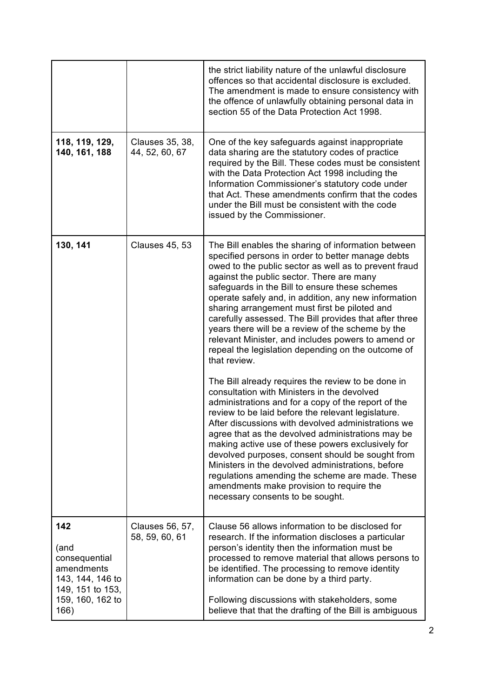|                                                                                                                |                                   | the strict liability nature of the unlawful disclosure<br>offences so that accidental disclosure is excluded.<br>The amendment is made to ensure consistency with<br>the offence of unlawfully obtaining personal data in<br>section 55 of the Data Protection Act 1998.                                                                                                                                                                                                                                                                                                                                                                                                                                                                                                                                                                                                                                                                                                                                                                                                                                                                                                                                                                           |
|----------------------------------------------------------------------------------------------------------------|-----------------------------------|----------------------------------------------------------------------------------------------------------------------------------------------------------------------------------------------------------------------------------------------------------------------------------------------------------------------------------------------------------------------------------------------------------------------------------------------------------------------------------------------------------------------------------------------------------------------------------------------------------------------------------------------------------------------------------------------------------------------------------------------------------------------------------------------------------------------------------------------------------------------------------------------------------------------------------------------------------------------------------------------------------------------------------------------------------------------------------------------------------------------------------------------------------------------------------------------------------------------------------------------------|
| 118, 119, 129,<br>140, 161, 188                                                                                | Clauses 35, 38,<br>44, 52, 60, 67 | One of the key safeguards against inappropriate<br>data sharing are the statutory codes of practice<br>required by the Bill. These codes must be consistent<br>with the Data Protection Act 1998 including the<br>Information Commissioner's statutory code under<br>that Act. These amendments confirm that the codes<br>under the Bill must be consistent with the code<br>issued by the Commissioner.                                                                                                                                                                                                                                                                                                                                                                                                                                                                                                                                                                                                                                                                                                                                                                                                                                           |
| 130, 141                                                                                                       | <b>Clauses 45, 53</b>             | The Bill enables the sharing of information between<br>specified persons in order to better manage debts<br>owed to the public sector as well as to prevent fraud<br>against the public sector. There are many<br>safeguards in the Bill to ensure these schemes<br>operate safely and, in addition, any new information<br>sharing arrangement must first be piloted and<br>carefully assessed. The Bill provides that after three<br>years there will be a review of the scheme by the<br>relevant Minister, and includes powers to amend or<br>repeal the legislation depending on the outcome of<br>that review.<br>The Bill already requires the review to be done in<br>consultation with Ministers in the devolved<br>administrations and for a copy of the report of the<br>review to be laid before the relevant legislature.<br>After discussions with devolved administrations we<br>agree that as the devolved administrations may be<br>making active use of these powers exclusively for<br>devolved purposes, consent should be sought from<br>Ministers in the devolved administrations, before<br>regulations amending the scheme are made. These<br>amendments make provision to require the<br>necessary consents to be sought. |
| 142<br>(and<br>consequential<br>amendments<br>143, 144, 146 to<br>149, 151 to 153,<br>159, 160, 162 to<br>166) | Clauses 56, 57,<br>58, 59, 60, 61 | Clause 56 allows information to be disclosed for<br>research. If the information discloses a particular<br>person's identity then the information must be<br>processed to remove material that allows persons to<br>be identified. The processing to remove identity<br>information can be done by a third party.<br>Following discussions with stakeholders, some<br>believe that that the drafting of the Bill is ambiguous                                                                                                                                                                                                                                                                                                                                                                                                                                                                                                                                                                                                                                                                                                                                                                                                                      |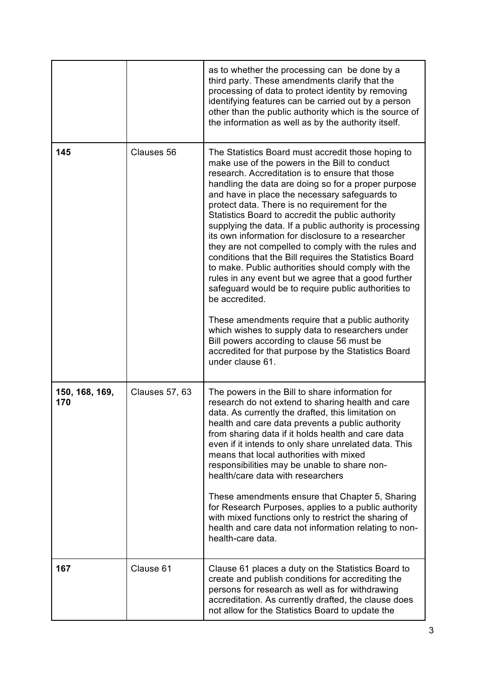|                       |                       | as to whether the processing can be done by a<br>third party. These amendments clarify that the<br>processing of data to protect identity by removing<br>identifying features can be carried out by a person<br>other than the public authority which is the source of<br>the information as well as by the authority itself.                                                                                                                                                                                                                                                                                                                                                                                                                                                                                                                                                                                                                                                                                                 |
|-----------------------|-----------------------|-------------------------------------------------------------------------------------------------------------------------------------------------------------------------------------------------------------------------------------------------------------------------------------------------------------------------------------------------------------------------------------------------------------------------------------------------------------------------------------------------------------------------------------------------------------------------------------------------------------------------------------------------------------------------------------------------------------------------------------------------------------------------------------------------------------------------------------------------------------------------------------------------------------------------------------------------------------------------------------------------------------------------------|
| 145                   | Clauses 56            | The Statistics Board must accredit those hoping to<br>make use of the powers in the Bill to conduct<br>research. Accreditation is to ensure that those<br>handling the data are doing so for a proper purpose<br>and have in place the necessary safeguards to<br>protect data. There is no requirement for the<br>Statistics Board to accredit the public authority<br>supplying the data. If a public authority is processing<br>its own information for disclosure to a researcher<br>they are not compelled to comply with the rules and<br>conditions that the Bill requires the Statistics Board<br>to make. Public authorities should comply with the<br>rules in any event but we agree that a good further<br>safeguard would be to require public authorities to<br>be accredited.<br>These amendments require that a public authority<br>which wishes to supply data to researchers under<br>Bill powers according to clause 56 must be<br>accredited for that purpose by the Statistics Board<br>under clause 61. |
| 150, 168, 169,<br>170 | <b>Clauses 57, 63</b> | The powers in the Bill to share information for<br>research do not extend to sharing health and care<br>data. As currently the drafted, this limitation on<br>health and care data prevents a public authority<br>from sharing data if it holds health and care data<br>even if it intends to only share unrelated data. This<br>means that local authorities with mixed<br>responsibilities may be unable to share non-<br>health/care data with researchers<br>These amendments ensure that Chapter 5, Sharing<br>for Research Purposes, applies to a public authority<br>with mixed functions only to restrict the sharing of<br>health and care data not information relating to non-<br>health-care data.                                                                                                                                                                                                                                                                                                                |
| 167                   | Clause 61             | Clause 61 places a duty on the Statistics Board to<br>create and publish conditions for accrediting the<br>persons for research as well as for withdrawing<br>accreditation. As currently drafted, the clause does<br>not allow for the Statistics Board to update the                                                                                                                                                                                                                                                                                                                                                                                                                                                                                                                                                                                                                                                                                                                                                        |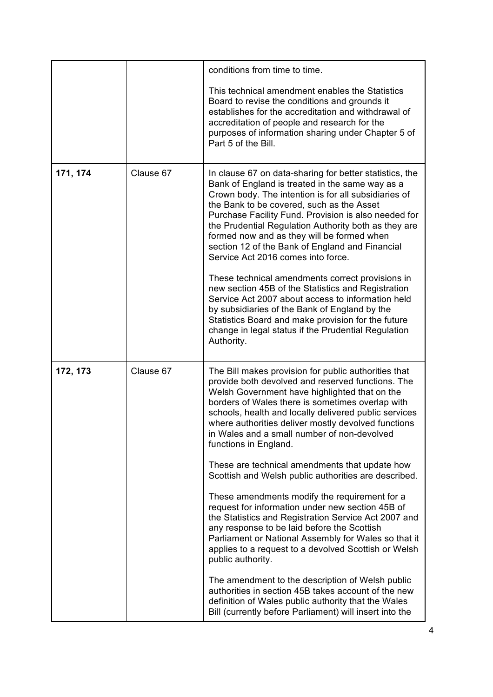|          |           | conditions from time to time.                                                                                                                                                                                                                                                                                                                                                                                                                                          |
|----------|-----------|------------------------------------------------------------------------------------------------------------------------------------------------------------------------------------------------------------------------------------------------------------------------------------------------------------------------------------------------------------------------------------------------------------------------------------------------------------------------|
|          |           | This technical amendment enables the Statistics<br>Board to revise the conditions and grounds it<br>establishes for the accreditation and withdrawal of<br>accreditation of people and research for the<br>purposes of information sharing under Chapter 5 of<br>Part 5 of the Bill.                                                                                                                                                                                   |
| 171, 174 | Clause 67 | In clause 67 on data-sharing for better statistics, the<br>Bank of England is treated in the same way as a<br>Crown body. The intention is for all subsidiaries of<br>the Bank to be covered, such as the Asset<br>Purchase Facility Fund. Provision is also needed for<br>the Prudential Regulation Authority both as they are<br>formed now and as they will be formed when<br>section 12 of the Bank of England and Financial<br>Service Act 2016 comes into force. |
|          |           | These technical amendments correct provisions in<br>new section 45B of the Statistics and Registration<br>Service Act 2007 about access to information held<br>by subsidiaries of the Bank of England by the<br>Statistics Board and make provision for the future<br>change in legal status if the Prudential Regulation<br>Authority.                                                                                                                                |
| 172, 173 | Clause 67 | The Bill makes provision for public authorities that<br>provide both devolved and reserved functions. The<br>Welsh Government have highlighted that on the<br>borders of Wales there is sometimes overlap with<br>schools, health and locally delivered public services<br>where authorities deliver mostly devolved functions<br>in Wales and a small number of non-devolved<br>functions in England.                                                                 |
|          |           | These are technical amendments that update how<br>Scottish and Welsh public authorities are described.                                                                                                                                                                                                                                                                                                                                                                 |
|          |           | These amendments modify the requirement for a<br>request for information under new section 45B of<br>the Statistics and Registration Service Act 2007 and<br>any response to be laid before the Scottish<br>Parliament or National Assembly for Wales so that it<br>applies to a request to a devolved Scottish or Welsh<br>public authority.                                                                                                                          |
|          |           | The amendment to the description of Welsh public<br>authorities in section 45B takes account of the new<br>definition of Wales public authority that the Wales<br>Bill (currently before Parliament) will insert into the                                                                                                                                                                                                                                              |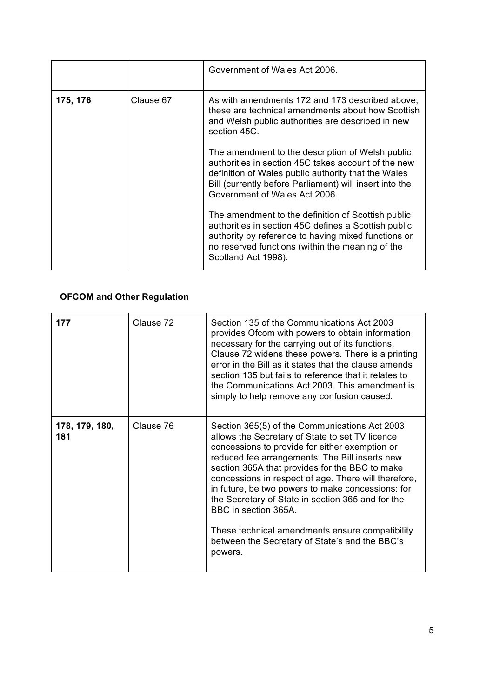|          |           | Government of Wales Act 2006.                                                                                                                                                                                                                              |
|----------|-----------|------------------------------------------------------------------------------------------------------------------------------------------------------------------------------------------------------------------------------------------------------------|
| 175, 176 | Clause 67 | As with amendments 172 and 173 described above,<br>these are technical amendments about how Scottish<br>and Welsh public authorities are described in new<br>section 45C.                                                                                  |
|          |           | The amendment to the description of Welsh public<br>authorities in section 45C takes account of the new<br>definition of Wales public authority that the Wales<br>Bill (currently before Parliament) will insert into the<br>Government of Wales Act 2006. |
|          |           | The amendment to the definition of Scottish public<br>authorities in section 45C defines a Scottish public<br>authority by reference to having mixed functions or<br>no reserved functions (within the meaning of the<br>Scotland Act 1998).               |

#### **OFCOM and Other Regulation**

| 177                   | Clause 72 | Section 135 of the Communications Act 2003<br>provides Ofcom with powers to obtain information<br>necessary for the carrying out of its functions.<br>Clause 72 widens these powers. There is a printing<br>error in the Bill as it states that the clause amends<br>section 135 but fails to reference that it relates to<br>the Communications Act 2003. This amendment is<br>simply to help remove any confusion caused.                                                                                                                                      |
|-----------------------|-----------|------------------------------------------------------------------------------------------------------------------------------------------------------------------------------------------------------------------------------------------------------------------------------------------------------------------------------------------------------------------------------------------------------------------------------------------------------------------------------------------------------------------------------------------------------------------|
| 178, 179, 180,<br>181 | Clause 76 | Section 365(5) of the Communications Act 2003<br>allows the Secretary of State to set TV licence<br>concessions to provide for either exemption or<br>reduced fee arrangements. The Bill inserts new<br>section 365A that provides for the BBC to make<br>concessions in respect of age. There will therefore,<br>in future, be two powers to make concessions: for<br>the Secretary of State in section 365 and for the<br>BBC in section 365A.<br>These technical amendments ensure compatibility<br>between the Secretary of State's and the BBC's<br>powers. |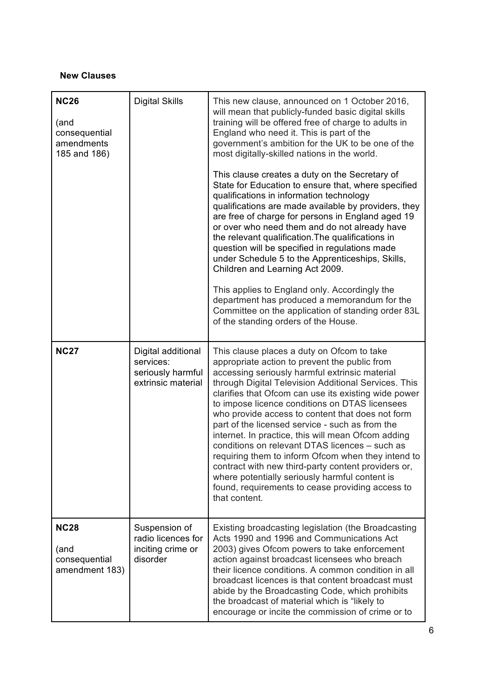#### **New Clauses**

| <b>NC26</b><br>(and<br>consequential<br>amendments<br>185 and 186) | <b>Digital Skills</b>                                                      | This new clause, announced on 1 October 2016,<br>will mean that publicly-funded basic digital skills<br>training will be offered free of charge to adults in<br>England who need it. This is part of the<br>government's ambition for the UK to be one of the<br>most digitally-skilled nations in the world.<br>This clause creates a duty on the Secretary of<br>State for Education to ensure that, where specified<br>qualifications in information technology<br>qualifications are made available by providers, they<br>are free of charge for persons in England aged 19<br>or over who need them and do not already have<br>the relevant qualification. The qualifications in<br>question will be specified in regulations made<br>under Schedule 5 to the Apprenticeships, Skills,<br>Children and Learning Act 2009.<br>This applies to England only. Accordingly the<br>department has produced a memorandum for the<br>Committee on the application of standing order 83L<br>of the standing orders of the House. |
|--------------------------------------------------------------------|----------------------------------------------------------------------------|-------------------------------------------------------------------------------------------------------------------------------------------------------------------------------------------------------------------------------------------------------------------------------------------------------------------------------------------------------------------------------------------------------------------------------------------------------------------------------------------------------------------------------------------------------------------------------------------------------------------------------------------------------------------------------------------------------------------------------------------------------------------------------------------------------------------------------------------------------------------------------------------------------------------------------------------------------------------------------------------------------------------------------|
| <b>NC27</b>                                                        | Digital additional<br>services:<br>seriously harmful<br>extrinsic material | This clause places a duty on Ofcom to take<br>appropriate action to prevent the public from<br>accessing seriously harmful extrinsic material<br>through Digital Television Additional Services. This<br>clarifies that Ofcom can use its existing wide power<br>to impose licence conditions on DTAS licensees<br>who provide access to content that does not form<br>part of the licensed service - such as from the<br>internet. In practice, this will mean Ofcom adding<br>conditions on relevant DTAS licences - such as<br>requiring them to inform Ofcom when they intend to<br>contract with new third-party content providers or,<br>where potentially seriously harmful content is<br>found, requirements to cease providing access to<br>that content.                                                                                                                                                                                                                                                            |
| <b>NC28</b><br>(and<br>consequential<br>amendment 183)             | Suspension of<br>radio licences for<br>inciting crime or<br>disorder       | Existing broadcasting legislation (the Broadcasting<br>Acts 1990 and 1996 and Communications Act<br>2003) gives Ofcom powers to take enforcement<br>action against broadcast licensees who breach<br>their licence conditions. A common condition in all<br>broadcast licences is that content broadcast must<br>abide by the Broadcasting Code, which prohibits<br>the broadcast of material which is "likely to<br>encourage or incite the commission of crime or to                                                                                                                                                                                                                                                                                                                                                                                                                                                                                                                                                        |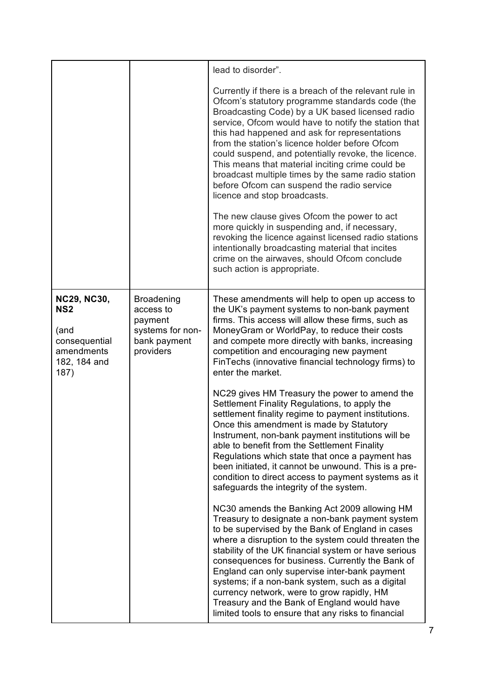|                                                                                                      |                                                                                            | lead to disorder".                                                                                                                                                                                                                                                                                                                                                                                                                                                                                                                                                                                                                                                                                                                                                                                                                                                                                      |
|------------------------------------------------------------------------------------------------------|--------------------------------------------------------------------------------------------|---------------------------------------------------------------------------------------------------------------------------------------------------------------------------------------------------------------------------------------------------------------------------------------------------------------------------------------------------------------------------------------------------------------------------------------------------------------------------------------------------------------------------------------------------------------------------------------------------------------------------------------------------------------------------------------------------------------------------------------------------------------------------------------------------------------------------------------------------------------------------------------------------------|
|                                                                                                      |                                                                                            | Currently if there is a breach of the relevant rule in<br>Ofcom's statutory programme standards code (the<br>Broadcasting Code) by a UK based licensed radio<br>service, Ofcom would have to notify the station that<br>this had happened and ask for representations<br>from the station's licence holder before Ofcom<br>could suspend, and potentially revoke, the licence.<br>This means that material inciting crime could be<br>broadcast multiple times by the same radio station<br>before Ofcom can suspend the radio service<br>licence and stop broadcasts.<br>The new clause gives Ofcom the power to act<br>more quickly in suspending and, if necessary,<br>revoking the licence against licensed radio stations<br>intentionally broadcasting material that incites<br>crime on the airwaves, should Ofcom conclude<br>such action is appropriate.                                       |
| <b>NC29, NC30,</b><br>NS <sub>2</sub><br>(and<br>consequential<br>amendments<br>182, 184 and<br>187) | <b>Broadening</b><br>access to<br>payment<br>systems for non-<br>bank payment<br>providers | These amendments will help to open up access to<br>the UK's payment systems to non-bank payment<br>firms. This access will allow these firms, such as<br>MoneyGram or WorldPay, to reduce their costs<br>and compete more directly with banks, increasing<br>competition and encouraging new payment<br>FinTechs (innovative financial technology firms) to<br>enter the market.<br>NC29 gives HM Treasury the power to amend the<br>Settlement Finality Regulations, to apply the<br>settlement finality regime to payment institutions.<br>Once this amendment is made by Statutory<br>Instrument, non-bank payment institutions will be<br>able to benefit from the Settlement Finality<br>Regulations which state that once a payment has<br>been initiated, it cannot be unwound. This is a pre-<br>condition to direct access to payment systems as it<br>safeguards the integrity of the system. |
|                                                                                                      |                                                                                            | NC30 amends the Banking Act 2009 allowing HM<br>Treasury to designate a non-bank payment system<br>to be supervised by the Bank of England in cases<br>where a disruption to the system could threaten the<br>stability of the UK financial system or have serious<br>consequences for business. Currently the Bank of<br>England can only supervise inter-bank payment<br>systems; if a non-bank system, such as a digital<br>currency network, were to grow rapidly, HM<br>Treasury and the Bank of England would have<br>limited tools to ensure that any risks to financial                                                                                                                                                                                                                                                                                                                         |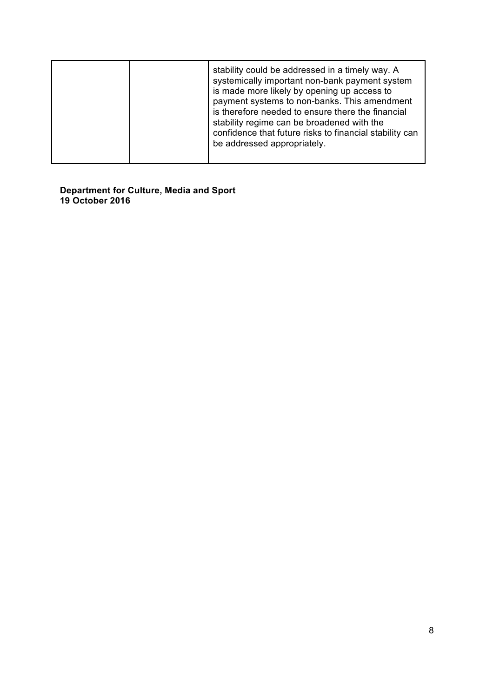|  | stability could be addressed in a timely way. A<br>systemically important non-bank payment system<br>is made more likely by opening up access to<br>payment systems to non-banks. This amendment<br>is therefore needed to ensure there the financial<br>stability regime can be broadened with the<br>confidence that future risks to financial stability can<br>be addressed appropriately. |
|--|-----------------------------------------------------------------------------------------------------------------------------------------------------------------------------------------------------------------------------------------------------------------------------------------------------------------------------------------------------------------------------------------------|
|--|-----------------------------------------------------------------------------------------------------------------------------------------------------------------------------------------------------------------------------------------------------------------------------------------------------------------------------------------------------------------------------------------------|

#### **Department for Culture, Media and Sport 19 October 2016**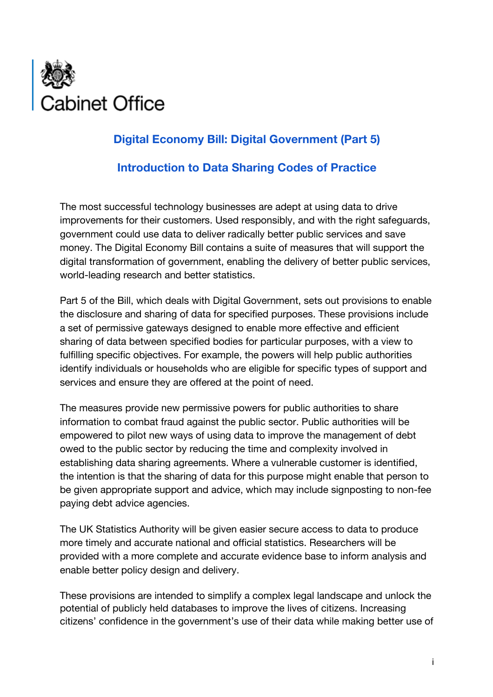

## **Digital Economy Bill: Digital Government (Part 5)**

### **Introduction to Data Sharing Codes of Practice**

The most successful technology businesses are adept at using data to drive improvements for their customers. Used responsibly, and with the right safeguards, government could use data to deliver radically better public services and save money. The Digital Economy Bill contains a suite of measures that will support the digital transformation of government, enabling the delivery of better public services, world-leading research and better statistics.

Part 5 of the Bill, which deals with Digital Government, sets out provisions to enable the disclosure and sharing of data for specified purposes. These provisions include a set of permissive gateways designed to enable more effective and efficient sharing of data between specified bodies for particular purposes, with a view to fulfilling specific objectives. For example, the powers will help public authorities identify individuals or households who are eligible for specific types of support and services and ensure they are offered at the point of need.

The measures provide new permissive powers for public authorities to share information to combat fraud against the public sector. Public authorities will be empowered to pilot new ways of using data to improve the management of debt owed to the public sector by reducing the time and complexity involved in establishing data sharing agreements. Where a vulnerable customer is identified, the intention is that the sharing of data for this purpose might enable that person to be given appropriate support and advice, which may include signposting to non-fee paying debt advice agencies.

The UK Statistics Authority will be given easier secure access to data to produce more timely and accurate national and official statistics. Researchers will be provided with a more complete and accurate evidence base to inform analysis and enable better policy design and delivery.

These provisions are intended to simplify a complex legal landscape and unlock the potential of publicly held databases to improve the lives of citizens. Increasing citizens' confidence in the government's use of their data while making better use of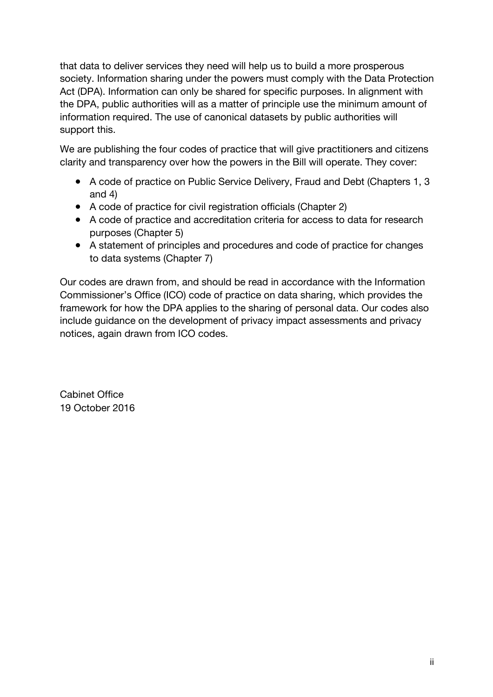that data to deliver services they need will help us to build a more prosperous society. Information sharing under the powers must comply with the Data Protection Act (DPA). Information can only be shared for specific purposes. In alignment with the DPA, public authorities will as a matter of principle use the minimum amount of information required. The use of canonical datasets by public authorities will support this.

We are publishing the four codes of practice that will give practitioners and citizens clarity and transparency over how the powers in the Bill will operate. They cover:

- A code of practice on Public Service Delivery, Fraud and Debt (Chapters 1, 3 and 4)
- A code of practice for civil registration officials (Chapter 2)
- A code of practice and accreditation criteria for access to data for research purposes (Chapter 5)
- A statement of principles and procedures and code of practice for changes to data systems (Chapter 7)

Our codes are drawn from, and should be read in accordance with the Information Commissioner's Office (ICO) code of practice on data sharing, which provides the framework for how the DPA applies to the sharing of personal data. Our codes also include guidance on the development of privacy impact assessments and privacy notices, again drawn from ICO codes.

Cabinet Office 19 October 2016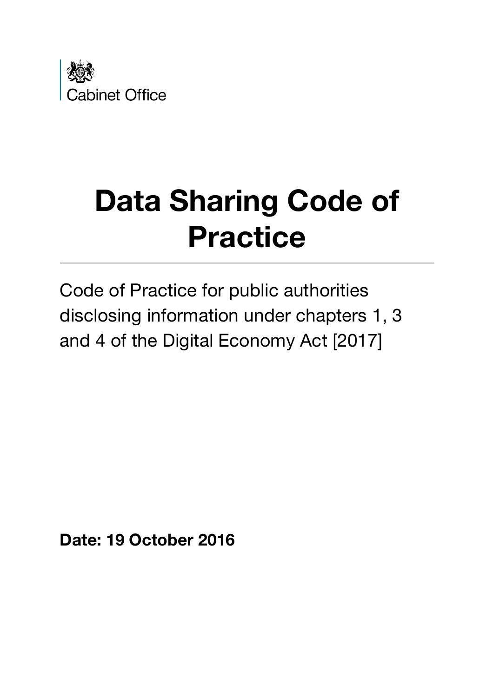

# **Data Sharing Code of Practice**

Code of Practice for public authorities disclosing information under chapters 1, 3 and 4 of the Digital Economy Act [2017]

**Date: 19 October 2016**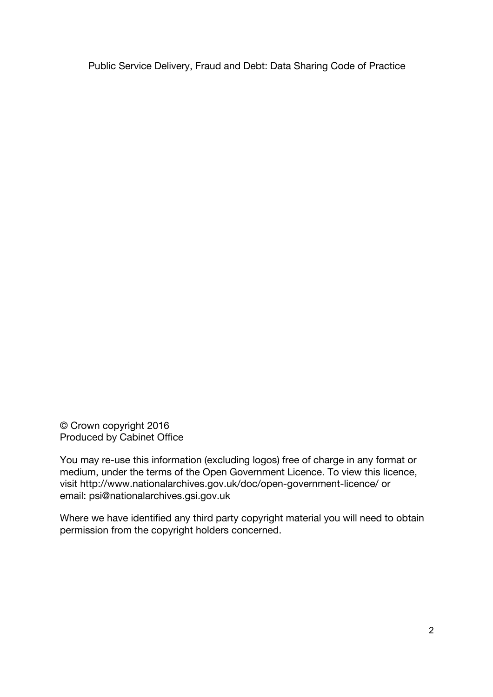© Crown copyright 2016 Produced by Cabinet Office

You may re-use this information (excluding logos) free of charge in any format or medium, under the terms of the Open Government Licence. To view this licence, visit http://www.nationalarchives.gov.uk/doc/open-government-licence/ or email: psi@nationalarchives.gsi.gov.uk

Where we have identified any third party copyright material you will need to obtain permission from the copyright holders concerned.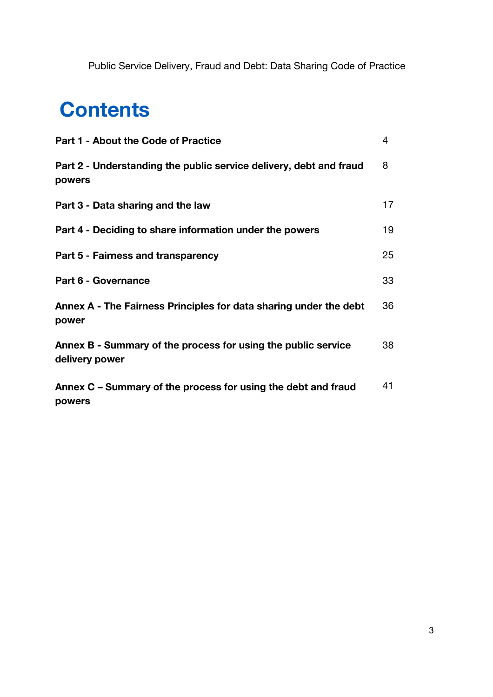## **Contents**

| <b>Part 1 - About the Code of Practice</b>                                      | 4  |
|---------------------------------------------------------------------------------|----|
| Part 2 - Understanding the public service delivery, debt and fraud<br>powers    | 8  |
| Part 3 - Data sharing and the law                                               | 17 |
| Part 4 - Deciding to share information under the powers                         | 19 |
| Part 5 - Fairness and transparency                                              | 25 |
| Part 6 - Governance                                                             | 33 |
| Annex A - The Fairness Principles for data sharing under the debt<br>power      | 36 |
| Annex B - Summary of the process for using the public service<br>delivery power | 38 |
| Annex C – Summary of the process for using the debt and fraud<br>powers         | 41 |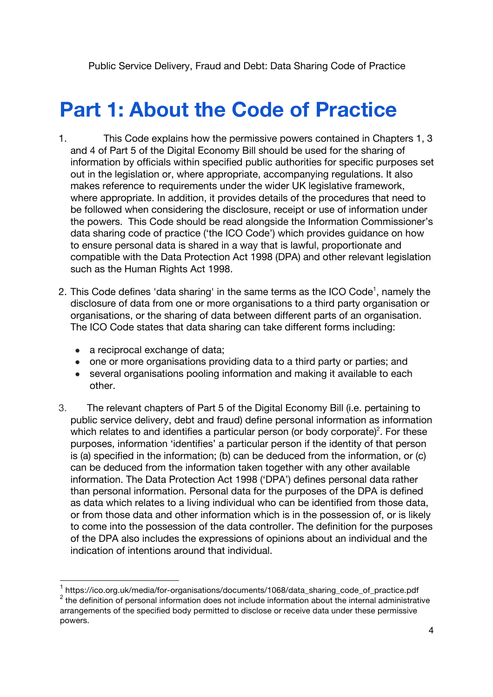## **Part 1: About the Code of Practice**

- 1. This Code explains how the permissive powers contained in Chapters 1, 3 and 4 of Part 5 of the Digital Economy Bill should be used for the sharing of information by officials within specified public authorities for specific purposes set out in the legislation or, where appropriate, accompanying regulations. It also makes reference to requirements under the wider UK legislative framework, where appropriate. In addition, it provides details of the procedures that need to be followed when considering the disclosure, receipt or use of information under the powers. This Code should be read alongside the Information Commissioner's data sharing code of practice ('the ICO Code') which provides guidance on how to ensure personal data is shared in a way that is lawful, proportionate and compatible with the Data Protection Act 1998 (DPA) and other relevant legislation such as the Human Rights Act 1998.
- 2. This Code defines 'data sharing' in the same terms as the ICO Code<sup>1</sup>, namely the disclosure of data from one or more organisations to a third party organisation or organisations, or the sharing of data between different parts of an organisation. The ICO Code states that data sharing can take different forms including:
	- a reciprocal exchange of data;
	- one or more organisations providing data to a third party or parties; and
	- several organisations pooling information and making it available to each other.
- 3. The relevant chapters of Part 5 of the Digital Economy Bill (i.e. pertaining to public service delivery, debt and fraud) define personal information as information which relates to and identifies a particular person (or body corporate)<sup>2</sup>. For these purposes, information 'identifies' a particular person if the identity of that person is (a) specified in the information; (b) can be deduced from the information, or (c) can be deduced from the information taken together with any other available information. The Data Protection Act 1998 ('DPA') defines personal data rather than personal information. Personal data for the purposes of the DPA is defined as data which relates to a living individual who can be identified from those data, or from those data and other information which is in the possession of, or is likely to come into the possession of the data controller. The definition for the purposes of the DPA also includes the expressions of opinions about an individual and the indication of intentions around that individual.

 <sup>1</sup> https://ico.org.uk/media/for-organisations/documents/1068/data\_sharing\_code\_of\_practice.pdf  $2$  the definition of personal information does not include information about the internal administrative arrangements of the specified body permitted to disclose or receive data under these permissive powers.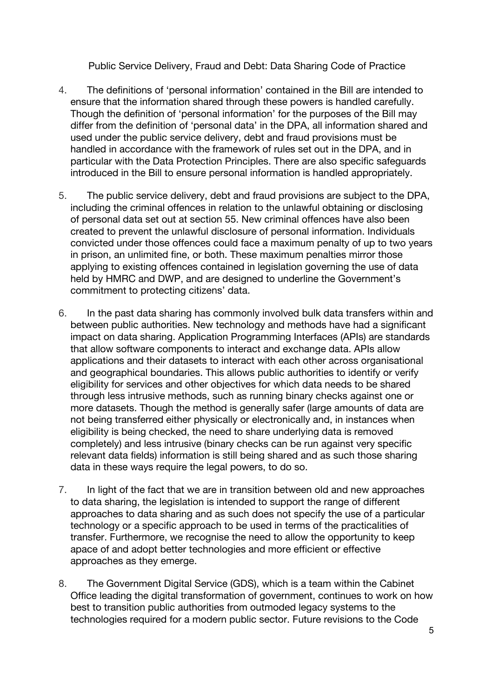- 4. The definitions of 'personal information' contained in the Bill are intended to ensure that the information shared through these powers is handled carefully. Though the definition of 'personal information' for the purposes of the Bill may differ from the definition of 'personal data' in the DPA, all information shared and used under the public service delivery, debt and fraud provisions must be handled in accordance with the framework of rules set out in the DPA, and in particular with the Data Protection Principles. There are also specific safeguards introduced in the Bill to ensure personal information is handled appropriately.
- 5. The public service delivery, debt and fraud provisions are subject to the DPA, including the criminal offences in relation to the unlawful obtaining or disclosing of personal data set out at section 55. New criminal offences have also been created to prevent the unlawful disclosure of personal information. Individuals convicted under those offences could face a maximum penalty of up to two years in prison, an unlimited fine, or both. These maximum penalties mirror those applying to existing offences contained in legislation governing the use of data held by HMRC and DWP, and are designed to underline the Government's commitment to protecting citizens' data.
- 6. In the past data sharing has commonly involved bulk data transfers within and between public authorities. New technology and methods have had a significant impact on data sharing. Application Programming Interfaces (APIs) are standards that allow software components to interact and exchange data. APIs allow applications and their datasets to interact with each other across organisational and geographical boundaries. This allows public authorities to identify or verify eligibility for services and other objectives for which data needs to be shared through less intrusive methods, such as running binary checks against one or more datasets. Though the method is generally safer (large amounts of data are not being transferred either physically or electronically and, in instances when eligibility is being checked, the need to share underlying data is removed completely) and less intrusive (binary checks can be run against very specific relevant data fields) information is still being shared and as such those sharing data in these ways require the legal powers, to do so.
- 7. In light of the fact that we are in transition between old and new approaches to data sharing, the legislation is intended to support the range of different approaches to data sharing and as such does not specify the use of a particular technology or a specific approach to be used in terms of the practicalities of transfer. Furthermore, we recognise the need to allow the opportunity to keep apace of and adopt better technologies and more efficient or effective approaches as they emerge.
- 8. The Government Digital Service (GDS), which is a team within the Cabinet Office leading the digital transformation of government, continues to work on how best to transition public authorities from outmoded legacy systems to the technologies required for a modern public sector. Future revisions to the Code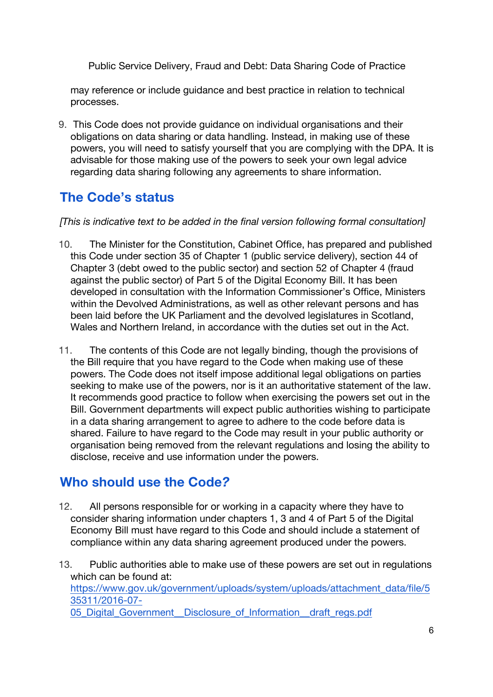may reference or include guidance and best practice in relation to technical processes.

9. This Code does not provide guidance on individual organisations and their obligations on data sharing or data handling. Instead, in making use of these powers, you will need to satisfy yourself that you are complying with the DPA. It is advisable for those making use of the powers to seek your own legal advice regarding data sharing following any agreements to share information.

## **The Code's status**

*[This is indicative text to be added in the final version following formal consultation]*

- 10. The Minister for the Constitution, Cabinet Office, has prepared and published this Code under section 35 of Chapter 1 (public service delivery), section 44 of Chapter 3 (debt owed to the public sector) and section 52 of Chapter 4 (fraud against the public sector) of Part 5 of the Digital Economy Bill. It has been developed in consultation with the Information Commissioner's Office, Ministers within the Devolved Administrations, as well as other relevant persons and has been laid before the UK Parliament and the devolved legislatures in Scotland, Wales and Northern Ireland, in accordance with the duties set out in the Act.
- 11. The contents of this Code are not legally binding, though the provisions of the Bill require that you have regard to the Code when making use of these powers. The Code does not itself impose additional legal obligations on parties seeking to make use of the powers, nor is it an authoritative statement of the law. It recommends good practice to follow when exercising the powers set out in the Bill. Government departments will expect public authorities wishing to participate in a data sharing arrangement to agree to adhere to the code before data is shared. Failure to have regard to the Code may result in your public authority or organisation being removed from the relevant regulations and losing the ability to disclose, receive and use information under the powers.

## **Who should use the Code***?*

12. All persons responsible for or working in a capacity where they have to consider sharing information under chapters 1, 3 and 4 of Part 5 of the Digital Economy Bill must have regard to this Code and should include a statement of compliance within any data sharing agreement produced under the powers.

13. Public authorities able to make use of these powers are set out in regulations which can be found at: https://www.gov.uk/government/uploads/system/uploads/attachment\_data/file/5 35311/2016-07- 05 Digital Government Disclosure of Information draft regs.pdf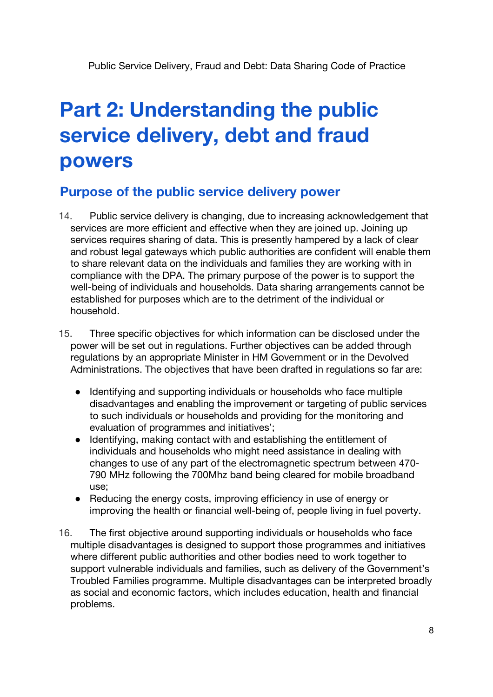## **Part 2: Understanding the public service delivery, debt and fraud powers**

### **Purpose of the public service delivery power**

- 14. Public service delivery is changing, due to increasing acknowledgement that services are more efficient and effective when they are joined up. Joining up services requires sharing of data. This is presently hampered by a lack of clear and robust legal gateways which public authorities are confident will enable them to share relevant data on the individuals and families they are working with in compliance with the DPA. The primary purpose of the power is to support the well-being of individuals and households. Data sharing arrangements cannot be established for purposes which are to the detriment of the individual or household.
- 15. Three specific objectives for which information can be disclosed under the power will be set out in regulations. Further objectives can be added through regulations by an appropriate Minister in HM Government or in the Devolved Administrations. The objectives that have been drafted in regulations so far are:
	- Identifying and supporting individuals or households who face multiple disadvantages and enabling the improvement or targeting of public services to such individuals or households and providing for the monitoring and evaluation of programmes and initiatives';
	- Identifying, making contact with and establishing the entitlement of individuals and households who might need assistance in dealing with changes to use of any part of the electromagnetic spectrum between 470- 790 MHz following the 700Mhz band being cleared for mobile broadband use;
	- Reducing the energy costs, improving efficiency in use of energy or improving the health or financial well-being of, people living in fuel poverty.
- 16. The first objective around supporting individuals or households who face multiple disadvantages is designed to support those programmes and initiatives where different public authorities and other bodies need to work together to support vulnerable individuals and families, such as delivery of the Government's Troubled Families programme. Multiple disadvantages can be interpreted broadly as social and economic factors, which includes education, health and financial problems.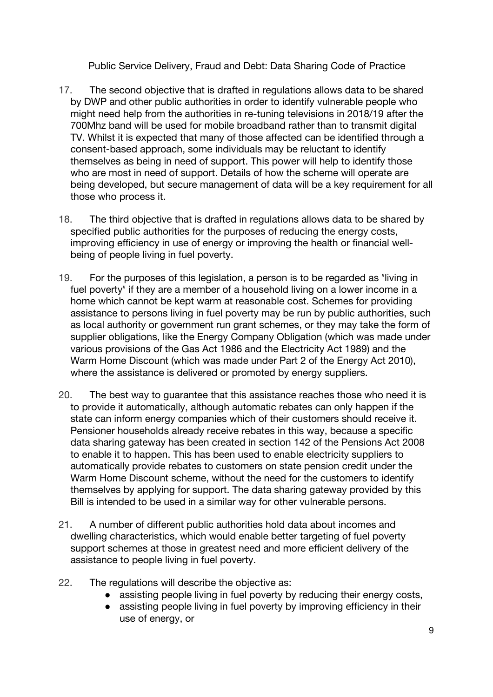- 17. The second objective that is drafted in regulations allows data to be shared by DWP and other public authorities in order to identify vulnerable people who might need help from the authorities in re-tuning televisions in 2018/19 after the 700Mhz band will be used for mobile broadband rather than to transmit digital TV. Whilst it is expected that many of those affected can be identified through a consent-based approach, some individuals may be reluctant to identify themselves as being in need of support. This power will help to identify those who are most in need of support. Details of how the scheme will operate are being developed, but secure management of data will be a key requirement for all those who process it.
- 18. The third objective that is drafted in regulations allows data to be shared by specified public authorities for the purposes of reducing the energy costs, improving efficiency in use of energy or improving the health or financial wellbeing of people living in fuel poverty.
- 19. For the purposes of this legislation, a person is to be regarded as "living in fuel poverty" if they are a member of a household living on a lower income in a home which cannot be kept warm at reasonable cost. Schemes for providing assistance to persons living in fuel poverty may be run by public authorities, such as local authority or government run grant schemes, or they may take the form of supplier obligations, like the Energy Company Obligation (which was made under various provisions of the Gas Act 1986 and the Electricity Act 1989) and the Warm Home Discount (which was made under Part 2 of the Energy Act 2010), where the assistance is delivered or promoted by energy suppliers.
- 20. The best way to guarantee that this assistance reaches those who need it is to provide it automatically, although automatic rebates can only happen if the state can inform energy companies which of their customers should receive it. Pensioner households already receive rebates in this way, because a specific data sharing gateway has been created in section 142 of the Pensions Act 2008 to enable it to happen. This has been used to enable electricity suppliers to automatically provide rebates to customers on state pension credit under the Warm Home Discount scheme, without the need for the customers to identify themselves by applying for support. The data sharing gateway provided by this Bill is intended to be used in a similar way for other vulnerable persons.
- 21. A number of different public authorities hold data about incomes and dwelling characteristics, which would enable better targeting of fuel poverty support schemes at those in greatest need and more efficient delivery of the assistance to people living in fuel poverty.
- 22. The regulations will describe the objective as:
	- assisting people living in fuel poverty by reducing their energy costs,
	- assisting people living in fuel poverty by improving efficiency in their use of energy, or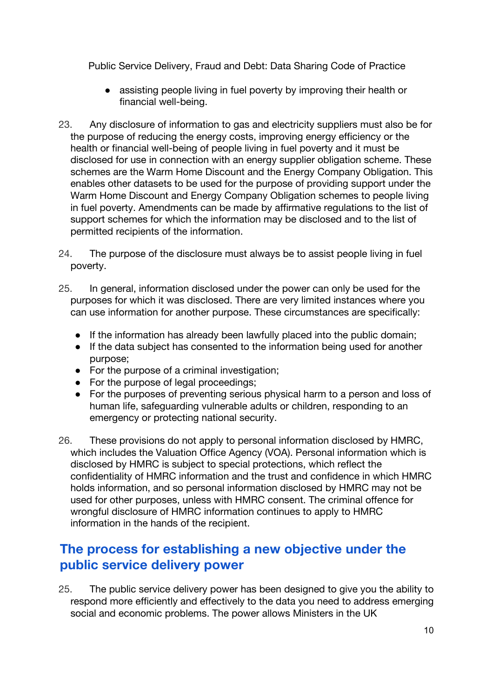- assisting people living in fuel poverty by improving their health or financial well-being.
- 23. Any disclosure of information to gas and electricity suppliers must also be for the purpose of reducing the energy costs, improving energy efficiency or the health or financial well-being of people living in fuel poverty and it must be disclosed for use in connection with an energy supplier obligation scheme. These schemes are the Warm Home Discount and the Energy Company Obligation. This enables other datasets to be used for the purpose of providing support under the Warm Home Discount and Energy Company Obligation schemes to people living in fuel poverty. Amendments can be made by affirmative regulations to the list of support schemes for which the information may be disclosed and to the list of permitted recipients of the information.
- 24. The purpose of the disclosure must always be to assist people living in fuel poverty.
- 25. In general, information disclosed under the power can only be used for the purposes for which it was disclosed. There are very limited instances where you can use information for another purpose. These circumstances are specifically:
	- If the information has already been lawfully placed into the public domain;
	- If the data subject has consented to the information being used for another purpose;
	- For the purpose of a criminal investigation;
	- For the purpose of legal proceedings;
	- For the purposes of preventing serious physical harm to a person and loss of human life, safeguarding vulnerable adults or children, responding to an emergency or protecting national security.
- 26. These provisions do not apply to personal information disclosed by HMRC, which includes the Valuation Office Agency (VOA). Personal information which is disclosed by HMRC is subject to special protections, which reflect the confidentiality of HMRC information and the trust and confidence in which HMRC holds information, and so personal information disclosed by HMRC may not be used for other purposes, unless with HMRC consent. The criminal offence for wrongful disclosure of HMRC information continues to apply to HMRC information in the hands of the recipient.

## **The process for establishing a new objective under the public service delivery power**

25. The public service delivery power has been designed to give you the ability to respond more efficiently and effectively to the data you need to address emerging social and economic problems. The power allows Ministers in the UK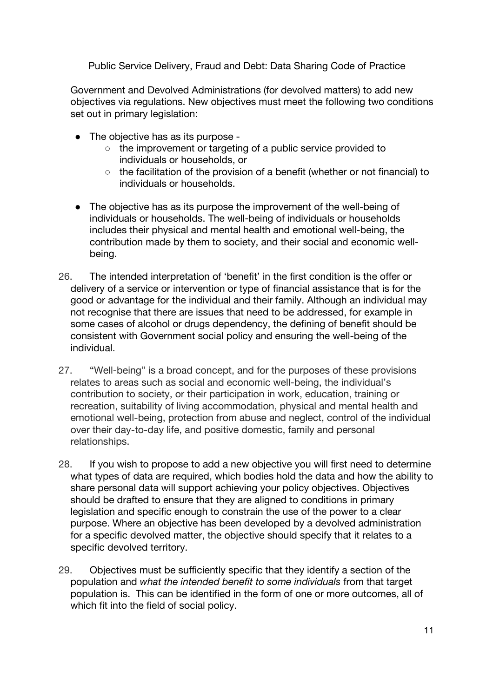Government and Devolved Administrations (for devolved matters) to add new objectives via regulations. New objectives must meet the following two conditions set out in primary legislation:

- The objective has as its purpose -
	- the improvement or targeting of a public service provided to individuals or households, or
	- the facilitation of the provision of a benefit (whether or not financial) to individuals or households.
- The objective has as its purpose the improvement of the well-being of individuals or households. The well-being of individuals or households includes their physical and mental health and emotional well-being, the contribution made by them to society, and their social and economic wellbeing.
- 26. The intended interpretation of 'benefit' in the first condition is the offer or delivery of a service or intervention or type of financial assistance that is for the good or advantage for the individual and their family. Although an individual may not recognise that there are issues that need to be addressed, for example in some cases of alcohol or drugs dependency, the defining of benefit should be consistent with Government social policy and ensuring the well-being of the individual.
- 27. "Well-being" is a broad concept, and for the purposes of these provisions relates to areas such as social and economic well-being, the individual's contribution to society, or their participation in work, education, training or recreation, suitability of living accommodation, physical and mental health and emotional well-being, protection from abuse and neglect, control of the individual over their day-to-day life, and positive domestic, family and personal relationships.
- 28. If you wish to propose to add a new objective you will first need to determine what types of data are required, which bodies hold the data and how the ability to share personal data will support achieving your policy objectives. Objectives should be drafted to ensure that they are aligned to conditions in primary legislation and specific enough to constrain the use of the power to a clear purpose. Where an objective has been developed by a devolved administration for a specific devolved matter, the objective should specify that it relates to a specific devolved territory.
- 29. Objectives must be sufficiently specific that they identify a section of the population and *what the intended benefit to some individuals* from that target population is. This can be identified in the form of one or more outcomes, all of which fit into the field of social policy.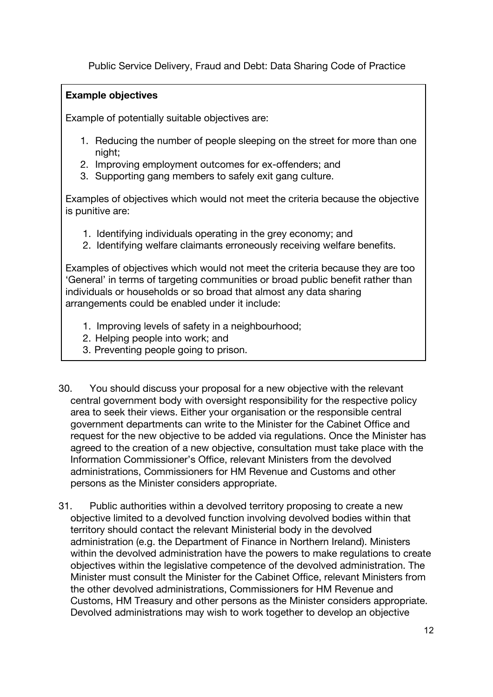#### **Example objectives**

Example of potentially suitable objectives are:

- 1. Reducing the number of people sleeping on the street for more than one night;
- 2. Improving employment outcomes for ex-offenders; and
- 3. Supporting gang members to safely exit gang culture.

Examples of objectives which would not meet the criteria because the objective is punitive are:

- 1. Identifying individuals operating in the grey economy; and
- 2. Identifying welfare claimants erroneously receiving welfare benefits.

Examples of objectives which would not meet the criteria because they are too 'General' in terms of targeting communities or broad public benefit rather than individuals or households or so broad that almost any data sharing arrangements could be enabled under it include:

- 1. Improving levels of safety in a neighbourhood;
- 2. Helping people into work; and
- 3. Preventing people going to prison.
- 30. You should discuss your proposal for a new objective with the relevant central government body with oversight responsibility for the respective policy area to seek their views. Either your organisation or the responsible central government departments can write to the Minister for the Cabinet Office and request for the new objective to be added via regulations. Once the Minister has agreed to the creation of a new objective, consultation must take place with the Information Commissioner's Office, relevant Ministers from the devolved administrations, Commissioners for HM Revenue and Customs and other persons as the Minister considers appropriate.
- 31. Public authorities within a devolved territory proposing to create a new objective limited to a devolved function involving devolved bodies within that territory should contact the relevant Ministerial body in the devolved administration (e.g. the Department of Finance in Northern Ireland). Ministers within the devolved administration have the powers to make regulations to create objectives within the legislative competence of the devolved administration. The Minister must consult the Minister for the Cabinet Office, relevant Ministers from the other devolved administrations, Commissioners for HM Revenue and Customs, HM Treasury and other persons as the Minister considers appropriate. Devolved administrations may wish to work together to develop an objective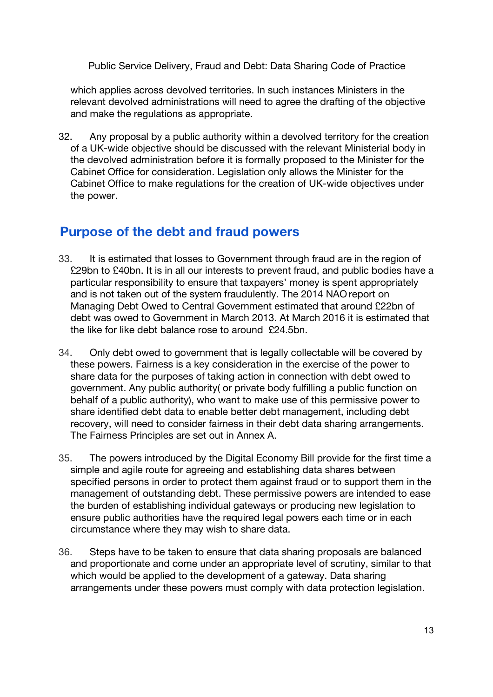which applies across devolved territories. In such instances Ministers in the relevant devolved administrations will need to agree the drafting of the objective and make the regulations as appropriate.

32. Any proposal by a public authority within a devolved territory for the creation of a UK-wide objective should be discussed with the relevant Ministerial body in the devolved administration before it is formally proposed to the Minister for the Cabinet Office for consideration. Legislation only allows the Minister for the Cabinet Office to make regulations for the creation of UK-wide objectives under the power.

### **Purpose of the debt and fraud powers**

- 33. It is estimated that losses to Government through fraud are in the region of £29bn to £40bn. It is in all our interests to prevent fraud, and public bodies have a particular responsibility to ensure that taxpayers' money is spent appropriately and is not taken out of the system fraudulently. The 2014 NAO report on Managing Debt Owed to Central Government estimated that around £22bn of debt was owed to Government in March 2013. At March 2016 it is estimated that the like for like debt balance rose to around £24.5bn.
- 34. Only debt owed to government that is legally collectable will be covered by these powers. Fairness is a key consideration in the exercise of the power to share data for the purposes of taking action in connection with debt owed to government. Any public authority( or private body fulfilling a public function on behalf of a public authority), who want to make use of this permissive power to share identified debt data to enable better debt management, including debt recovery, will need to consider fairness in their debt data sharing arrangements. The Fairness Principles are set out in Annex A.
- 35. The powers introduced by the Digital Economy Bill provide for the first time a simple and agile route for agreeing and establishing data shares between specified persons in order to protect them against fraud or to support them in the management of outstanding debt. These permissive powers are intended to ease the burden of establishing individual gateways or producing new legislation to ensure public authorities have the required legal powers each time or in each circumstance where they may wish to share data.
- 36. Steps have to be taken to ensure that data sharing proposals are balanced and proportionate and come under an appropriate level of scrutiny, similar to that which would be applied to the development of a gateway. Data sharing arrangements under these powers must comply with data protection legislation.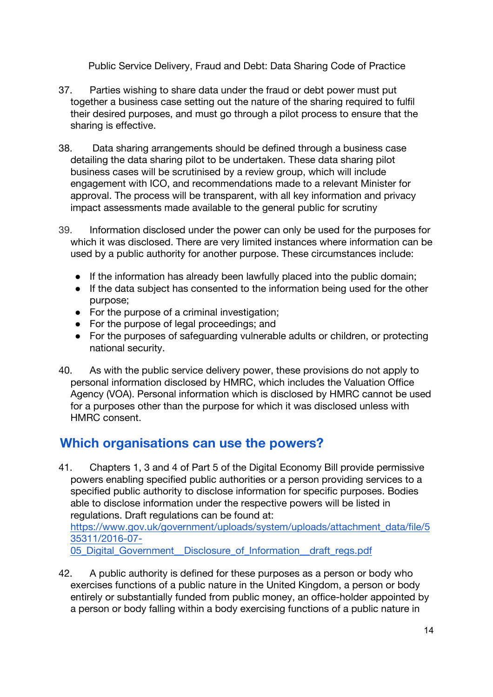- 37. Parties wishing to share data under the fraud or debt power must put together a business case setting out the nature of the sharing required to fulfil their desired purposes, and must go through a pilot process to ensure that the sharing is effective.
- 38. Data sharing arrangements should be defined through a business case detailing the data sharing pilot to be undertaken. These data sharing pilot business cases will be scrutinised by a review group, which will include engagement with ICO, and recommendations made to a relevant Minister for approval. The process will be transparent, with all key information and privacy impact assessments made available to the general public for scrutiny
- 39. Information disclosed under the power can only be used for the purposes for which it was disclosed. There are very limited instances where information can be used by a public authority for another purpose. These circumstances include:
	- If the information has already been lawfully placed into the public domain;
	- If the data subject has consented to the information being used for the other purpose;
	- For the purpose of a criminal investigation;
	- For the purpose of legal proceedings; and
	- For the purposes of safeguarding vulnerable adults or children, or protecting national security.
- 40. As with the public service delivery power, these provisions do not apply to personal information disclosed by HMRC, which includes the Valuation Office Agency (VOA). Personal information which is disclosed by HMRC cannot be used for a purposes other than the purpose for which it was disclosed unless with HMRC consent.

## **Which organisations can use the powers?**

41. Chapters 1, 3 and 4 of Part 5 of the Digital Economy Bill provide permissive powers enabling specified public authorities or a person providing services to a specified public authority to disclose information for specific purposes. Bodies able to disclose information under the respective powers will be listed in regulations. Draft regulations can be found at: https://www.gov.uk/government/uploads/system/uploads/attachment\_data/file/5 35311/2016-07-

05 Digital Government Disclosure of Information draft regs.pdf

42. A public authority is defined for these purposes as a person or body who exercises functions of a public nature in the United Kingdom, a person or body entirely or substantially funded from public money, an office-holder appointed by a person or body falling within a body exercising functions of a public nature in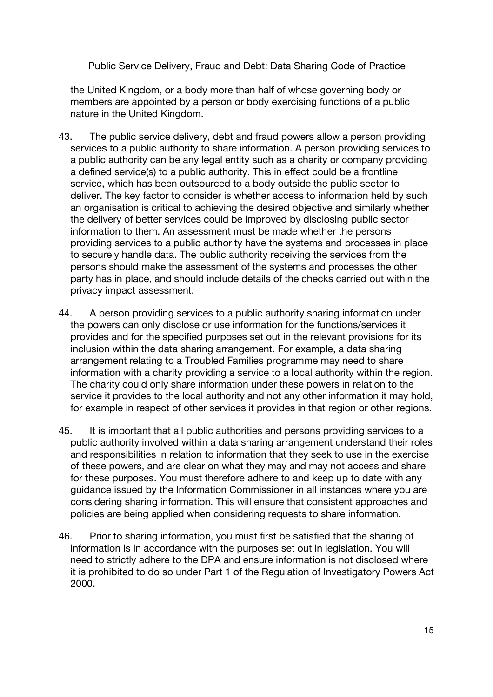the United Kingdom, or a body more than half of whose governing body or members are appointed by a person or body exercising functions of a public nature in the United Kingdom.

- 43. The public service delivery, debt and fraud powers allow a person providing services to a public authority to share information. A person providing services to a public authority can be any legal entity such as a charity or company providing a defined service(s) to a public authority. This in effect could be a frontline service, which has been outsourced to a body outside the public sector to deliver. The key factor to consider is whether access to information held by such an organisation is critical to achieving the desired objective and similarly whether the delivery of better services could be improved by disclosing public sector information to them. An assessment must be made whether the persons providing services to a public authority have the systems and processes in place to securely handle data. The public authority receiving the services from the persons should make the assessment of the systems and processes the other party has in place, and should include details of the checks carried out within the privacy impact assessment.
- 44. A person providing services to a public authority sharing information under the powers can only disclose or use information for the functions/services it provides and for the specified purposes set out in the relevant provisions for its inclusion within the data sharing arrangement. For example, a data sharing arrangement relating to a Troubled Families programme may need to share information with a charity providing a service to a local authority within the region. The charity could only share information under these powers in relation to the service it provides to the local authority and not any other information it may hold, for example in respect of other services it provides in that region or other regions.
- 45. It is important that all public authorities and persons providing services to a public authority involved within a data sharing arrangement understand their roles and responsibilities in relation to information that they seek to use in the exercise of these powers, and are clear on what they may and may not access and share for these purposes. You must therefore adhere to and keep up to date with any guidance issued by the Information Commissioner in all instances where you are considering sharing information. This will ensure that consistent approaches and policies are being applied when considering requests to share information.
- 46. Prior to sharing information, you must first be satisfied that the sharing of information is in accordance with the purposes set out in legislation. You will need to strictly adhere to the DPA and ensure information is not disclosed where it is prohibited to do so under Part 1 of the Regulation of Investigatory Powers Act 2000.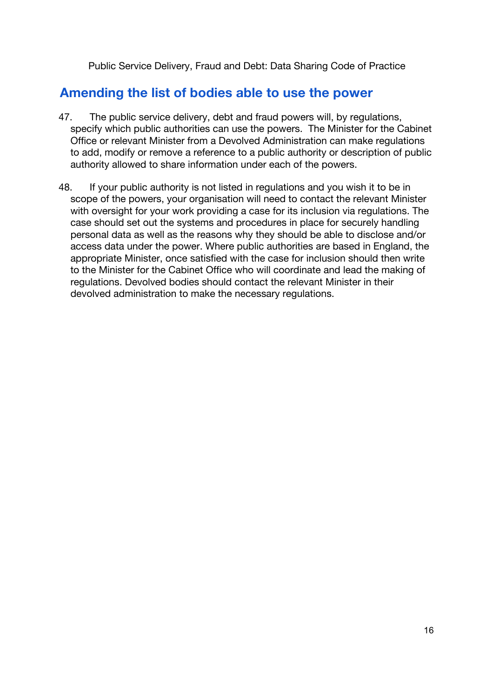## **Amending the list of bodies able to use the power**

- 47. The public service delivery, debt and fraud powers will, by regulations, specify which public authorities can use the powers. The Minister for the Cabinet Office or relevant Minister from a Devolved Administration can make regulations to add, modify or remove a reference to a public authority or description of public authority allowed to share information under each of the powers.
- 48. If your public authority is not listed in regulations and you wish it to be in scope of the powers, your organisation will need to contact the relevant Minister with oversight for your work providing a case for its inclusion via regulations. The case should set out the systems and procedures in place for securely handling personal data as well as the reasons why they should be able to disclose and/or access data under the power. Where public authorities are based in England, the appropriate Minister, once satisfied with the case for inclusion should then write to the Minister for the Cabinet Office who will coordinate and lead the making of regulations. Devolved bodies should contact the relevant Minister in their devolved administration to make the necessary regulations.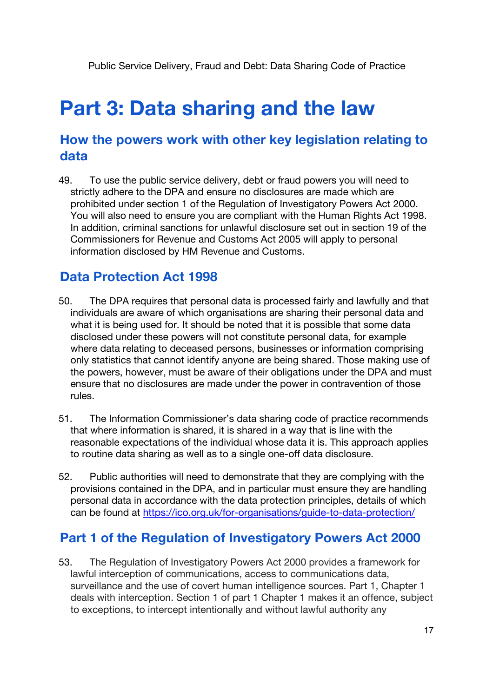## **Part 3: Data sharing and the law**

### **How the powers work with other key legislation relating to data**

49. To use the public service delivery, debt or fraud powers you will need to strictly adhere to the DPA and ensure no disclosures are made which are prohibited under section 1 of the Regulation of Investigatory Powers Act 2000. You will also need to ensure you are compliant with the Human Rights Act 1998. In addition, criminal sanctions for unlawful disclosure set out in section 19 of the Commissioners for Revenue and Customs Act 2005 will apply to personal information disclosed by HM Revenue and Customs.

## **Data Protection Act 1998**

- 50. The DPA requires that personal data is processed fairly and lawfully and that individuals are aware of which organisations are sharing their personal data and what it is being used for. It should be noted that it is possible that some data disclosed under these powers will not constitute personal data, for example where data relating to deceased persons, businesses or information comprising only statistics that cannot identify anyone are being shared. Those making use of the powers, however, must be aware of their obligations under the DPA and must ensure that no disclosures are made under the power in contravention of those rules.
- 51. The Information Commissioner's data sharing code of practice recommends that where information is shared, it is shared in a way that is line with the reasonable expectations of the individual whose data it is. This approach applies to routine data sharing as well as to a single one-off data disclosure.
- 52. Public authorities will need to demonstrate that they are complying with the provisions contained in the DPA, and in particular must ensure they are handling personal data in accordance with the data protection principles, details of which can be found at https://ico.org.uk/for-organisations/guide-to-data-protection/

### **Part 1 of the Regulation of Investigatory Powers Act 2000**

53. The Regulation of Investigatory Powers Act 2000 provides a framework for lawful interception of communications, access to communications data, surveillance and the use of covert human intelligence sources. Part 1, Chapter 1 deals with interception. Section 1 of part 1 Chapter 1 makes it an offence, subject to exceptions, to intercept intentionally and without lawful authority any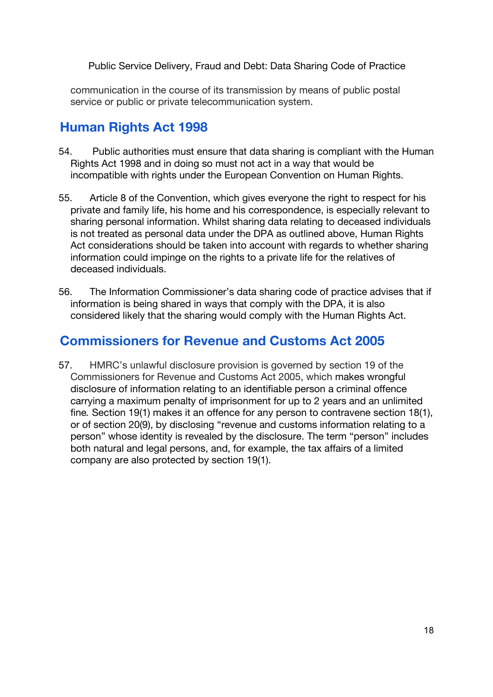communication in the course of its transmission by means of public postal service or public or private telecommunication system.

## **Human Rights Act 1998**

- 54. Public authorities must ensure that data sharing is compliant with the Human Rights Act 1998 and in doing so must not act in a way that would be incompatible with rights under the European Convention on Human Rights.
- 55. Article 8 of the Convention, which gives everyone the right to respect for his private and family life, his home and his correspondence, is especially relevant to sharing personal information. Whilst sharing data relating to deceased individuals is not treated as personal data under the DPA as outlined above, Human Rights Act considerations should be taken into account with regards to whether sharing information could impinge on the rights to a private life for the relatives of deceased individuals.
- 56. The Information Commissioner's data sharing code of practice advises that if information is being shared in ways that comply with the DPA, it is also considered likely that the sharing would comply with the Human Rights Act.

## **Commissioners for Revenue and Customs Act 2005**

57. HMRC's unlawful disclosure provision is governed by section 19 of the Commissioners for Revenue and Customs Act 2005, which makes wrongful disclosure of information relating to an identifiable person a criminal offence carrying a maximum penalty of imprisonment for up to 2 years and an unlimited fine*.* Section 19(1) makes it an offence for any person to contravene section 18(1), or of section 20(9), by disclosing "revenue and customs information relating to a person" whose identity is revealed by the disclosure. The term "person" includes both natural and legal persons, and, for example, the tax affairs of a limited company are also protected by section 19(1).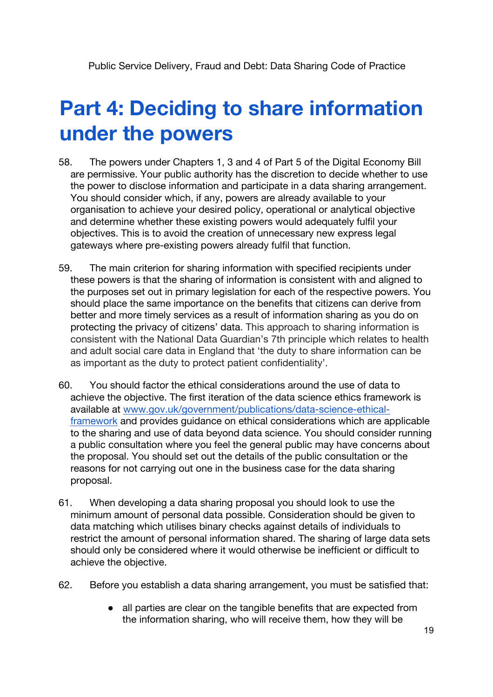## **Part 4: Deciding to share information under the powers**

- 58. The powers under Chapters 1, 3 and 4 of Part 5 of the Digital Economy Bill are permissive. Your public authority has the discretion to decide whether to use the power to disclose information and participate in a data sharing arrangement. You should consider which, if any, powers are already available to your organisation to achieve your desired policy, operational or analytical objective and determine whether these existing powers would adequately fulfil your objectives. This is to avoid the creation of unnecessary new express legal gateways where pre-existing powers already fulfil that function.
- 59. The main criterion for sharing information with specified recipients under these powers is that the sharing of information is consistent with and aligned to the purposes set out in primary legislation for each of the respective powers. You should place the same importance on the benefits that citizens can derive from better and more timely services as a result of information sharing as you do on protecting the privacy of citizens' data. This approach to sharing information is consistent with the National Data Guardian's 7th principle which relates to health and adult social care data in England that 'the duty to share information can be as important as the duty to protect patient confidentiality'.
- 60. You should factor the ethical considerations around the use of data to achieve the objective. The first iteration of the data science ethics framework is available at www.gov.uk/government/publications/data-science-ethicalframework and provides guidance on ethical considerations which are applicable to the sharing and use of data beyond data science. You should consider running a public consultation where you feel the general public may have concerns about the proposal. You should set out the details of the public consultation or the reasons for not carrying out one in the business case for the data sharing proposal.
- 61. When developing a data sharing proposal you should look to use the minimum amount of personal data possible. Consideration should be given to data matching which utilises binary checks against details of individuals to restrict the amount of personal information shared. The sharing of large data sets should only be considered where it would otherwise be inefficient or difficult to achieve the objective.
- 62. Before you establish a data sharing arrangement, you must be satisfied that:
	- all parties are clear on the tangible benefits that are expected from the information sharing, who will receive them, how they will be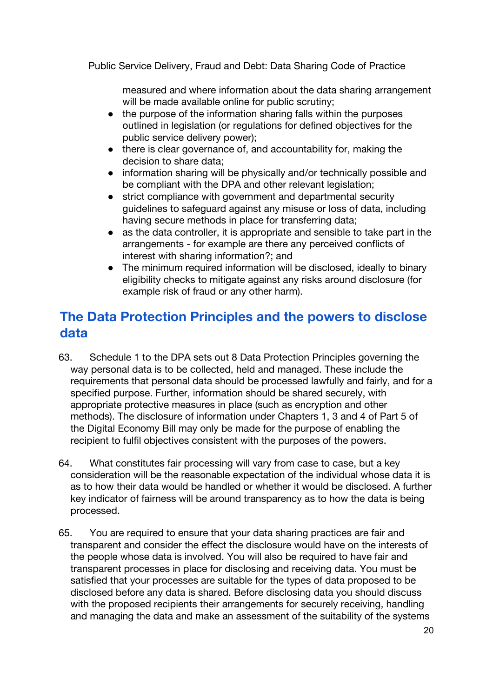measured and where information about the data sharing arrangement will be made available online for public scrutiny;

- the purpose of the information sharing falls within the purposes outlined in legislation (or regulations for defined objectives for the public service delivery power);
- there is clear governance of, and accountability for, making the decision to share data;
- information sharing will be physically and/or technically possible and be compliant with the DPA and other relevant legislation;
- strict compliance with government and departmental security guidelines to safeguard against any misuse or loss of data, including having secure methods in place for transferring data;
- as the data controller, it is appropriate and sensible to take part in the arrangements - for example are there any perceived conflicts of interest with sharing information?; and
- The minimum required information will be disclosed, ideally to binary eligibility checks to mitigate against any risks around disclosure (for example risk of fraud or any other harm).

## **The Data Protection Principles and the powers to disclose data**

- 63. Schedule 1 to the DPA sets out 8 Data Protection Principles governing the way personal data is to be collected, held and managed. These include the requirements that personal data should be processed lawfully and fairly, and for a specified purpose. Further, information should be shared securely, with appropriate protective measures in place (such as encryption and other methods). The disclosure of information under Chapters 1, 3 and 4 of Part 5 of the Digital Economy Bill may only be made for the purpose of enabling the recipient to fulfil objectives consistent with the purposes of the powers.
- 64. What constitutes fair processing will vary from case to case, but a key consideration will be the reasonable expectation of the individual whose data it is as to how their data would be handled or whether it would be disclosed. A further key indicator of fairness will be around transparency as to how the data is being processed.
- 65. You are required to ensure that your data sharing practices are fair and transparent and consider the effect the disclosure would have on the interests of the people whose data is involved. You will also be required to have fair and transparent processes in place for disclosing and receiving data. You must be satisfied that your processes are suitable for the types of data proposed to be disclosed before any data is shared. Before disclosing data you should discuss with the proposed recipients their arrangements for securely receiving, handling and managing the data and make an assessment of the suitability of the systems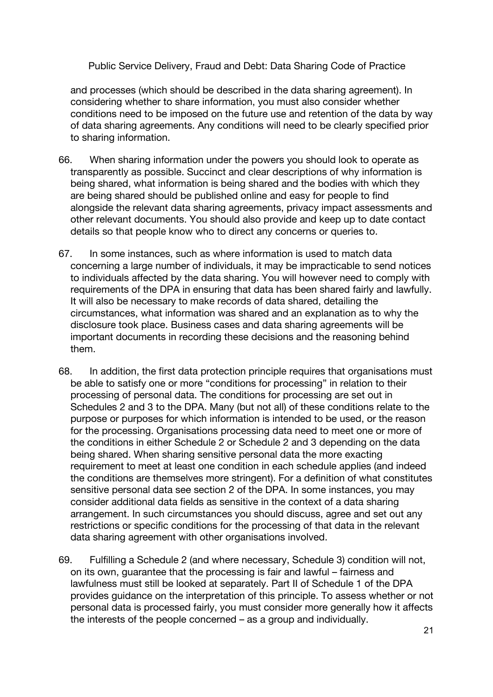and processes (which should be described in the data sharing agreement). In considering whether to share information, you must also consider whether conditions need to be imposed on the future use and retention of the data by way of data sharing agreements. Any conditions will need to be clearly specified prior to sharing information.

- 66. When sharing information under the powers you should look to operate as transparently as possible. Succinct and clear descriptions of why information is being shared, what information is being shared and the bodies with which they are being shared should be published online and easy for people to find alongside the relevant data sharing agreements, privacy impact assessments and other relevant documents. You should also provide and keep up to date contact details so that people know who to direct any concerns or queries to.
- 67. In some instances, such as where information is used to match data concerning a large number of individuals, it may be impracticable to send notices to individuals affected by the data sharing. You will however need to comply with requirements of the DPA in ensuring that data has been shared fairly and lawfully. It will also be necessary to make records of data shared, detailing the circumstances, what information was shared and an explanation as to why the disclosure took place. Business cases and data sharing agreements will be important documents in recording these decisions and the reasoning behind them.
- 68. In addition, the first data protection principle requires that organisations must be able to satisfy one or more "conditions for processing" in relation to their processing of personal data. The conditions for processing are set out in Schedules 2 and 3 to the DPA. Many (but not all) of these conditions relate to the purpose or purposes for which information is intended to be used, or the reason for the processing. Organisations processing data need to meet one or more of the conditions in either Schedule 2 or Schedule 2 and 3 depending on the data being shared. When sharing sensitive personal data the more exacting requirement to meet at least one condition in each schedule applies (and indeed the conditions are themselves more stringent). For a definition of what constitutes sensitive personal data see section 2 of the DPA. In some instances, you may consider additional data fields as sensitive in the context of a data sharing arrangement. In such circumstances you should discuss, agree and set out any restrictions or specific conditions for the processing of that data in the relevant data sharing agreement with other organisations involved.
- 69. Fulfilling a Schedule 2 (and where necessary, Schedule 3) condition will not, on its own, guarantee that the processing is fair and lawful – fairness and lawfulness must still be looked at separately. Part II of Schedule 1 of the DPA provides guidance on the interpretation of this principle. To assess whether or not personal data is processed fairly, you must consider more generally how it affects the interests of the people concerned – as a group and individually.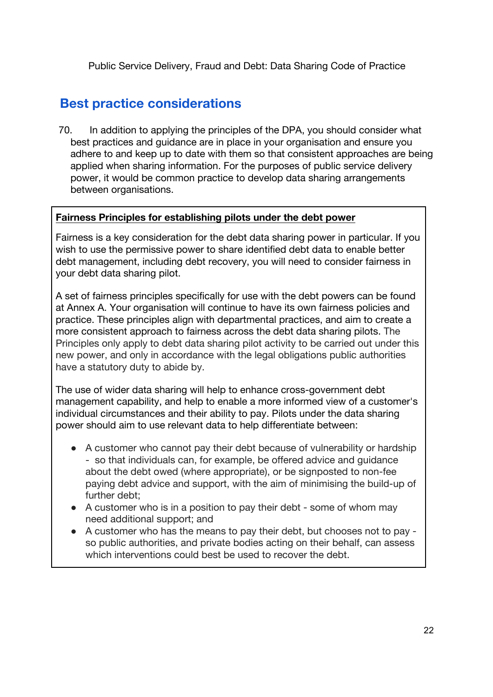# **Best practice considerations**

70. In addition to applying the principles of the DPA, you should consider what best practices and guidance are in place in your organisation and ensure you adhere to and keep up to date with them so that consistent approaches are being applied when sharing information. For the purposes of public service delivery power, it would be common practice to develop data sharing arrangements between organisations.

### **Fairness Principles for establishing pilots under the debt power**

Fairness is a key consideration for the debt data sharing power in particular. If you wish to use the permissive power to share identified debt data to enable better debt management, including debt recovery, you will need to consider fairness in your debt data sharing pilot.

A set of fairness principles specifically for use with the debt powers can be found at Annex A. Your organisation will continue to have its own fairness policies and practice. These principles align with departmental practices, and aim to create a more consistent approach to fairness across the debt data sharing pilots. The Principles only apply to debt data sharing pilot activity to be carried out under this new power, and only in accordance with the legal obligations public authorities have a statutory duty to abide by.

The use of wider data sharing will help to enhance cross-government debt management capability, and help to enable a more informed view of a customer's individual circumstances and their ability to pay. Pilots under the data sharing power should aim to use relevant data to help differentiate between:

- A customer who cannot pay their debt because of vulnerability or hardship - so that individuals can, for example, be offered advice and guidance about the debt owed (where appropriate), or be signposted to non-fee paying debt advice and support, with the aim of minimising the build-up of further debt;
- A customer who is in a position to pay their debt some of whom may need additional support; and
- A customer who has the means to pay their debt, but chooses not to pay so public authorities, and private bodies acting on their behalf, can assess which interventions could best be used to recover the debt.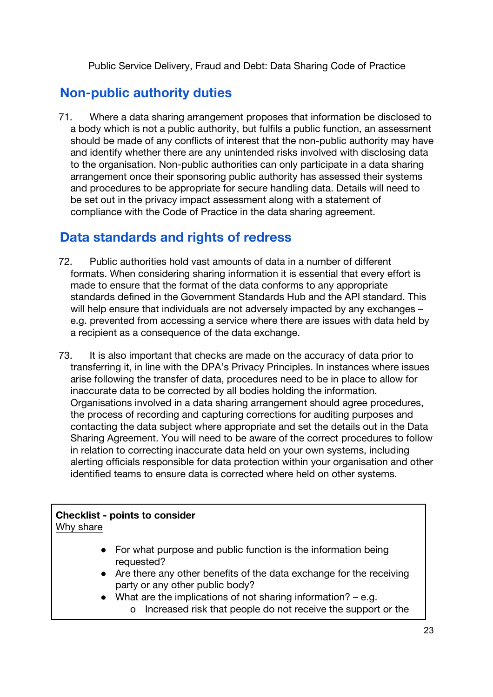# **Non-public authority duties**

71. Where a data sharing arrangement proposes that information be disclosed to a body which is not a public authority, but fulfils a public function, an assessment should be made of any conflicts of interest that the non-public authority may have and identify whether there are any unintended risks involved with disclosing data to the organisation. Non-public authorities can only participate in a data sharing arrangement once their sponsoring public authority has assessed their systems and procedures to be appropriate for secure handling data. Details will need to be set out in the privacy impact assessment along with a statement of compliance with the Code of Practice in the data sharing agreement.

# **Data standards and rights of redress**

- 72. Public authorities hold vast amounts of data in a number of different formats. When considering sharing information it is essential that every effort is made to ensure that the format of the data conforms to any appropriate standards defined in the Government Standards Hub and the API standard. This will help ensure that individuals are not adversely impacted by any exchanges – e.g. prevented from accessing a service where there are issues with data held by a recipient as a consequence of the data exchange.
- 73. It is also important that checks are made on the accuracy of data prior to transferring it, in line with the DPA's Privacy Principles. In instances where issues arise following the transfer of data, procedures need to be in place to allow for inaccurate data to be corrected by all bodies holding the information. Organisations involved in a data sharing arrangement should agree procedures, the process of recording and capturing corrections for auditing purposes and contacting the data subject where appropriate and set the details out in the Data Sharing Agreement. You will need to be aware of the correct procedures to follow in relation to correcting inaccurate data held on your own systems, including alerting officials responsible for data protection within your organisation and other identified teams to ensure data is corrected where held on other systems.

### **Checklist - points to consider** Why share

- For what purpose and public function is the information being requested?
- Are there any other benefits of the data exchange for the receiving party or any other public body?
- $\bullet$  What are the implications of not sharing information? e.g.
	- o Increased risk that people do not receive the support or the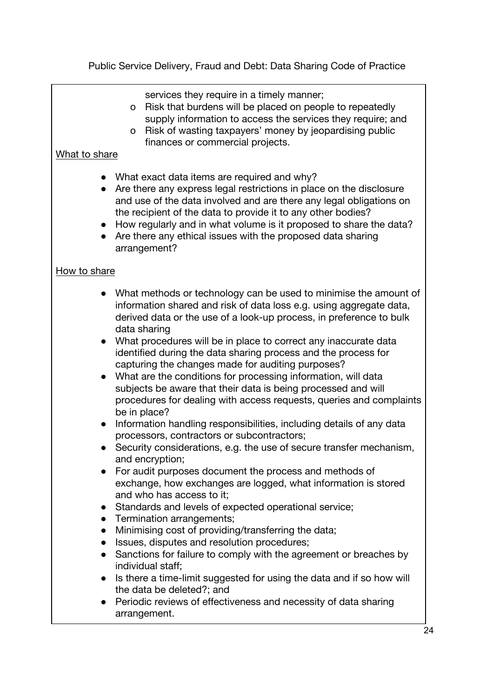services they require in a timely manner;

- o Risk that burdens will be placed on people to repeatedly supply information to access the services they require; and
- o Risk of wasting taxpayers' money by jeopardising public finances or commercial projects.

### What to share

- What exact data items are required and why?
- Are there any express legal restrictions in place on the disclosure and use of the data involved and are there any legal obligations on the recipient of the data to provide it to any other bodies?
- How regularly and in what volume is it proposed to share the data?
- Are there any ethical issues with the proposed data sharing arrangement?

### How to share

- What methods or technology can be used to minimise the amount of information shared and risk of data loss e.g. using aggregate data, derived data or the use of a look-up process, in preference to bulk data sharing
- What procedures will be in place to correct any inaccurate data identified during the data sharing process and the process for capturing the changes made for auditing purposes?
- What are the conditions for processing information, will data subjects be aware that their data is being processed and will procedures for dealing with access requests, queries and complaints be in place?
- Information handling responsibilities, including details of any data processors, contractors or subcontractors;
- Security considerations, e.g. the use of secure transfer mechanism, and encryption;
- For audit purposes document the process and methods of exchange, how exchanges are logged, what information is stored and who has access to it;
- Standards and levels of expected operational service;
- Termination arrangements;
- Minimising cost of providing/transferring the data;
- Issues, disputes and resolution procedures;
- Sanctions for failure to comply with the agreement or breaches by individual staff;
- Is there a time-limit suggested for using the data and if so how will the data be deleted?; and
- Periodic reviews of effectiveness and necessity of data sharing arrangement.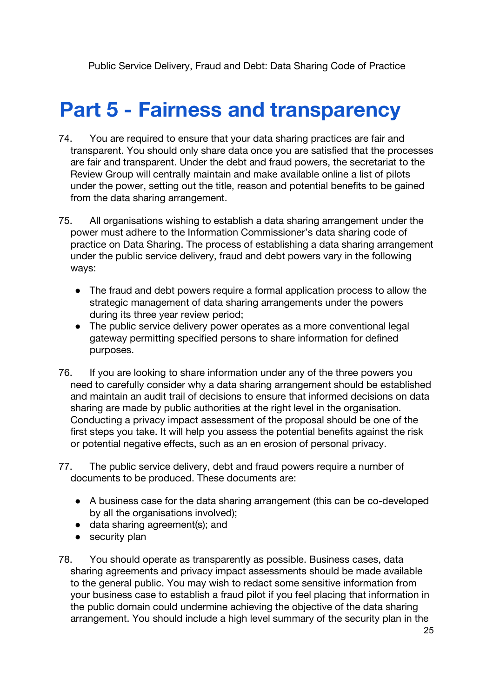# **Part 5 - Fairness and transparency**

- 74. You are required to ensure that your data sharing practices are fair and transparent. You should only share data once you are satisfied that the processes are fair and transparent. Under the debt and fraud powers, the secretariat to the Review Group will centrally maintain and make available online a list of pilots under the power, setting out the title, reason and potential benefits to be gained from the data sharing arrangement.
- 75. All organisations wishing to establish a data sharing arrangement under the power must adhere to the Information Commissioner's data sharing code of practice on Data Sharing. The process of establishing a data sharing arrangement under the public service delivery, fraud and debt powers vary in the following ways:
	- The fraud and debt powers require a formal application process to allow the strategic management of data sharing arrangements under the powers during its three year review period;
	- The public service delivery power operates as a more conventional legal gateway permitting specified persons to share information for defined purposes.
- 76. If you are looking to share information under any of the three powers you need to carefully consider why a data sharing arrangement should be established and maintain an audit trail of decisions to ensure that informed decisions on data sharing are made by public authorities at the right level in the organisation. Conducting a privacy impact assessment of the proposal should be one of the first steps you take. It will help you assess the potential benefits against the risk or potential negative effects, such as an en erosion of personal privacy.
- 77. The public service delivery, debt and fraud powers require a number of documents to be produced. These documents are:
	- A business case for the data sharing arrangement (this can be co-developed by all the organisations involved);
	- data sharing agreement(s); and
	- security plan
- 78. You should operate as transparently as possible. Business cases, data sharing agreements and privacy impact assessments should be made available to the general public. You may wish to redact some sensitive information from your business case to establish a fraud pilot if you feel placing that information in the public domain could undermine achieving the objective of the data sharing arrangement. You should include a high level summary of the security plan in the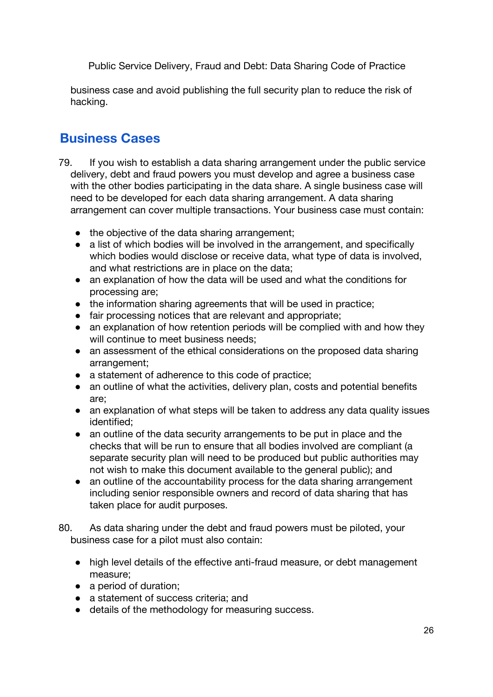business case and avoid publishing the full security plan to reduce the risk of hacking.

# **Business Cases**

- 79. If you wish to establish a data sharing arrangement under the public service delivery, debt and fraud powers you must develop and agree a business case with the other bodies participating in the data share. A single business case will need to be developed for each data sharing arrangement. A data sharing arrangement can cover multiple transactions. Your business case must contain:
	- the objective of the data sharing arrangement:
	- a list of which bodies will be involved in the arrangement, and specifically which bodies would disclose or receive data, what type of data is involved, and what restrictions are in place on the data;
	- an explanation of how the data will be used and what the conditions for processing are;
	- the information sharing agreements that will be used in practice;
	- fair processing notices that are relevant and appropriate;
	- an explanation of how retention periods will be complied with and how they will continue to meet business needs;
	- an assessment of the ethical considerations on the proposed data sharing arrangement;
	- a statement of adherence to this code of practice;
	- an outline of what the activities, delivery plan, costs and potential benefits are;
	- an explanation of what steps will be taken to address any data quality issues identified;
	- an outline of the data security arrangements to be put in place and the checks that will be run to ensure that all bodies involved are compliant (a separate security plan will need to be produced but public authorities may not wish to make this document available to the general public); and
	- an outline of the accountability process for the data sharing arrangement including senior responsible owners and record of data sharing that has taken place for audit purposes.
- 80. As data sharing under the debt and fraud powers must be piloted, your business case for a pilot must also contain:
	- high level details of the effective anti-fraud measure, or debt management measure;
	- a period of duration:
	- a statement of success criteria; and
	- details of the methodology for measuring success.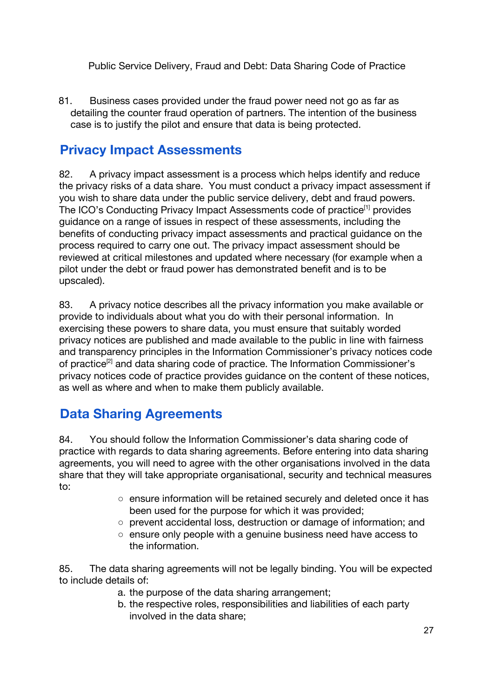81. Business cases provided under the fraud power need not go as far as detailing the counter fraud operation of partners. The intention of the business case is to justify the pilot and ensure that data is being protected.

# **Privacy Impact Assessments**

82. A privacy impact assessment is a process which helps identify and reduce the privacy risks of a data share. You must conduct a privacy impact assessment if you wish to share data under the public service delivery, debt and fraud powers. The ICO's Conducting Privacy Impact Assessments code of practice<sup>[1]</sup> provides guidance on a range of issues in respect of these assessments, including the benefits of conducting privacy impact assessments and practical guidance on the process required to carry one out. The privacy impact assessment should be reviewed at critical milestones and updated where necessary (for example when a pilot under the debt or fraud power has demonstrated benefit and is to be upscaled).

83. A privacy notice describes all the privacy information you make available or provide to individuals about what you do with their personal information. In exercising these powers to share data, you must ensure that suitably worded privacy notices are published and made available to the public in line with fairness and transparency principles in the Information Commissioner's privacy notices code of practice<sup>[2]</sup> and data sharing code of practice. The Information Commissioner's privacy notices code of practice provides guidance on the content of these notices, as well as where and when to make them publicly available.

# **Data Sharing Agreements**

84. You should follow the Information Commissioner's data sharing code of practice with regards to data sharing agreements. Before entering into data sharing agreements, you will need to agree with the other organisations involved in the data share that they will take appropriate organisational, security and technical measures to:

- ensure information will be retained securely and deleted once it has been used for the purpose for which it was provided;
- prevent accidental loss, destruction or damage of information; and
- ensure only people with a genuine business need have access to the information.

85. The data sharing agreements will not be legally binding. You will be expected to include details of:

- a. the purpose of the data sharing arrangement;
- b. the respective roles, responsibilities and liabilities of each party involved in the data share;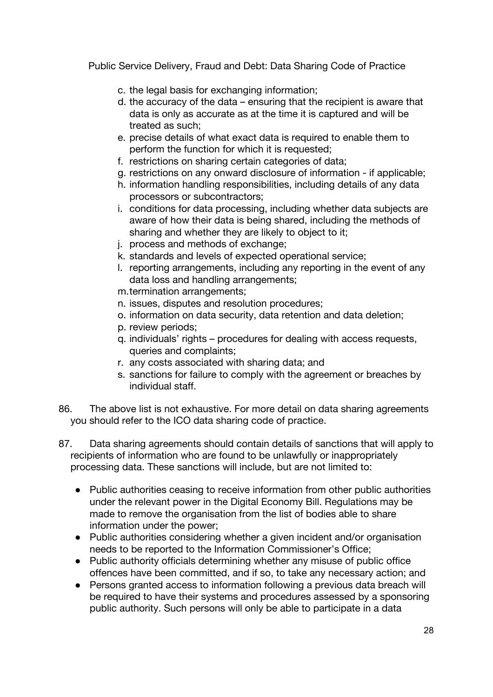- c. the legal basis for exchanging information;
- d. the accuracy of the data ensuring that the recipient is aware that data is only as accurate as at the time it is captured and will be treated as such;
- e. precise details of what exact data is required to enable them to perform the function for which it is requested;
- f. restrictions on sharing certain categories of data;
- g. restrictions on any onward disclosure of information if applicable;
- h. information handling responsibilities, including details of any data processors or subcontractors;
- i. conditions for data processing, including whether data subjects are aware of how their data is being shared, including the methods of sharing and whether they are likely to object to it;
- j. process and methods of exchange;
- k. standards and levels of expected operational service;
- l. reporting arrangements, including any reporting in the event of any data loss and handling arrangements;
- m.termination arrangements;
- n. issues, disputes and resolution procedures;
- o. information on data security, data retention and data deletion;
- p. review periods;
- q. individuals' rights procedures for dealing with access requests, queries and complaints;
- r. any costs associated with sharing data; and
- s. sanctions for failure to comply with the agreement or breaches by individual staff.
- 86. The above list is not exhaustive. For more detail on data sharing agreements you should refer to the ICO data sharing code of practice.
- 87. Data sharing agreements should contain details of sanctions that will apply to recipients of information who are found to be unlawfully or inappropriately processing data. These sanctions will include, but are not limited to:
	- Public authorities ceasing to receive information from other public authorities under the relevant power in the Digital Economy Bill. Regulations may be made to remove the organisation from the list of bodies able to share information under the power;
	- Public authorities considering whether a given incident and/or organisation needs to be reported to the Information Commissioner's Office;
	- Public authority officials determining whether any misuse of public office offences have been committed, and if so, to take any necessary action; and
	- Persons granted access to information following a previous data breach will be required to have their systems and procedures assessed by a sponsoring public authority. Such persons will only be able to participate in a data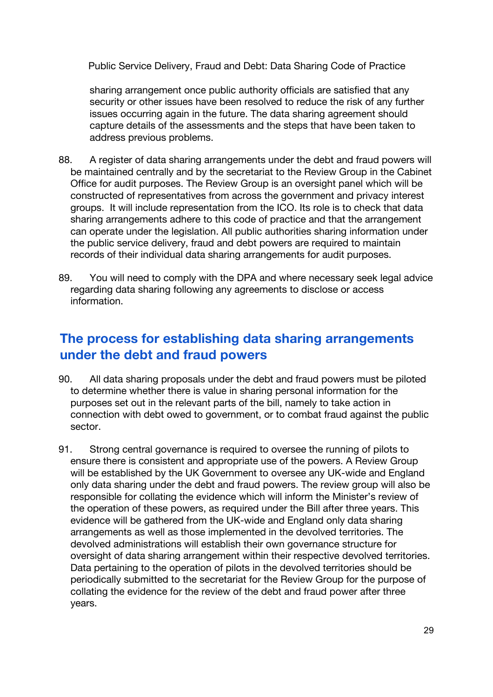sharing arrangement once public authority officials are satisfied that any security or other issues have been resolved to reduce the risk of any further issues occurring again in the future. The data sharing agreement should capture details of the assessments and the steps that have been taken to address previous problems.

- 88. A register of data sharing arrangements under the debt and fraud powers will be maintained centrally and by the secretariat to the Review Group in the Cabinet Office for audit purposes. The Review Group is an oversight panel which will be constructed of representatives from across the government and privacy interest groups. It will include representation from the ICO. Its role is to check that data sharing arrangements adhere to this code of practice and that the arrangement can operate under the legislation. All public authorities sharing information under the public service delivery, fraud and debt powers are required to maintain records of their individual data sharing arrangements for audit purposes.
- 89. You will need to comply with the DPA and where necessary seek legal advice regarding data sharing following any agreements to disclose or access information.

## **The process for establishing data sharing arrangements under the debt and fraud powers**

- 90. All data sharing proposals under the debt and fraud powers must be piloted to determine whether there is value in sharing personal information for the purposes set out in the relevant parts of the bill, namely to take action in connection with debt owed to government, or to combat fraud against the public sector.
- 91. Strong central governance is required to oversee the running of pilots to ensure there is consistent and appropriate use of the powers. A Review Group will be established by the UK Government to oversee any UK-wide and England only data sharing under the debt and fraud powers. The review group will also be responsible for collating the evidence which will inform the Minister's review of the operation of these powers, as required under the Bill after three years. This evidence will be gathered from the UK-wide and England only data sharing arrangements as well as those implemented in the devolved territories. The devolved administrations will establish their own governance structure for oversight of data sharing arrangement within their respective devolved territories. Data pertaining to the operation of pilots in the devolved territories should be periodically submitted to the secretariat for the Review Group for the purpose of collating the evidence for the review of the debt and fraud power after three years.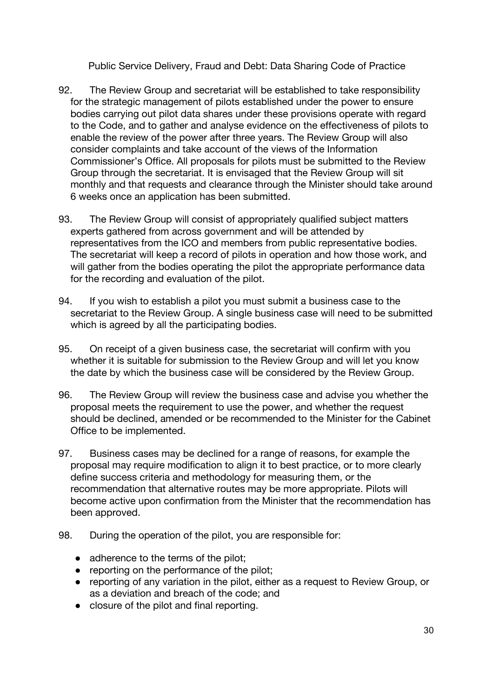- 92. The Review Group and secretariat will be established to take responsibility for the strategic management of pilots established under the power to ensure bodies carrying out pilot data shares under these provisions operate with regard to the Code, and to gather and analyse evidence on the effectiveness of pilots to enable the review of the power after three years. The Review Group will also consider complaints and take account of the views of the Information Commissioner's Office. All proposals for pilots must be submitted to the Review Group through the secretariat. It is envisaged that the Review Group will sit monthly and that requests and clearance through the Minister should take around 6 weeks once an application has been submitted.
- 93. The Review Group will consist of appropriately qualified subject matters experts gathered from across government and will be attended by representatives from the ICO and members from public representative bodies. The secretariat will keep a record of pilots in operation and how those work, and will gather from the bodies operating the pilot the appropriate performance data for the recording and evaluation of the pilot.
- 94. If you wish to establish a pilot you must submit a business case to the secretariat to the Review Group. A single business case will need to be submitted which is agreed by all the participating bodies.
- 95. On receipt of a given business case, the secretariat will confirm with you whether it is suitable for submission to the Review Group and will let you know the date by which the business case will be considered by the Review Group.
- 96. The Review Group will review the business case and advise you whether the proposal meets the requirement to use the power, and whether the request should be declined, amended or be recommended to the Minister for the Cabinet Office to be implemented.
- 97. Business cases may be declined for a range of reasons, for example the proposal may require modification to align it to best practice, or to more clearly define success criteria and methodology for measuring them, or the recommendation that alternative routes may be more appropriate. Pilots will become active upon confirmation from the Minister that the recommendation has been approved.
- 98. During the operation of the pilot, you are responsible for:
	- adherence to the terms of the pilot;
	- reporting on the performance of the pilot;
	- reporting of any variation in the pilot, either as a request to Review Group, or as a deviation and breach of the code; and
	- closure of the pilot and final reporting.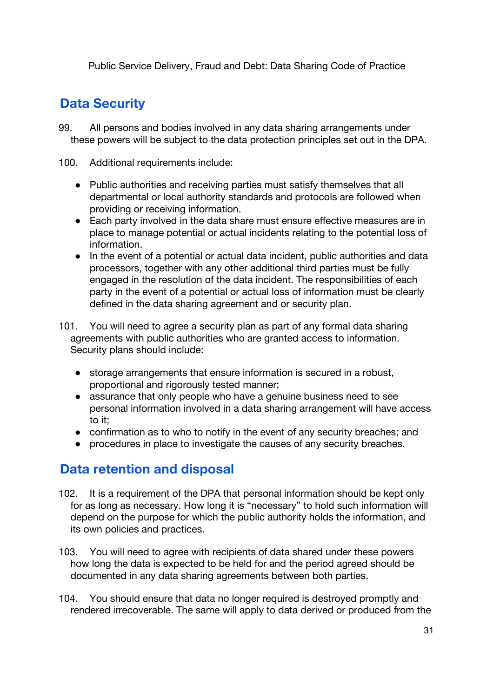# **Data Security**

- 99. All persons and bodies involved in any data sharing arrangements under these powers will be subject to the data protection principles set out in the DPA.
- 100. Additional requirements include:
	- Public authorities and receiving parties must satisfy themselves that all departmental or local authority standards and protocols are followed when providing or receiving information.
	- Each party involved in the data share must ensure effective measures are in place to manage potential or actual incidents relating to the potential loss of information.
	- In the event of a potential or actual data incident, public authorities and data processors, together with any other additional third parties must be fully engaged in the resolution of the data incident. The responsibilities of each party in the event of a potential or actual loss of information must be clearly defined in the data sharing agreement and or security plan.
- 101. You will need to agree a security plan as part of any formal data sharing agreements with public authorities who are granted access to information. Security plans should include:
	- storage arrangements that ensure information is secured in a robust, proportional and rigorously tested manner;
	- assurance that only people who have a genuine business need to see personal information involved in a data sharing arrangement will have access to it;
	- confirmation as to who to notify in the event of any security breaches; and
	- procedures in place to investigate the causes of any security breaches.

## **Data retention and disposal**

- 102. It is a requirement of the DPA that personal information should be kept only for as long as necessary. How long it is "necessary" to hold such information will depend on the purpose for which the public authority holds the information, and its own policies and practices.
- 103. You will need to agree with recipients of data shared under these powers how long the data is expected to be held for and the period agreed should be documented in any data sharing agreements between both parties.
- 104. You should ensure that data no longer required is destroyed promptly and rendered irrecoverable. The same will apply to data derived or produced from the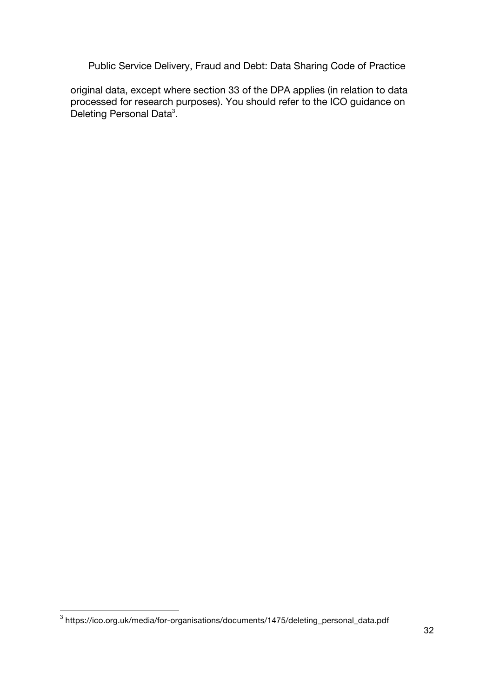original data, except where section 33 of the DPA applies (in relation to data processed for research purposes). You should refer to the ICO guidance on Deleting Personal Data<sup>3</sup>.

<sup>3&</sup>lt;br>3 https://ico.org.uk/media/for-organisations/documents/1475/deleting\_personal\_data.pdf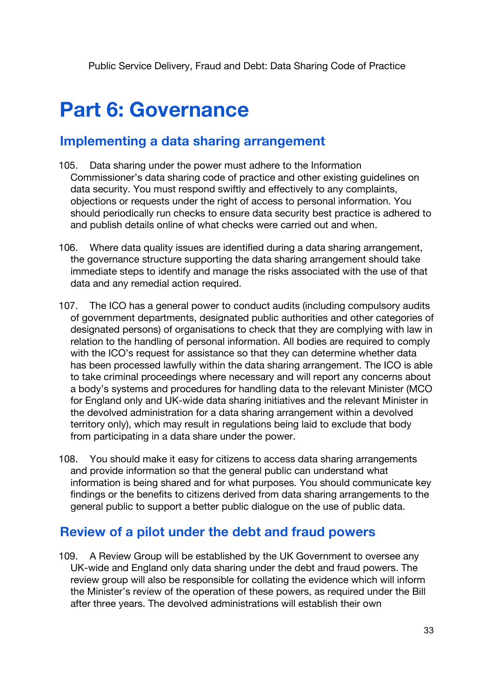# **Part 6: Governance**

## **Implementing a data sharing arrangement**

- 105. Data sharing under the power must adhere to the Information Commissioner's data sharing code of practice and other existing guidelines on data security. You must respond swiftly and effectively to any complaints, objections or requests under the right of access to personal information. You should periodically run checks to ensure data security best practice is adhered to and publish details online of what checks were carried out and when.
- 106. Where data quality issues are identified during a data sharing arrangement, the governance structure supporting the data sharing arrangement should take immediate steps to identify and manage the risks associated with the use of that data and any remedial action required.
- 107. The ICO has a general power to conduct audits (including compulsory audits of government departments, designated public authorities and other categories of designated persons) of organisations to check that they are complying with law in relation to the handling of personal information. All bodies are required to comply with the ICO's request for assistance so that they can determine whether data has been processed lawfully within the data sharing arrangement. The ICO is able to take criminal proceedings where necessary and will report any concerns about a body's systems and procedures for handling data to the relevant Minister (MCO for England only and UK-wide data sharing initiatives and the relevant Minister in the devolved administration for a data sharing arrangement within a devolved territory only), which may result in regulations being laid to exclude that body from participating in a data share under the power.
- 108. You should make it easy for citizens to access data sharing arrangements and provide information so that the general public can understand what information is being shared and for what purposes. You should communicate key findings or the benefits to citizens derived from data sharing arrangements to the general public to support a better public dialogue on the use of public data.

## **Review of a pilot under the debt and fraud powers**

109. A Review Group will be established by the UK Government to oversee any UK-wide and England only data sharing under the debt and fraud powers. The review group will also be responsible for collating the evidence which will inform the Minister's review of the operation of these powers, as required under the Bill after three years. The devolved administrations will establish their own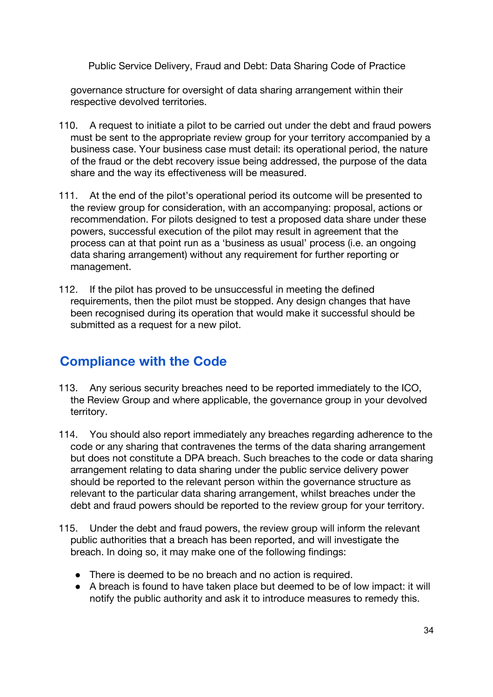governance structure for oversight of data sharing arrangement within their respective devolved territories.

- 110. A request to initiate a pilot to be carried out under the debt and fraud powers must be sent to the appropriate review group for your territory accompanied by a business case. Your business case must detail: its operational period, the nature of the fraud or the debt recovery issue being addressed, the purpose of the data share and the way its effectiveness will be measured.
- 111. At the end of the pilot's operational period its outcome will be presented to the review group for consideration, with an accompanying: proposal, actions or recommendation. For pilots designed to test a proposed data share under these powers, successful execution of the pilot may result in agreement that the process can at that point run as a 'business as usual' process (i.e. an ongoing data sharing arrangement) without any requirement for further reporting or management.
- 112. If the pilot has proved to be unsuccessful in meeting the defined requirements, then the pilot must be stopped. Any design changes that have been recognised during its operation that would make it successful should be submitted as a request for a new pilot.

## **Compliance with the Code**

- 113. Any serious security breaches need to be reported immediately to the ICO, the Review Group and where applicable, the governance group in your devolved territory.
- 114. You should also report immediately any breaches regarding adherence to the code or any sharing that contravenes the terms of the data sharing arrangement but does not constitute a DPA breach. Such breaches to the code or data sharing arrangement relating to data sharing under the public service delivery power should be reported to the relevant person within the governance structure as relevant to the particular data sharing arrangement, whilst breaches under the debt and fraud powers should be reported to the review group for your territory.
- 115. Under the debt and fraud powers, the review group will inform the relevant public authorities that a breach has been reported, and will investigate the breach. In doing so, it may make one of the following findings:
	- There is deemed to be no breach and no action is required.
	- A breach is found to have taken place but deemed to be of low impact: it will notify the public authority and ask it to introduce measures to remedy this.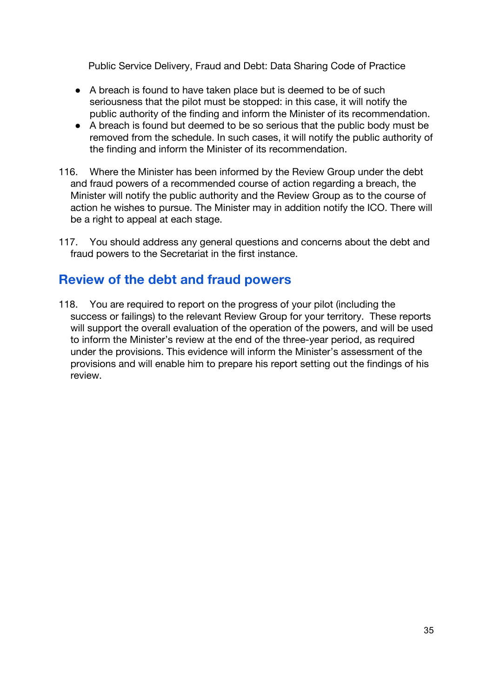- A breach is found to have taken place but is deemed to be of such seriousness that the pilot must be stopped: in this case, it will notify the public authority of the finding and inform the Minister of its recommendation.
- A breach is found but deemed to be so serious that the public body must be removed from the schedule. In such cases, it will notify the public authority of the finding and inform the Minister of its recommendation.
- 116. Where the Minister has been informed by the Review Group under the debt and fraud powers of a recommended course of action regarding a breach, the Minister will notify the public authority and the Review Group as to the course of action he wishes to pursue. The Minister may in addition notify the ICO. There will be a right to appeal at each stage.
- 117. You should address any general questions and concerns about the debt and fraud powers to the Secretariat in the first instance.

## **Review of the debt and fraud powers**

118. You are required to report on the progress of your pilot (including the success or failings) to the relevant Review Group for your territory. These reports will support the overall evaluation of the operation of the powers, and will be used to inform the Minister's review at the end of the three-year period, as required under the provisions. This evidence will inform the Minister's assessment of the provisions and will enable him to prepare his report setting out the findings of his review.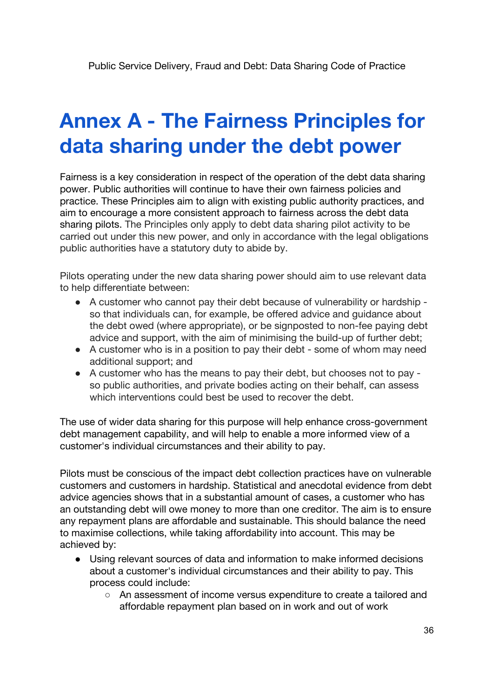# **Annex A - The Fairness Principles for data sharing under the debt power**

Fairness is a key consideration in respect of the operation of the debt data sharing power. Public authorities will continue to have their own fairness policies and practice. These Principles aim to align with existing public authority practices, and aim to encourage a more consistent approach to fairness across the debt data sharing pilots. The Principles only apply to debt data sharing pilot activity to be carried out under this new power, and only in accordance with the legal obligations public authorities have a statutory duty to abide by.

Pilots operating under the new data sharing power should aim to use relevant data to help differentiate between:

- A customer who cannot pay their debt because of vulnerability or hardship so that individuals can, for example, be offered advice and guidance about the debt owed (where appropriate), or be signposted to non-fee paying debt advice and support, with the aim of minimising the build-up of further debt;
- A customer who is in a position to pay their debt some of whom may need additional support; and
- A customer who has the means to pay their debt, but chooses not to pay so public authorities, and private bodies acting on their behalf, can assess which interventions could best be used to recover the debt.

The use of wider data sharing for this purpose will help enhance cross-government debt management capability, and will help to enable a more informed view of a customer's individual circumstances and their ability to pay.

Pilots must be conscious of the impact debt collection practices have on vulnerable customers and customers in hardship. Statistical and anecdotal evidence from debt advice agencies shows that in a substantial amount of cases, a customer who has an outstanding debt will owe money to more than one creditor. The aim is to ensure any repayment plans are affordable and sustainable. This should balance the need to maximise collections, while taking affordability into account. This may be achieved by:

- Using relevant sources of data and information to make informed decisions about a customer's individual circumstances and their ability to pay. This process could include:
	- An assessment of income versus expenditure to create a tailored and affordable repayment plan based on in work and out of work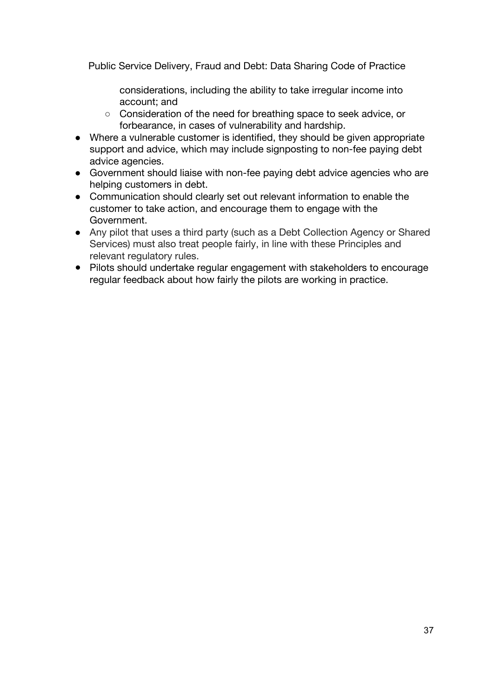considerations, including the ability to take irregular income into account; and

- Consideration of the need for breathing space to seek advice, or forbearance, in cases of vulnerability and hardship.
- Where a vulnerable customer is identified, they should be given appropriate support and advice, which may include signposting to non-fee paying debt advice agencies.
- Government should liaise with non-fee paying debt advice agencies who are helping customers in debt.
- Communication should clearly set out relevant information to enable the customer to take action, and encourage them to engage with the Government.
- Any pilot that uses a third party (such as a Debt Collection Agency or Shared Services) must also treat people fairly, in line with these Principles and relevant regulatory rules.
- Pilots should undertake regular engagement with stakeholders to encourage regular feedback about how fairly the pilots are working in practice.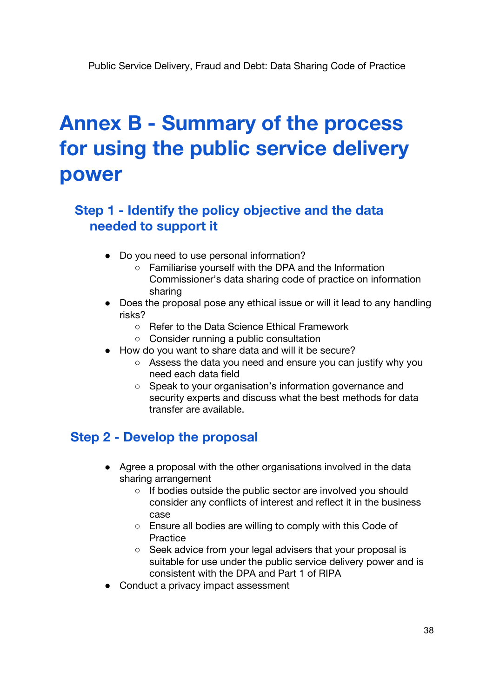# **Annex B - Summary of the process for using the public service delivery power**

# **Step 1 - Identify the policy objective and the data needed to support it**

- Do you need to use personal information?
	- Familiarise yourself with the DPA and the Information Commissioner's data sharing code of practice on information sharing
- Does the proposal pose any ethical issue or will it lead to any handling risks?
	- Refer to the Data Science Ethical Framework
	- Consider running a public consultation
- How do you want to share data and will it be secure?
	- Assess the data you need and ensure you can justify why you need each data field
	- Speak to your organisation's information governance and security experts and discuss what the best methods for data transfer are available.

## **Step 2 - Develop the proposal**

- Agree a proposal with the other organisations involved in the data sharing arrangement
	- If bodies outside the public sector are involved you should consider any conflicts of interest and reflect it in the business case
	- Ensure all bodies are willing to comply with this Code of Practice
	- Seek advice from your legal advisers that your proposal is suitable for use under the public service delivery power and is consistent with the DPA and Part 1 of RIPA
- Conduct a privacy impact assessment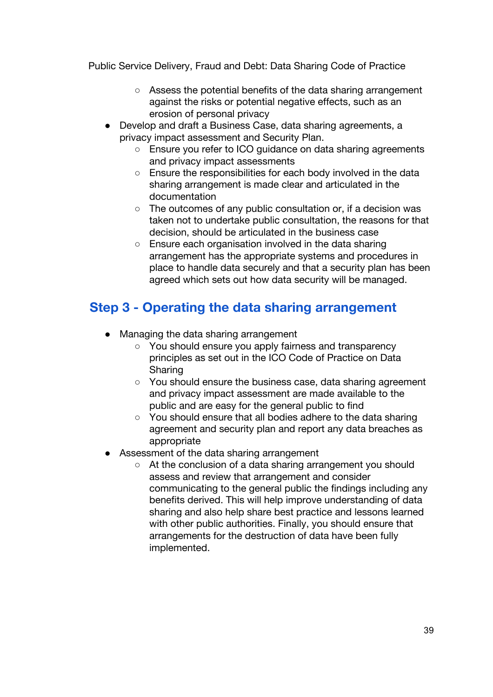- Assess the potential benefits of the data sharing arrangement against the risks or potential negative effects, such as an erosion of personal privacy
- Develop and draft a Business Case, data sharing agreements, a privacy impact assessment and Security Plan.
	- Ensure you refer to ICO quidance on data sharing agreements and privacy impact assessments
	- Ensure the responsibilities for each body involved in the data sharing arrangement is made clear and articulated in the documentation
	- $\circ$  The outcomes of any public consultation or, if a decision was taken not to undertake public consultation, the reasons for that decision, should be articulated in the business case
	- Ensure each organisation involved in the data sharing arrangement has the appropriate systems and procedures in place to handle data securely and that a security plan has been agreed which sets out how data security will be managed.

# **Step 3 - Operating the data sharing arrangement**

- Managing the data sharing arrangement
	- You should ensure you apply fairness and transparency principles as set out in the ICO Code of Practice on Data Sharing
	- You should ensure the business case, data sharing agreement and privacy impact assessment are made available to the public and are easy for the general public to find
	- You should ensure that all bodies adhere to the data sharing agreement and security plan and report any data breaches as appropriate
- **B** Assessment of the data sharing arrangement
	- At the conclusion of a data sharing arrangement you should assess and review that arrangement and consider communicating to the general public the findings including any benefits derived. This will help improve understanding of data sharing and also help share best practice and lessons learned with other public authorities. Finally, you should ensure that arrangements for the destruction of data have been fully implemented.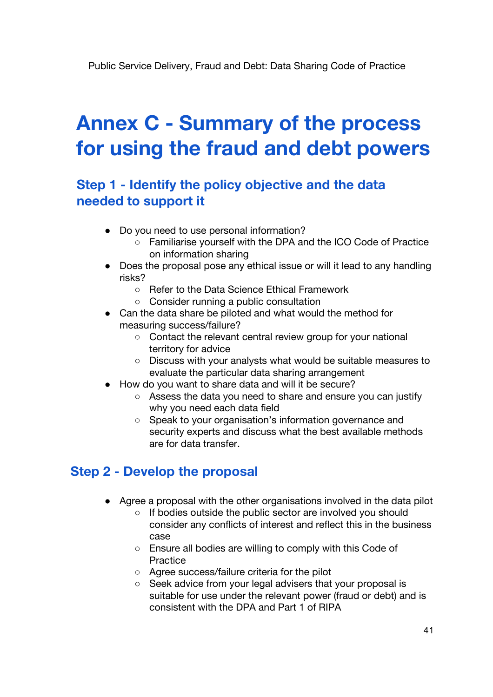# **Annex C - Summary of the process for using the fraud and debt powers**

## **Step 1 - Identify the policy objective and the data needed to support it**

- Do you need to use personal information?
	- Familiarise yourself with the DPA and the ICO Code of Practice on information sharing
- Does the proposal pose any ethical issue or will it lead to any handling risks?
	- Refer to the Data Science Ethical Framework
	- Consider running a public consultation
- Can the data share be piloted and what would the method for measuring success/failure?
	- Contact the relevant central review group for your national territory for advice
	- Discuss with your analysts what would be suitable measures to evaluate the particular data sharing arrangement
- How do you want to share data and will it be secure?
	- Assess the data you need to share and ensure you can justify why you need each data field
	- Speak to your organisation's information governance and security experts and discuss what the best available methods are for data transfer.

### **Step 2 - Develop the proposal**

- Agree a proposal with the other organisations involved in the data pilot
	- If bodies outside the public sector are involved you should consider any conflicts of interest and reflect this in the business case
	- Ensure all bodies are willing to comply with this Code of **Practice**
	- Agree success/failure criteria for the pilot
	- Seek advice from your legal advisers that your proposal is suitable for use under the relevant power (fraud or debt) and is consistent with the DPA and Part 1 of RIPA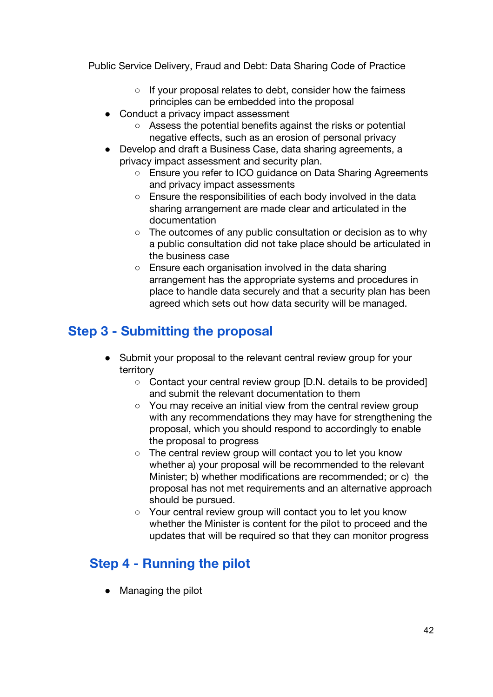- If your proposal relates to debt, consider how the fairness principles can be embedded into the proposal
- Conduct a privacy impact assessment
	- Assess the potential benefits against the risks or potential negative effects, such as an erosion of personal privacy
- Develop and draft a Business Case, data sharing agreements, a privacy impact assessment and security plan.
	- Ensure you refer to ICO guidance on Data Sharing Agreements and privacy impact assessments
	- Ensure the responsibilities of each body involved in the data sharing arrangement are made clear and articulated in the documentation
	- The outcomes of any public consultation or decision as to why a public consultation did not take place should be articulated in the business case
	- Ensure each organisation involved in the data sharing arrangement has the appropriate systems and procedures in place to handle data securely and that a security plan has been agreed which sets out how data security will be managed.

# **Step 3 - Submitting the proposal**

- Submit your proposal to the relevant central review group for your territory
	- Contact your central review group [D.N. details to be provided] and submit the relevant documentation to them
	- You may receive an initial view from the central review group with any recommendations they may have for strengthening the proposal, which you should respond to accordingly to enable the proposal to progress
	- The central review group will contact you to let you know whether a) your proposal will be recommended to the relevant Minister; b) whether modifications are recommended; or c) the proposal has not met requirements and an alternative approach should be pursued.
	- Your central review group will contact you to let you know whether the Minister is content for the pilot to proceed and the updates that will be required so that they can monitor progress

# **Step 4 - Running the pilot**

● Managing the pilot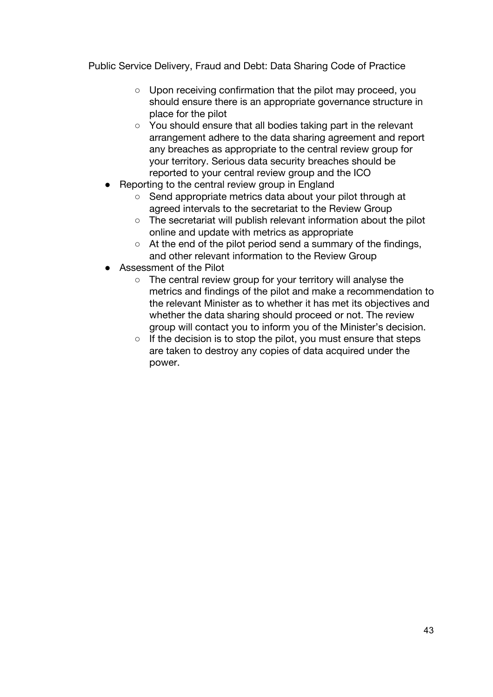- Upon receiving confirmation that the pilot may proceed, you should ensure there is an appropriate governance structure in place for the pilot
- You should ensure that all bodies taking part in the relevant arrangement adhere to the data sharing agreement and report any breaches as appropriate to the central review group for your territory. Serious data security breaches should be reported to your central review group and the ICO
- Reporting to the central review group in England
	- Send appropriate metrics data about your pilot through at agreed intervals to the secretariat to the Review Group
	- The secretariat will publish relevant information about the pilot online and update with metrics as appropriate
	- At the end of the pilot period send a summary of the findings, and other relevant information to the Review Group
- Assessment of the Pilot
	- The central review group for your territory will analyse the metrics and findings of the pilot and make a recommendation to the relevant Minister as to whether it has met its objectives and whether the data sharing should proceed or not. The review group will contact you to inform you of the Minister's decision.
	- If the decision is to stop the pilot, you must ensure that steps are taken to destroy any copies of data acquired under the power.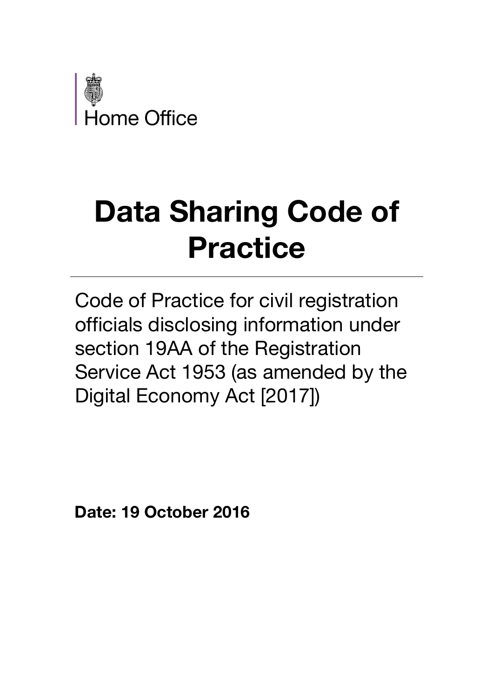

# **Data Sharing Code of Practice**

Code of Practice for civil registration officials disclosing information under section 19AA of the Registration Service Act 1953 (as amended by the Digital Economy Act [2017])

**Date: 19 October 2016**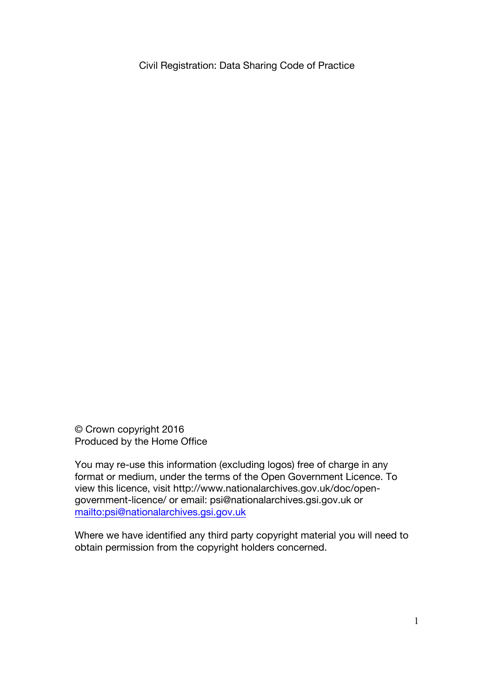© Crown copyright 2016 Produced by the Home Office

You may re-use this information (excluding logos) free of charge in any format or medium, under the terms of the Open Government Licence. To view this licence, visit http://www.nationalarchives.gov.uk/doc/opengovernment-licence/ or email: psi@nationalarchives.gsi.gov.uk or mailto:psi@nationalarchives.gsi.gov.uk

Where we have identified any third party copyright material you will need to obtain permission from the copyright holders concerned.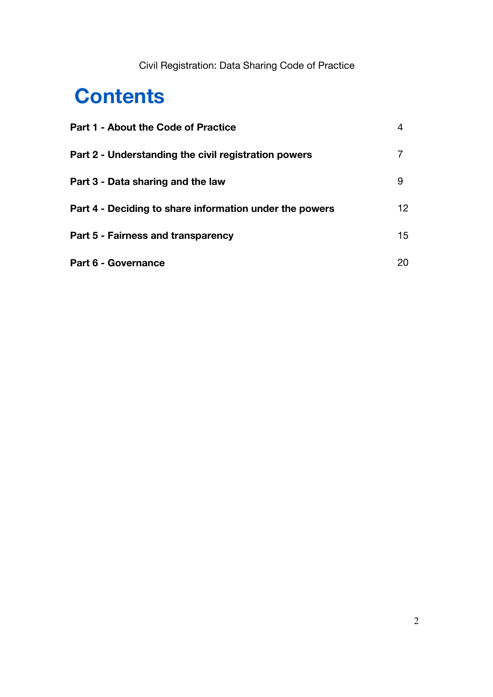# **Contents**

| <b>Part 1 - About the Code of Practice</b>              |    |
|---------------------------------------------------------|----|
| Part 2 - Understanding the civil registration powers    |    |
| Part 3 - Data sharing and the law                       | 9  |
| Part 4 - Deciding to share information under the powers | 12 |
| Part 5 - Fairness and transparency                      | 15 |
| Part 6 - Governance                                     | 20 |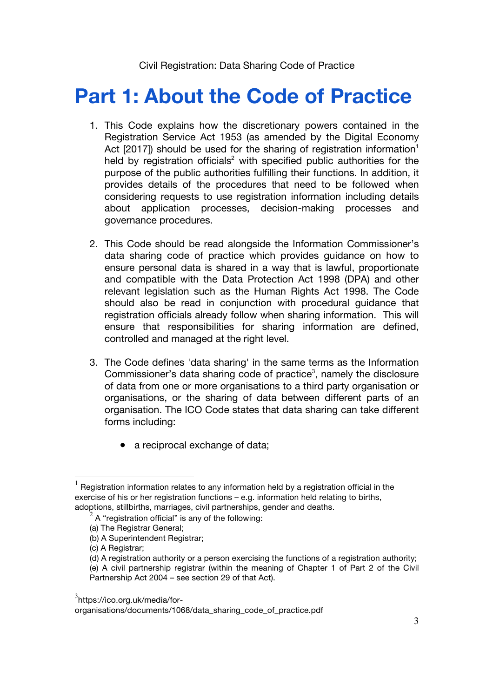# **Part 1: About the Code of Practice**

- 1. This Code explains how the discretionary powers contained in the Registration Service Act 1953 (as amended by the Digital Economy Act  $[2017]$ ) should be used for the sharing of registration information<sup>1</sup> held by registration officials<sup>2</sup> with specified public authorities for the purpose of the public authorities fulfilling their functions. In addition, it provides details of the procedures that need to be followed when considering requests to use registration information including details about application processes, decision-making processes and governance procedures.
- 2. This Code should be read alongside the Information Commissioner's data sharing code of practice which provides guidance on how to ensure personal data is shared in a way that is lawful, proportionate and compatible with the Data Protection Act 1998 (DPA) and other relevant legislation such as the Human Rights Act 1998. The Code should also be read in conjunction with procedural guidance that registration officials already follow when sharing information. This will ensure that responsibilities for sharing information are defined, controlled and managed at the right level.
- 3. The Code defines 'data sharing' in the same terms as the Information Commissioner's data sharing code of practice<sup>3</sup>, namely the disclosure of data from one or more organisations to a third party organisation or organisations, or the sharing of data between different parts of an organisation. The ICO Code states that data sharing can take different forms including:
	- a reciprocal exchange of data;

 $<sup>1</sup>$  Registration information relates to any information held by a registration official in the</sup> exercise of his or her registration functions – e.g. information held relating to births, adoptions, stillbirths, marriages, civil partnerships, gender and deaths.

 $^2$  A "registration official" is any of the following:

<sup>(</sup>a) The Registrar General;

<sup>(</sup>b) A Superintendent Registrar;

<sup>(</sup>c) A Registrar;

<sup>(</sup>d) A registration authority or a person exercising the functions of a registration authority; (e) A civil partnership registrar (within the meaning of Chapter 1 of Part 2 of the Civil Partnership Act 2004 – see section 29 of that Act).

<sup>&</sup>lt;sup>3</sup>https://ico.org.uk/media/for-

organisations/documents/1068/data\_sharing\_code\_of\_practice.pdf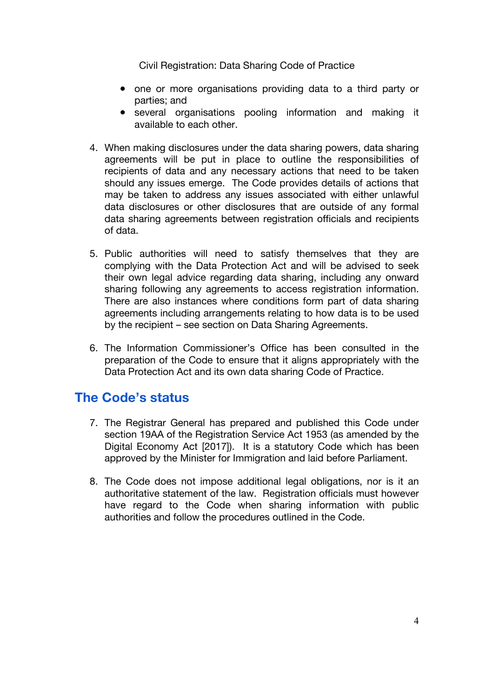- one or more organisations providing data to a third party or parties; and
- several organisations pooling information and making it available to each other.
- 4. When making disclosures under the data sharing powers, data sharing agreements will be put in place to outline the responsibilities of recipients of data and any necessary actions that need to be taken should any issues emerge. The Code provides details of actions that may be taken to address any issues associated with either unlawful data disclosures or other disclosures that are outside of any formal data sharing agreements between registration officials and recipients of data.
- 5. Public authorities will need to satisfy themselves that they are complying with the Data Protection Act and will be advised to seek their own legal advice regarding data sharing, including any onward sharing following any agreements to access registration information. There are also instances where conditions form part of data sharing agreements including arrangements relating to how data is to be used by the recipient – see section on Data Sharing Agreements.
- 6. The Information Commissioner's Office has been consulted in the preparation of the Code to ensure that it aligns appropriately with the Data Protection Act and its own data sharing Code of Practice.

## **The Code's status**

- 7. The Registrar General has prepared and published this Code under section 19AA of the Registration Service Act 1953 (as amended by the Digital Economy Act [2017]). It is a statutory Code which has been approved by the Minister for Immigration and laid before Parliament.
- 8. The Code does not impose additional legal obligations, nor is it an authoritative statement of the law. Registration officials must however have regard to the Code when sharing information with public authorities and follow the procedures outlined in the Code.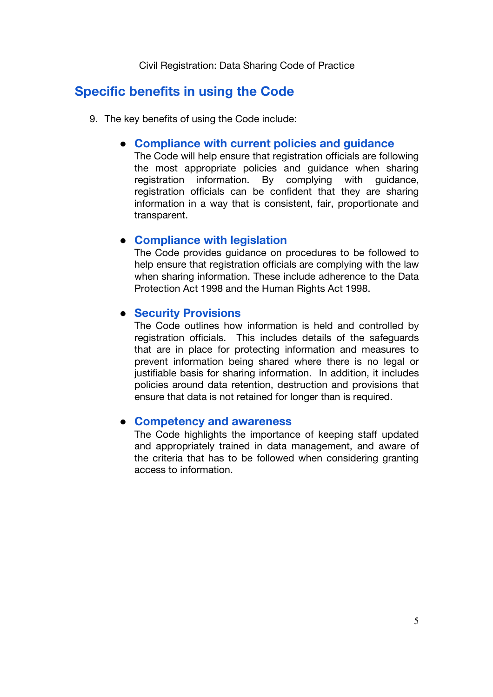## **Specific benefits in using the Code**

- 9. The key benefits of using the Code include:
	- **Compliance with current policies and guidance**

The Code will help ensure that registration officials are following the most appropriate policies and guidance when sharing registration information. By complying with guidance, registration officials can be confident that they are sharing information in a way that is consistent, fair, proportionate and transparent.

### ● **Compliance with legislation**

The Code provides guidance on procedures to be followed to help ensure that registration officials are complying with the law when sharing information. These include adherence to the Data Protection Act 1998 and the Human Rights Act 1998.

### ● **Security Provisions**

The Code outlines how information is held and controlled by registration officials. This includes details of the safeguards that are in place for protecting information and measures to prevent information being shared where there is no legal or justifiable basis for sharing information. In addition, it includes policies around data retention, destruction and provisions that ensure that data is not retained for longer than is required.

### ● **Competency and awareness**

The Code highlights the importance of keeping staff updated and appropriately trained in data management, and aware of the criteria that has to be followed when considering granting access to information.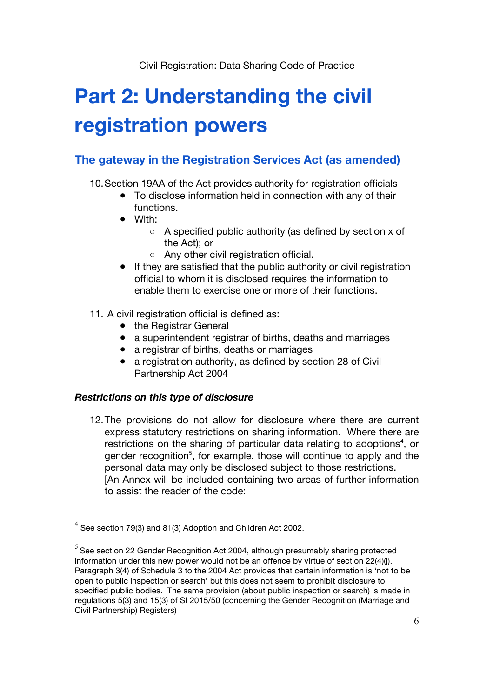# **Part 2: Understanding the civil registration powers**

### **The gateway in the Registration Services Act (as amended)**

10.Section 19AA of the Act provides authority for registration officials

- To disclose information held in connection with any of their functions.
- With:
	- A specified public authority (as defined by section x of the Act); or
	- Any other civil registration official.
- If they are satisfied that the public authority or civil registration official to whom it is disclosed requires the information to enable them to exercise one or more of their functions.
- 11. A civil registration official is defined as:
	- the Registrar General
	- a superintendent registrar of births, deaths and marriages
	- a registrar of births, deaths or marriages
	- a registration authority, as defined by section 28 of Civil Partnership Act 2004

### *Restrictions on this type of disclosure*

12.The provisions do not allow for disclosure where there are current express statutory restrictions on sharing information. Where there are restrictions on the sharing of particular data relating to adoptions<sup>4</sup>, or gender recognition<sup>5</sup>, for example, those will continue to apply and the personal data may only be disclosed subject to those restrictions. [An Annex will be included containing two areas of further information to assist the reader of the code:

 $4$  See section 79(3) and 81(3) Adoption and Children Act 2002.

 $5$  See section 22 Gender Recognition Act 2004, although presumably sharing protected information under this new power would not be an offence by virtue of section 22(4)(j). Paragraph 3(4) of Schedule 3 to the 2004 Act provides that certain information is 'not to be open to public inspection or search' but this does not seem to prohibit disclosure to specified public bodies. The same provision (about public inspection or search) is made in regulations 5(3) and 15(3) of SI 2015/50 (concerning the Gender Recognition (Marriage and Civil Partnership) Registers)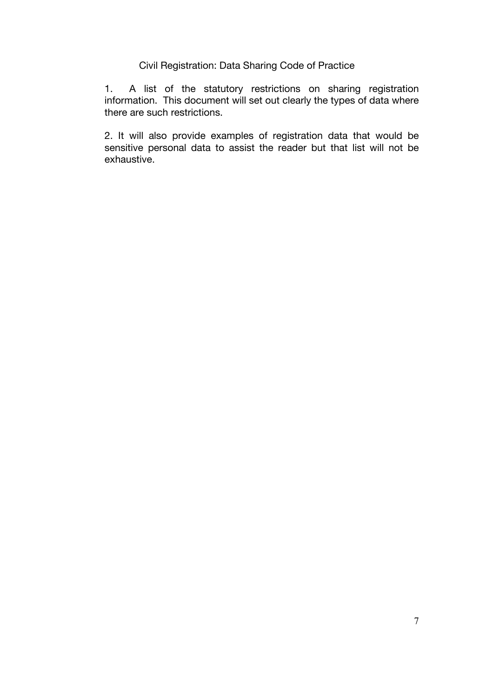1. A list of the statutory restrictions on sharing registration information. This document will set out clearly the types of data where there are such restrictions.

2. It will also provide examples of registration data that would be sensitive personal data to assist the reader but that list will not be exhaustive.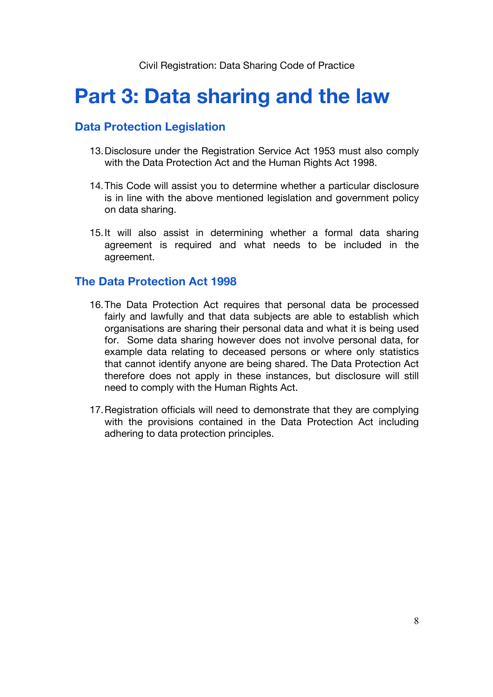# **Part 3: Data sharing and the law**

### **Data Protection Legislation**

- 13.Disclosure under the Registration Service Act 1953 must also comply with the Data Protection Act and the Human Rights Act 1998.
- 14.This Code will assist you to determine whether a particular disclosure is in line with the above mentioned legislation and government policy on data sharing.
- 15.It will also assist in determining whether a formal data sharing agreement is required and what needs to be included in the agreement.

### **The Data Protection Act 1998**

- 16.The Data Protection Act requires that personal data be processed fairly and lawfully and that data subjects are able to establish which organisations are sharing their personal data and what it is being used for. Some data sharing however does not involve personal data, for example data relating to deceased persons or where only statistics that cannot identify anyone are being shared. The Data Protection Act therefore does not apply in these instances, but disclosure will still need to comply with the Human Rights Act.
- 17.Registration officials will need to demonstrate that they are complying with the provisions contained in the Data Protection Act including adhering to data protection principles.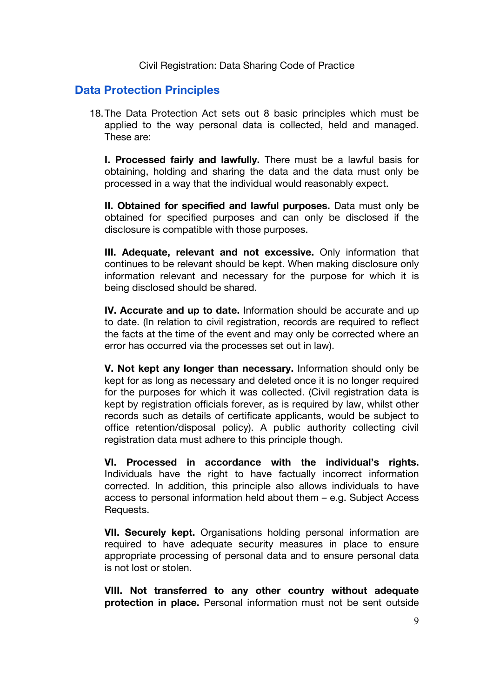### **Data Protection Principles**

18.The Data Protection Act sets out 8 basic principles which must be applied to the way personal data is collected, held and managed. These are:

**I. Processed fairly and lawfully.** There must be a lawful basis for obtaining, holding and sharing the data and the data must only be processed in a way that the individual would reasonably expect.

**II. Obtained for specified and lawful purposes.** Data must only be obtained for specified purposes and can only be disclosed if the disclosure is compatible with those purposes.

**III. Adequate, relevant and not excessive.** Only information that continues to be relevant should be kept. When making disclosure only information relevant and necessary for the purpose for which it is being disclosed should be shared.

**IV. Accurate and up to date.** Information should be accurate and up to date. (In relation to civil registration, records are required to reflect the facts at the time of the event and may only be corrected where an error has occurred via the processes set out in law).

**V. Not kept any longer than necessary.** Information should only be kept for as long as necessary and deleted once it is no longer required for the purposes for which it was collected. (Civil registration data is kept by registration officials forever, as is required by law, whilst other records such as details of certificate applicants, would be subject to office retention/disposal policy). A public authority collecting civil registration data must adhere to this principle though.

**VI. Processed in accordance with the individual's rights.** Individuals have the right to have factually incorrect information corrected. In addition, this principle also allows individuals to have access to personal information held about them – e.g. Subject Access Requests.

**VII. Securely kept.** Organisations holding personal information are required to have adequate security measures in place to ensure appropriate processing of personal data and to ensure personal data is not lost or stolen.

**VIII. Not transferred to any other country without adequate protection in place.** Personal information must not be sent outside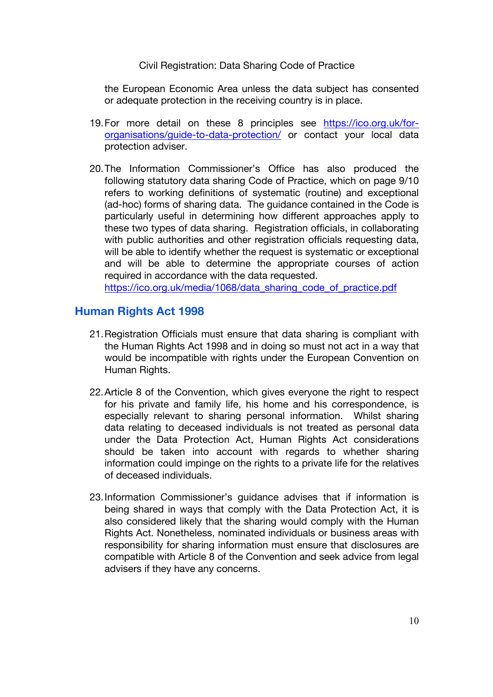the European Economic Area unless the data subject has consented or adequate protection in the receiving country is in place.

- 19.For more detail on these 8 principles see https://ico.org.uk/fororganisations/guide-to-data-protection/ or contact your local data protection adviser.
- 20.The Information Commissioner's Office has also produced the following statutory data sharing Code of Practice, which on page 9/10 refers to working definitions of systematic (routine) and exceptional (ad-hoc) forms of sharing data. The guidance contained in the Code is particularly useful in determining how different approaches apply to these two types of data sharing. Registration officials, in collaborating with public authorities and other registration officials requesting data, will be able to identify whether the request is systematic or exceptional and will be able to determine the appropriate courses of action required in accordance with the data requested.

https://ico.org.uk/media/1068/data\_sharing\_code\_of\_practice.pdf

### **Human Rights Act 1998**

- 21.Registration Officials must ensure that data sharing is compliant with the Human Rights Act 1998 and in doing so must not act in a way that would be incompatible with rights under the European Convention on Human Rights.
- 22.Article 8 of the Convention, which gives everyone the right to respect for his private and family life, his home and his correspondence, is especially relevant to sharing personal information. Whilst sharing data relating to deceased individuals is not treated as personal data under the Data Protection Act, Human Rights Act considerations should be taken into account with regards to whether sharing information could impinge on the rights to a private life for the relatives of deceased individuals.
- 23.Information Commissioner's guidance advises that if information is being shared in ways that comply with the Data Protection Act, it is also considered likely that the sharing would comply with the Human Rights Act. Nonetheless, nominated individuals or business areas with responsibility for sharing information must ensure that disclosures are compatible with Article 8 of the Convention and seek advice from legal advisers if they have any concerns.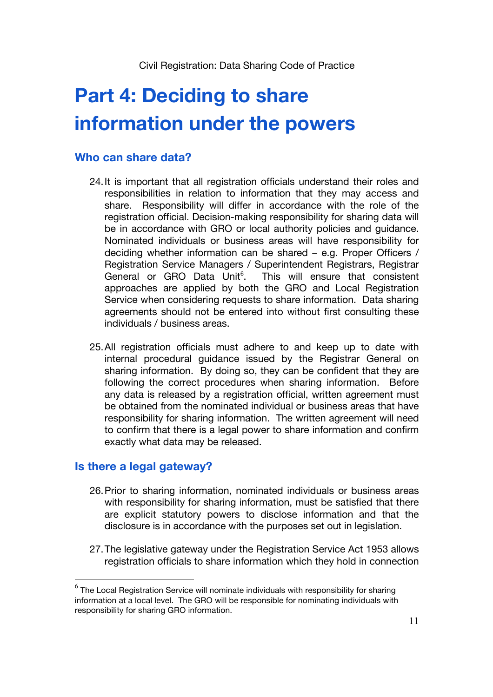# **Part 4: Deciding to share information under the powers**

### **Who can share data?**

- 24.It is important that all registration officials understand their roles and responsibilities in relation to information that they may access and share. Responsibility will differ in accordance with the role of the registration official. Decision-making responsibility for sharing data will be in accordance with GRO or local authority policies and guidance. Nominated individuals or business areas will have responsibility for deciding whether information can be shared – e.g. Proper Officers / Registration Service Managers / Superintendent Registrars, Registrar General or GRO Data Unit<sup>6</sup>. . This will ensure that consistent approaches are applied by both the GRO and Local Registration Service when considering requests to share information. Data sharing agreements should not be entered into without first consulting these individuals / business areas.
- 25.All registration officials must adhere to and keep up to date with internal procedural guidance issued by the Registrar General on sharing information. By doing so, they can be confident that they are following the correct procedures when sharing information. Before any data is released by a registration official, written agreement must be obtained from the nominated individual or business areas that have responsibility for sharing information. The written agreement will need to confirm that there is a legal power to share information and confirm exactly what data may be released.

### **Is there a legal gateway?**

- 26.Prior to sharing information, nominated individuals or business areas with responsibility for sharing information, must be satisfied that there are explicit statutory powers to disclose information and that the disclosure is in accordance with the purposes set out in legislation.
- 27.The legislative gateway under the Registration Service Act 1953 allows registration officials to share information which they hold in connection

 $6$  The Local Registration Service will nominate individuals with responsibility for sharing information at a local level. The GRO will be responsible for nominating individuals with responsibility for sharing GRO information.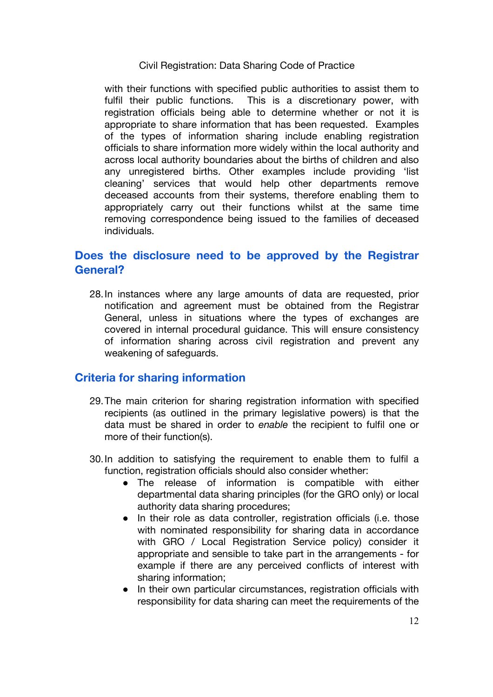with their functions with specified public authorities to assist them to fulfil their public functions. This is a discretionary power, with registration officials being able to determine whether or not it is appropriate to share information that has been requested. Examples of the types of information sharing include enabling registration officials to share information more widely within the local authority and across local authority boundaries about the births of children and also any unregistered births. Other examples include providing 'list cleaning' services that would help other departments remove deceased accounts from their systems, therefore enabling them to appropriately carry out their functions whilst at the same time removing correspondence being issued to the families of deceased individuals.

### **Does the disclosure need to be approved by the Registrar General?**

28.In instances where any large amounts of data are requested, prior notification and agreement must be obtained from the Registrar General, unless in situations where the types of exchanges are covered in internal procedural guidance. This will ensure consistency of information sharing across civil registration and prevent any weakening of safeguards.

### **Criteria for sharing information**

- 29.The main criterion for sharing registration information with specified recipients (as outlined in the primary legislative powers) is that the data must be shared in order to *enable* the recipient to fulfil one or more of their function(s).
- 30.In addition to satisfying the requirement to enable them to fulfil a function, registration officials should also consider whether:
	- The release of information is compatible with either departmental data sharing principles (for the GRO only) or local authority data sharing procedures;
	- In their role as data controller, registration officials (i.e. those with nominated responsibility for sharing data in accordance with GRO / Local Registration Service policy) consider it appropriate and sensible to take part in the arrangements - for example if there are any perceived conflicts of interest with sharing information;
	- In their own particular circumstances, registration officials with responsibility for data sharing can meet the requirements of the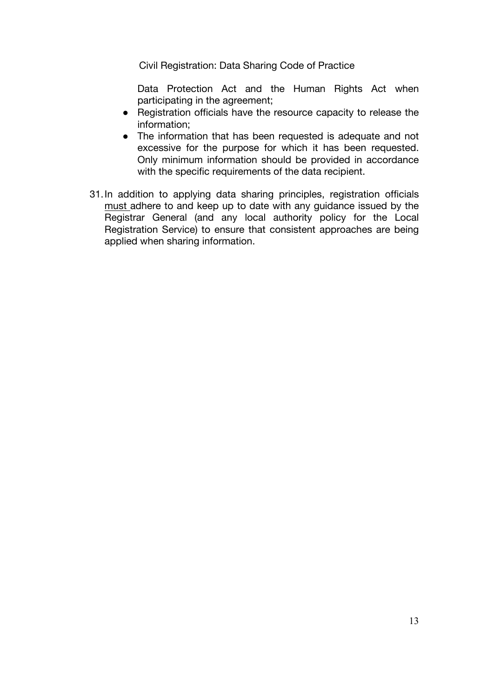Data Protection Act and the Human Rights Act when participating in the agreement;

- Registration officials have the resource capacity to release the information;
- The information that has been requested is adequate and not excessive for the purpose for which it has been requested. Only minimum information should be provided in accordance with the specific requirements of the data recipient.
- 31.In addition to applying data sharing principles, registration officials must adhere to and keep up to date with any guidance issued by the Registrar General (and any local authority policy for the Local Registration Service) to ensure that consistent approaches are being applied when sharing information.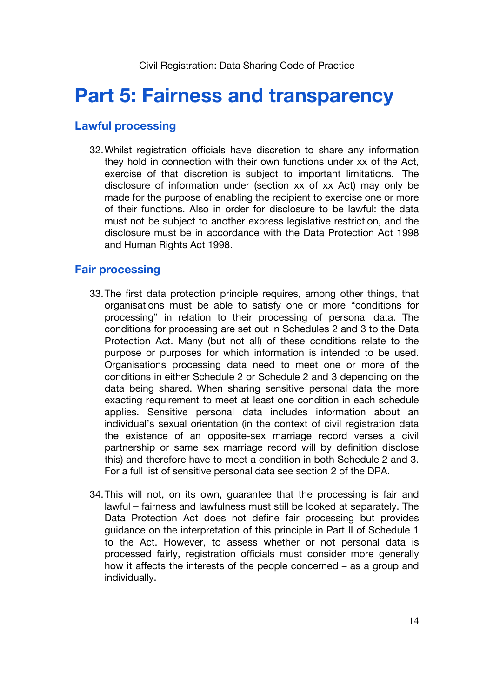# **Part 5: Fairness and transparency**

### **Lawful processing**

32.Whilst registration officials have discretion to share any information they hold in connection with their own functions under xx of the Act, exercise of that discretion is subject to important limitations. The disclosure of information under (section xx of xx Act) may only be made for the purpose of enabling the recipient to exercise one or more of their functions. Also in order for disclosure to be lawful: the data must not be subject to another express legislative restriction, and the disclosure must be in accordance with the Data Protection Act 1998 and Human Rights Act 1998.

#### **Fair processing**

- 33.The first data protection principle requires, among other things, that organisations must be able to satisfy one or more "conditions for processing" in relation to their processing of personal data. The conditions for processing are set out in Schedules 2 and 3 to the Data Protection Act. Many (but not all) of these conditions relate to the purpose or purposes for which information is intended to be used. Organisations processing data need to meet one or more of the conditions in either Schedule 2 or Schedule 2 and 3 depending on the data being shared. When sharing sensitive personal data the more exacting requirement to meet at least one condition in each schedule applies. Sensitive personal data includes information about an individual's sexual orientation (in the context of civil registration data the existence of an opposite-sex marriage record verses a civil partnership or same sex marriage record will by definition disclose this) and therefore have to meet a condition in both Schedule 2 and 3. For a full list of sensitive personal data see section 2 of the DPA.
- 34.This will not, on its own, guarantee that the processing is fair and lawful – fairness and lawfulness must still be looked at separately. The Data Protection Act does not define fair processing but provides guidance on the interpretation of this principle in Part II of Schedule 1 to the Act. However, to assess whether or not personal data is processed fairly, registration officials must consider more generally how it affects the interests of the people concerned – as a group and individually.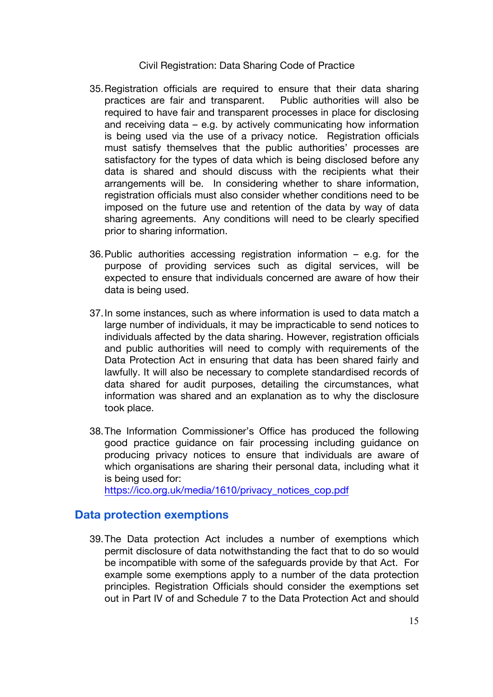- 35.Registration officials are required to ensure that their data sharing practices are fair and transparent. Public authorities will also be required to have fair and transparent processes in place for disclosing and receiving data – e.g. by actively communicating how information is being used via the use of a privacy notice. Registration officials must satisfy themselves that the public authorities' processes are satisfactory for the types of data which is being disclosed before any data is shared and should discuss with the recipients what their arrangements will be. In considering whether to share information, registration officials must also consider whether conditions need to be imposed on the future use and retention of the data by way of data sharing agreements. Any conditions will need to be clearly specified prior to sharing information.
- 36.Public authorities accessing registration information e.g. for the purpose of providing services such as digital services, will be expected to ensure that individuals concerned are aware of how their data is being used.
- 37.In some instances, such as where information is used to data match a large number of individuals, it may be impracticable to send notices to individuals affected by the data sharing. However, registration officials and public authorities will need to comply with requirements of the Data Protection Act in ensuring that data has been shared fairly and lawfully. It will also be necessary to complete standardised records of data shared for audit purposes, detailing the circumstances, what information was shared and an explanation as to why the disclosure took place.
- 38.The Information Commissioner's Office has produced the following good practice guidance on fair processing including guidance on producing privacy notices to ensure that individuals are aware of which organisations are sharing their personal data, including what it is being used for:

https://ico.org.uk/media/1610/privacy\_notices\_cop.pdf

#### **Data protection exemptions**

39.The Data protection Act includes a number of exemptions which permit disclosure of data notwithstanding the fact that to do so would be incompatible with some of the safeguards provide by that Act. For example some exemptions apply to a number of the data protection principles. Registration Officials should consider the exemptions set out in Part IV of and Schedule 7 to the Data Protection Act and should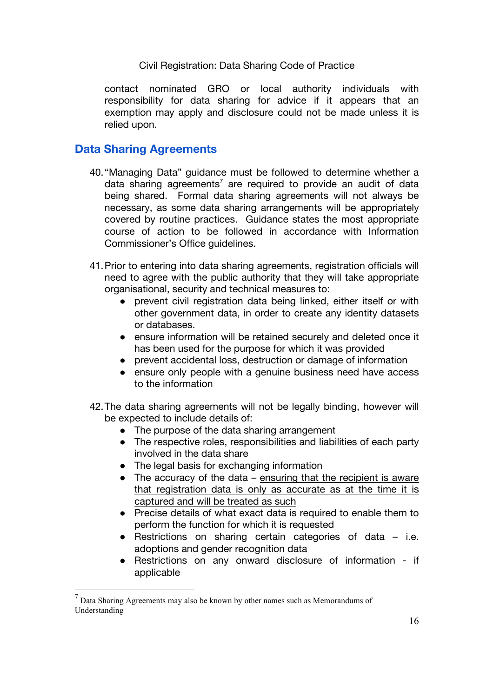contact nominated GRO or local authority individuals with responsibility for data sharing for advice if it appears that an exemption may apply and disclosure could not be made unless it is relied upon.

#### **Data Sharing Agreements**

- 40. "Managing Data" guidance must be followed to determine whether a data sharing agreements<sup>7</sup> are required to provide an audit of data being shared. Formal data sharing agreements will not always be necessary, as some data sharing arrangements will be appropriately covered by routine practices. Guidance states the most appropriate course of action to be followed in accordance with Information Commissioner's Office guidelines.
- 41.Prior to entering into data sharing agreements, registration officials will need to agree with the public authority that they will take appropriate organisational, security and technical measures to:
	- prevent civil registration data being linked, either itself or with other government data, in order to create any identity datasets or databases.
	- ensure information will be retained securely and deleted once it has been used for the purpose for which it was provided
	- prevent accidental loss, destruction or damage of information
	- ensure only people with a genuine business need have access to the information
- 42.The data sharing agreements will not be legally binding, however will be expected to include details of:
	- The purpose of the data sharing arrangement
	- The respective roles, responsibilities and liabilities of each party involved in the data share
	- The legal basis for exchanging information
	- $\bullet$  The accuracy of the data ensuring that the recipient is aware that registration data is only as accurate as at the time it is captured and will be treated as such
	- Precise details of what exact data is required to enable them to perform the function for which it is requested
	- Restrictions on sharing certain categories of data i.e. adoptions and gender recognition data
	- Restrictions on any onward disclosure of information if applicable

 $<sup>7</sup>$  Data Sharing Agreements may also be known by other names such as Memorandums of</sup> Understanding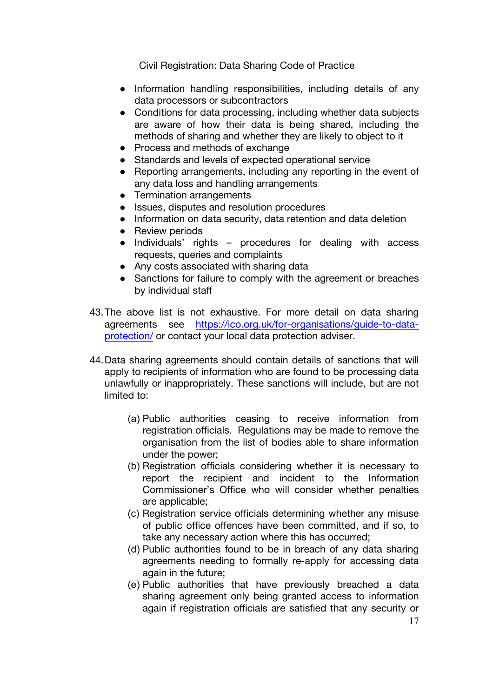- Information handling responsibilities, including details of any data processors or subcontractors
- Conditions for data processing, including whether data subjects are aware of how their data is being shared, including the methods of sharing and whether they are likely to object to it
- Process and methods of exchange
- Standards and levels of expected operational service
- Reporting arrangements, including any reporting in the event of any data loss and handling arrangements
- Termination arrangements
- Issues, disputes and resolution procedures
- Information on data security, data retention and data deletion
- Review periods
- Individuals' rights procedures for dealing with access requests, queries and complaints
- Any costs associated with sharing data
- Sanctions for failure to comply with the agreement or breaches by individual staff
- 43.The above list is not exhaustive. For more detail on data sharing agreements see https://ico.org.uk/for-organisations/guide-to-dataprotection/ or contact your local data protection adviser.
- 44.Data sharing agreements should contain details of sanctions that will apply to recipients of information who are found to be processing data unlawfully or inappropriately. These sanctions will include, but are not limited to:
	- (a) Public authorities ceasing to receive information from registration officials. Regulations may be made to remove the organisation from the list of bodies able to share information under the power;
	- (b) Registration officials considering whether it is necessary to report the recipient and incident to the Information Commissioner's Office who will consider whether penalties are applicable;
	- (c) Registration service officials determining whether any misuse of public office offences have been committed, and if so, to take any necessary action where this has occurred;
	- (d) Public authorities found to be in breach of any data sharing agreements needing to formally re-apply for accessing data again in the future;
	- (e) Public authorities that have previously breached a data sharing agreement only being granted access to information again if registration officials are satisfied that any security or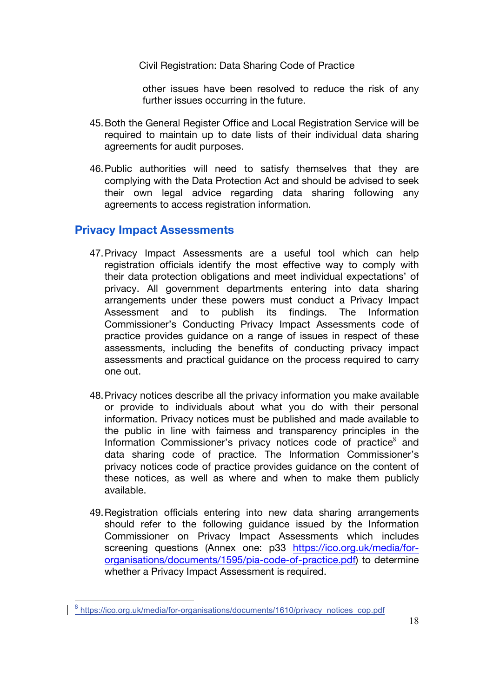other issues have been resolved to reduce the risk of any further issues occurring in the future.

- 45.Both the General Register Office and Local Registration Service will be required to maintain up to date lists of their individual data sharing agreements for audit purposes.
- 46.Public authorities will need to satisfy themselves that they are complying with the Data Protection Act and should be advised to seek their own legal advice regarding data sharing following any agreements to access registration information.

#### **Privacy Impact Assessments**

- 47.Privacy Impact Assessments are a useful tool which can help registration officials identify the most effective way to comply with their data protection obligations and meet individual expectations' of privacy. All government departments entering into data sharing arrangements under these powers must conduct a Privacy Impact Assessment and to publish its findings. The Information Commissioner's Conducting Privacy Impact Assessments code of practice provides guidance on a range of issues in respect of these assessments, including the benefits of conducting privacy impact assessments and practical guidance on the process required to carry one out.
- 48.Privacy notices describe all the privacy information you make available or provide to individuals about what you do with their personal information. Privacy notices must be published and made available to the public in line with fairness and transparency principles in the Information Commissioner's privacy notices code of practice<sup>8</sup> and data sharing code of practice. The Information Commissioner's privacy notices code of practice provides guidance on the content of these notices, as well as where and when to make them publicly available.
- 49.Registration officials entering into new data sharing arrangements should refer to the following guidance issued by the Information Commissioner on Privacy Impact Assessments which includes screening questions (Annex one: p33 https://ico.org.uk/media/fororganisations/documents/1595/pia-code-of-practice.pdf) to determine whether a Privacy Impact Assessment is required.

<sup>8</sup> https://ico.org.uk/media/for-organisations/documents/1610/privacy\_notices\_cop.pdf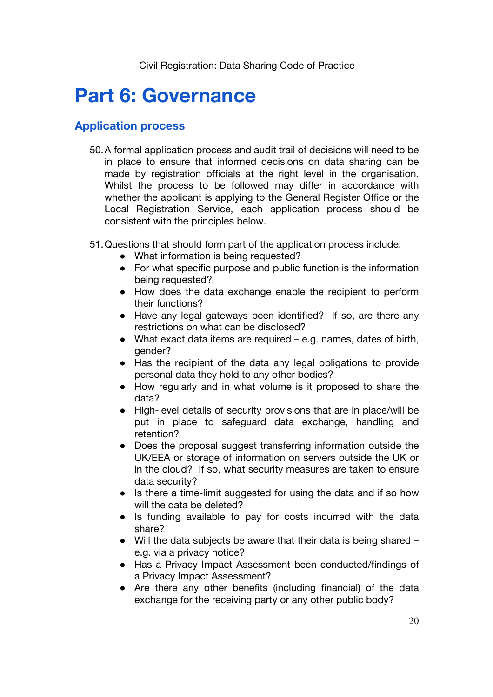# **Part 6: Governance**

#### **Application process**

- 50.A formal application process and audit trail of decisions will need to be in place to ensure that informed decisions on data sharing can be made by registration officials at the right level in the organisation. Whilst the process to be followed may differ in accordance with whether the applicant is applying to the General Register Office or the Local Registration Service, each application process should be consistent with the principles below.
- 51.Questions that should form part of the application process include:
	- What information is being requested?
	- For what specific purpose and public function is the information being requested?
	- How does the data exchange enable the recipient to perform their functions?
	- Have any legal gateways been identified? If so, are there any restrictions on what can be disclosed?
	- What exact data items are required e.g. names, dates of birth, gender?
	- Has the recipient of the data any legal obligations to provide personal data they hold to any other bodies?
	- How regularly and in what volume is it proposed to share the data?
	- High-level details of security provisions that are in place/will be put in place to safeguard data exchange, handling and retention?
	- Does the proposal suggest transferring information outside the UK/EEA or storage of information on servers outside the UK or in the cloud? If so, what security measures are taken to ensure data security?
	- Is there a time-limit suggested for using the data and if so how will the data be deleted?
	- Is funding available to pay for costs incurred with the data share?
	- Will the data subjects be aware that their data is being shared e.g. via a privacy notice?
	- Has a Privacy Impact Assessment been conducted/findings of a Privacy Impact Assessment?
	- Are there any other benefits (including financial) of the data exchange for the receiving party or any other public body?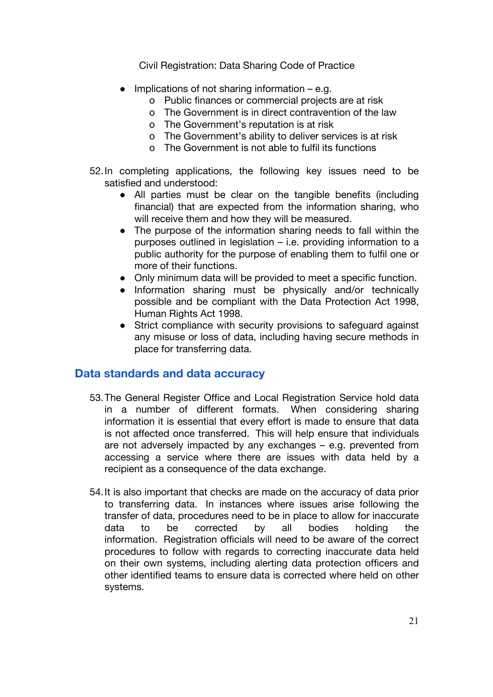- $\bullet$  Implications of not sharing information e.g.
	- o Public finances or commercial projects are at risk
	- o The Government is in direct contravention of the law
	- o The Government's reputation is at risk
	- o The Government's ability to deliver services is at risk
	- o The Government is not able to fulfil its functions
- 52.In completing applications, the following key issues need to be satisfied and understood:
	- All parties must be clear on the tangible benefits (including financial) that are expected from the information sharing, who will receive them and how they will be measured.
	- The purpose of the information sharing needs to fall within the purposes outlined in legislation – i.e. providing information to a public authority for the purpose of enabling them to fulfil one or more of their functions.
	- Only minimum data will be provided to meet a specific function.
	- Information sharing must be physically and/or technically possible and be compliant with the Data Protection Act 1998, Human Rights Act 1998.
	- Strict compliance with security provisions to safeguard against any misuse or loss of data, including having secure methods in place for transferring data.

#### **Data standards and data accuracy**

- 53.The General Register Office and Local Registration Service hold data in a number of different formats. When considering sharing information it is essential that every effort is made to ensure that data is not affected once transferred. This will help ensure that individuals are not adversely impacted by any exchanges – e.g. prevented from accessing a service where there are issues with data held by a recipient as a consequence of the data exchange.
- 54.It is also important that checks are made on the accuracy of data prior to transferring data. In instances where issues arise following the transfer of data, procedures need to be in place to allow for inaccurate data to be corrected by all bodies holding the information. Registration officials will need to be aware of the correct procedures to follow with regards to correcting inaccurate data held on their own systems, including alerting data protection officers and other identified teams to ensure data is corrected where held on other systems.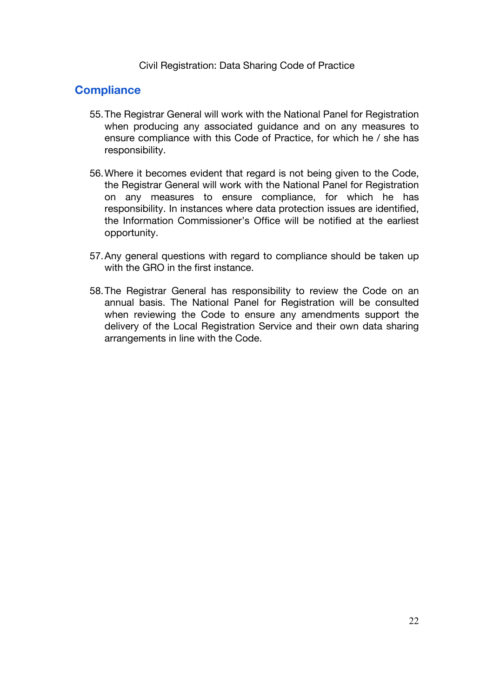#### **Compliance**

- 55.The Registrar General will work with the National Panel for Registration when producing any associated guidance and on any measures to ensure compliance with this Code of Practice, for which he / she has responsibility.
- 56.Where it becomes evident that regard is not being given to the Code, the Registrar General will work with the National Panel for Registration on any measures to ensure compliance, for which he has responsibility. In instances where data protection issues are identified, the Information Commissioner's Office will be notified at the earliest opportunity.
- 57.Any general questions with regard to compliance should be taken up with the GRO in the first instance.
- 58.The Registrar General has responsibility to review the Code on an annual basis. The National Panel for Registration will be consulted when reviewing the Code to ensure any amendments support the delivery of the Local Registration Service and their own data sharing arrangements in line with the Code.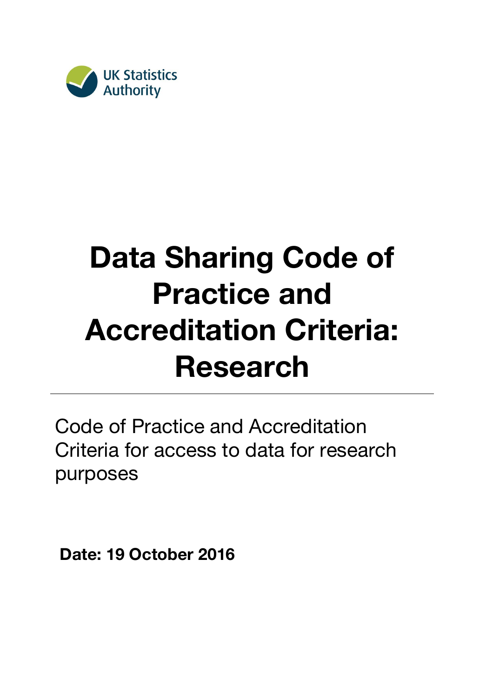

# **Data Sharing Code of Practice and Accreditation Criteria: Research**

Code of Practice and Accreditation Criteria for access to data for research purposes

**Date: 19 October 2016**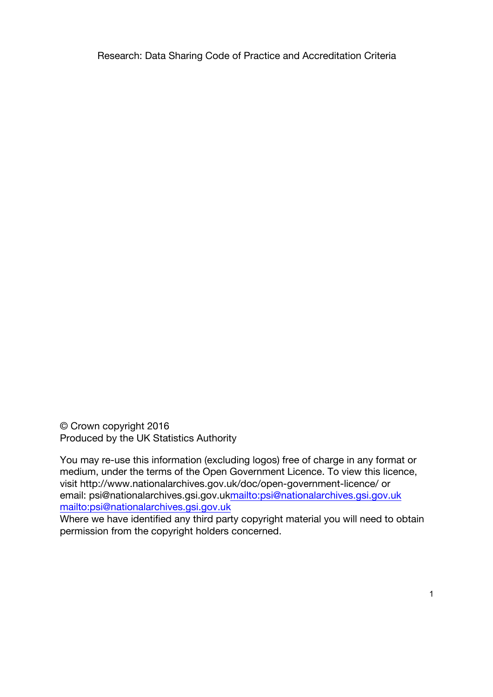© Crown copyright 2016 Produced by the UK Statistics Authority

You may re-use this information (excluding logos) free of charge in any format or medium, under the terms of the Open Government Licence. To view this licence, visit http://www.nationalarchives.gov.uk/doc/open-government-licence/ or email: psi@nationalarchives.gsi.gov.ukmailto:psi@nationalarchives.gsi.gov.uk mailto:psi@nationalarchives.gsi.gov.uk

Where we have identified any third party copyright material you will need to obtain permission from the copyright holders concerned.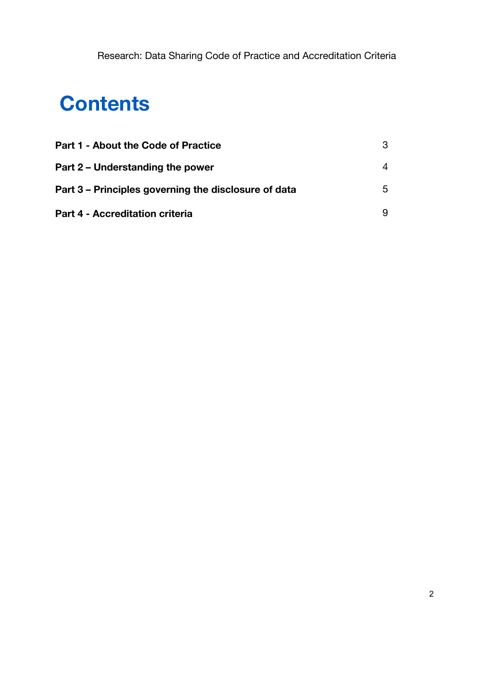# **Contents**

| <b>Part 1 - About the Code of Practice</b>           | 3 |
|------------------------------------------------------|---|
| Part 2 – Understanding the power                     | 4 |
| Part 3 – Principles governing the disclosure of data | 5 |
| <b>Part 4 - Accreditation criteria</b>               | 9 |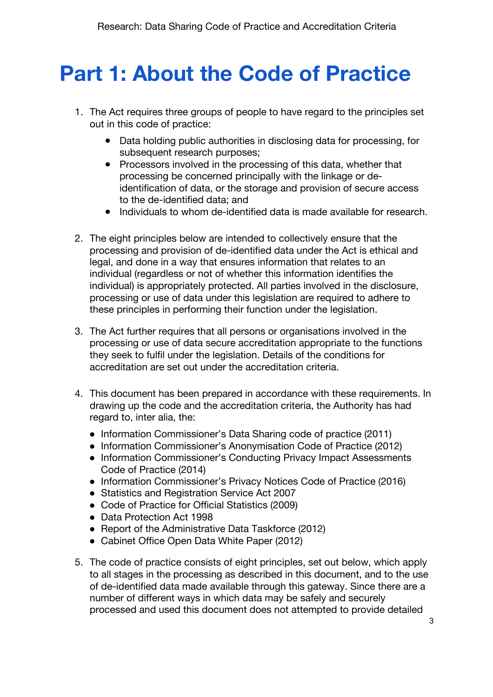# **Part 1: About the Code of Practice**

- 1. The Act requires three groups of people to have regard to the principles set out in this code of practice:
	- Data holding public authorities in disclosing data for processing, for subsequent research purposes;
	- Processors involved in the processing of this data, whether that processing be concerned principally with the linkage or deidentification of data, or the storage and provision of secure access to the de-identified data; and
	- Individuals to whom de-identified data is made available for research.
- 2. The eight principles below are intended to collectively ensure that the processing and provision of de-identified data under the Act is ethical and legal, and done in a way that ensures information that relates to an individual (regardless or not of whether this information identifies the individual) is appropriately protected. All parties involved in the disclosure, processing or use of data under this legislation are required to adhere to these principles in performing their function under the legislation.
- 3. The Act further requires that all persons or organisations involved in the processing or use of data secure accreditation appropriate to the functions they seek to fulfil under the legislation. Details of the conditions for accreditation are set out under the accreditation criteria.
- 4. This document has been prepared in accordance with these requirements. In drawing up the code and the accreditation criteria, the Authority has had regard to, inter alia, the:
	- Information Commissioner's Data Sharing code of practice (2011)
	- Information Commissioner's Anonymisation Code of Practice (2012)
	- Information Commissioner's Conducting Privacy Impact Assessments Code of Practice (2014)
	- Information Commissioner's Privacy Notices Code of Practice (2016)
	- Statistics and Registration Service Act 2007
	- Code of Practice for Official Statistics (2009)
	- Data Protection Act 1998
	- Report of the Administrative Data Taskforce (2012)
	- Cabinet Office Open Data White Paper (2012)
- 5. The code of practice consists of eight principles, set out below, which apply to all stages in the processing as described in this document, and to the use of de-identified data made available through this gateway. Since there are a number of different ways in which data may be safely and securely processed and used this document does not attempted to provide detailed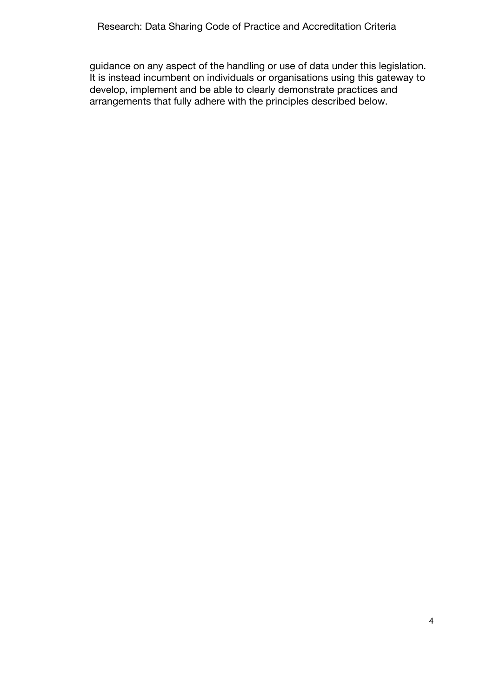guidance on any aspect of the handling or use of data under this legislation. It is instead incumbent on individuals or organisations using this gateway to develop, implement and be able to clearly demonstrate practices and arrangements that fully adhere with the principles described below.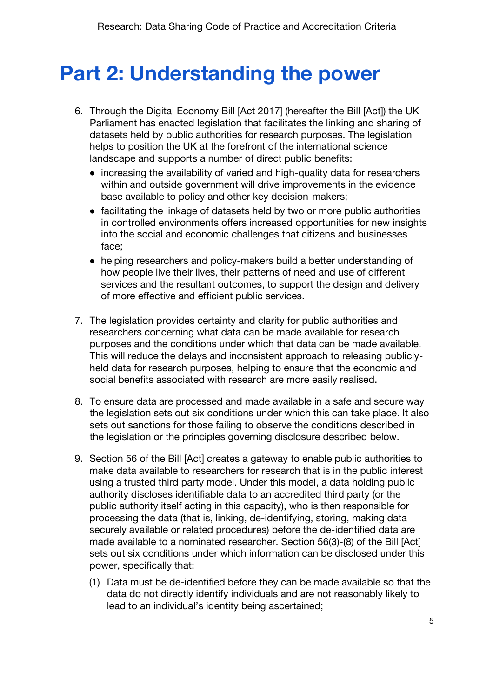# **Part 2: Understanding the power**

- 6. Through the Digital Economy Bill [Act 2017] (hereafter the Bill [Act]) the UK Parliament has enacted legislation that facilitates the linking and sharing of datasets held by public authorities for research purposes. The legislation helps to position the UK at the forefront of the international science landscape and supports a number of direct public benefits:
	- increasing the availability of varied and high-quality data for researchers within and outside government will drive improvements in the evidence base available to policy and other key decision-makers;
	- facilitating the linkage of datasets held by two or more public authorities in controlled environments offers increased opportunities for new insights into the social and economic challenges that citizens and businesses face;
	- helping researchers and policy-makers build a better understanding of how people live their lives, their patterns of need and use of different services and the resultant outcomes, to support the design and delivery of more effective and efficient public services.
- 7. The legislation provides certainty and clarity for public authorities and researchers concerning what data can be made available for research purposes and the conditions under which that data can be made available. This will reduce the delays and inconsistent approach to releasing publiclyheld data for research purposes, helping to ensure that the economic and social benefits associated with research are more easily realised.
- 8. To ensure data are processed and made available in a safe and secure way the legislation sets out six conditions under which this can take place. It also sets out sanctions for those failing to observe the conditions described in the legislation or the principles governing disclosure described below.
- 9. Section 56 of the Bill [Act] creates a gateway to enable public authorities to make data available to researchers for research that is in the public interest using a trusted third party model. Under this model, a data holding public authority discloses identifiable data to an accredited third party (or the public authority itself acting in this capacity), who is then responsible for processing the data (that is, linking, de-identifying, storing, making data securely available or related procedures) before the de-identified data are made available to a nominated researcher. Section 56(3)-(8) of the Bill [Act] sets out six conditions under which information can be disclosed under this power, specifically that:
	- (1) Data must be de-identified before they can be made available so that the data do not directly identify individuals and are not reasonably likely to lead to an individual's identity being ascertained;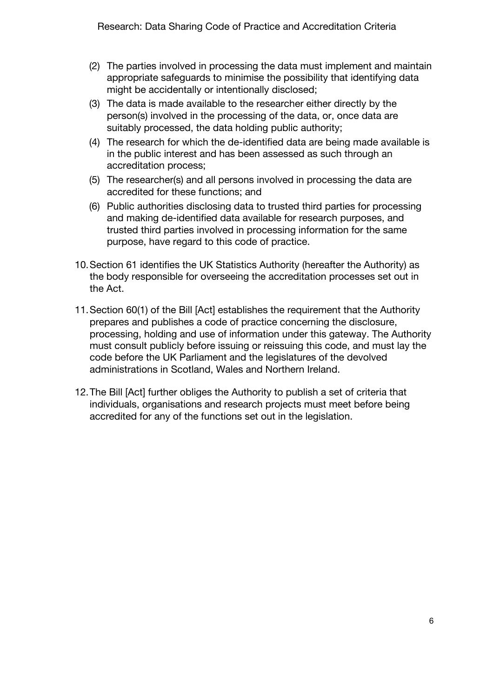- (2) The parties involved in processing the data must implement and maintain appropriate safeguards to minimise the possibility that identifying data might be accidentally or intentionally disclosed;
- (3) The data is made available to the researcher either directly by the person(s) involved in the processing of the data, or, once data are suitably processed, the data holding public authority;
- (4) The research for which the de-identified data are being made available is in the public interest and has been assessed as such through an accreditation process;
- (5) The researcher(s) and all persons involved in processing the data are accredited for these functions; and
- (6) Public authorities disclosing data to trusted third parties for processing and making de-identified data available for research purposes, and trusted third parties involved in processing information for the same purpose, have regard to this code of practice.
- 10.Section 61 identifies the UK Statistics Authority (hereafter the Authority) as the body responsible for overseeing the accreditation processes set out in the Act.
- 11.Section 60(1) of the Bill [Act] establishes the requirement that the Authority prepares and publishes a code of practice concerning the disclosure, processing, holding and use of information under this gateway. The Authority must consult publicly before issuing or reissuing this code, and must lay the code before the UK Parliament and the legislatures of the devolved administrations in Scotland, Wales and Northern Ireland.
- 12.The Bill [Act] further obliges the Authority to publish a set of criteria that individuals, organisations and research projects must meet before being accredited for any of the functions set out in the legislation.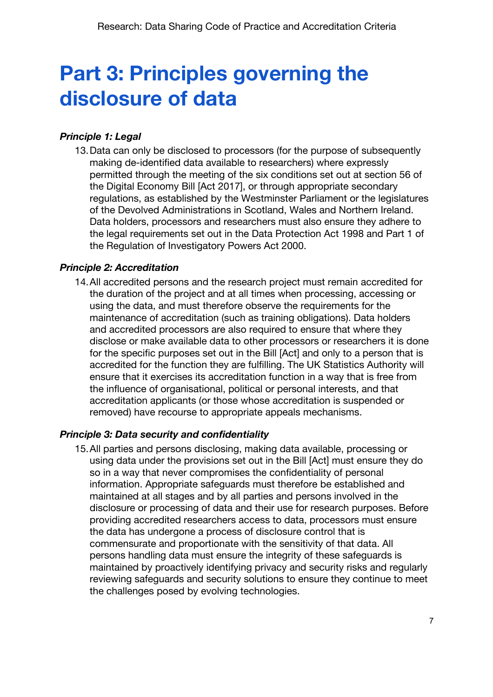# **Part 3: Principles governing the disclosure of data**

#### *Principle 1: Legal*

13.Data can only be disclosed to processors (for the purpose of subsequently making de-identified data available to researchers) where expressly permitted through the meeting of the six conditions set out at section 56 of the Digital Economy Bill [Act 2017], or through appropriate secondary regulations, as established by the Westminster Parliament or the legislatures of the Devolved Administrations in Scotland, Wales and Northern Ireland. Data holders, processors and researchers must also ensure they adhere to the legal requirements set out in the Data Protection Act 1998 and Part 1 of the Regulation of Investigatory Powers Act 2000.

#### *Principle 2: Accreditation*

14.All accredited persons and the research project must remain accredited for the duration of the project and at all times when processing, accessing or using the data, and must therefore observe the requirements for the maintenance of accreditation (such as training obligations). Data holders and accredited processors are also required to ensure that where they disclose or make available data to other processors or researchers it is done for the specific purposes set out in the Bill [Act] and only to a person that is accredited for the function they are fulfilling. The UK Statistics Authority will ensure that it exercises its accreditation function in a way that is free from the influence of organisational, political or personal interests, and that accreditation applicants (or those whose accreditation is suspended or removed) have recourse to appropriate appeals mechanisms.

#### *Principle 3: Data security and confidentiality*

15.All parties and persons disclosing, making data available, processing or using data under the provisions set out in the Bill [Act] must ensure they do so in a way that never compromises the confidentiality of personal information. Appropriate safeguards must therefore be established and maintained at all stages and by all parties and persons involved in the disclosure or processing of data and their use for research purposes. Before providing accredited researchers access to data, processors must ensure the data has undergone a process of disclosure control that is commensurate and proportionate with the sensitivity of that data. All persons handling data must ensure the integrity of these safeguards is maintained by proactively identifying privacy and security risks and regularly reviewing safeguards and security solutions to ensure they continue to meet the challenges posed by evolving technologies.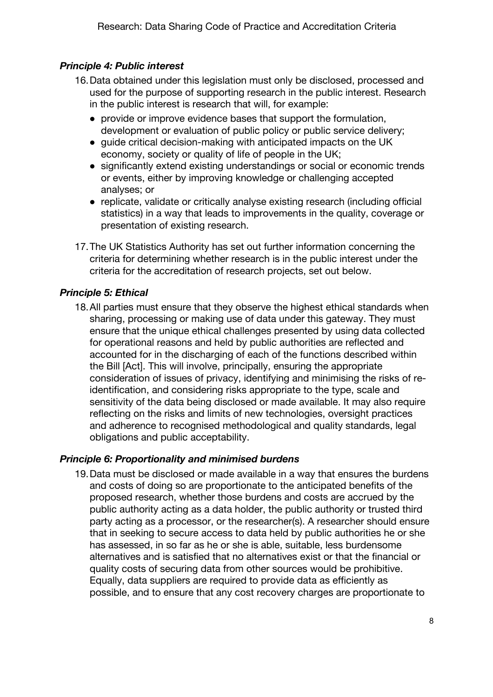#### *Principle 4: Public interest*

- 16.Data obtained under this legislation must only be disclosed, processed and used for the purpose of supporting research in the public interest. Research in the public interest is research that will, for example:
	- provide or improve evidence bases that support the formulation, development or evaluation of public policy or public service delivery;
	- guide critical decision-making with anticipated impacts on the UK economy, society or quality of life of people in the UK;
	- significantly extend existing understandings or social or economic trends or events, either by improving knowledge or challenging accepted analyses; or
	- replicate, validate or critically analyse existing research (including official statistics) in a way that leads to improvements in the quality, coverage or presentation of existing research.
- 17.The UK Statistics Authority has set out further information concerning the criteria for determining whether research is in the public interest under the criteria for the accreditation of research projects, set out below.

#### *Principle 5: Ethical*

18.All parties must ensure that they observe the highest ethical standards when sharing, processing or making use of data under this gateway. They must ensure that the unique ethical challenges presented by using data collected for operational reasons and held by public authorities are reflected and accounted for in the discharging of each of the functions described within the Bill [Act]. This will involve, principally, ensuring the appropriate consideration of issues of privacy, identifying and minimising the risks of reidentification, and considering risks appropriate to the type, scale and sensitivity of the data being disclosed or made available. It may also require reflecting on the risks and limits of new technologies, oversight practices and adherence to recognised methodological and quality standards, legal obligations and public acceptability.

#### *Principle 6: Proportionality and minimised burdens*

19.Data must be disclosed or made available in a way that ensures the burdens and costs of doing so are proportionate to the anticipated benefits of the proposed research, whether those burdens and costs are accrued by the public authority acting as a data holder, the public authority or trusted third party acting as a processor, or the researcher(s). A researcher should ensure that in seeking to secure access to data held by public authorities he or she has assessed, in so far as he or she is able, suitable, less burdensome alternatives and is satisfied that no alternatives exist or that the financial or quality costs of securing data from other sources would be prohibitive. Equally, data suppliers are required to provide data as efficiently as possible, and to ensure that any cost recovery charges are proportionate to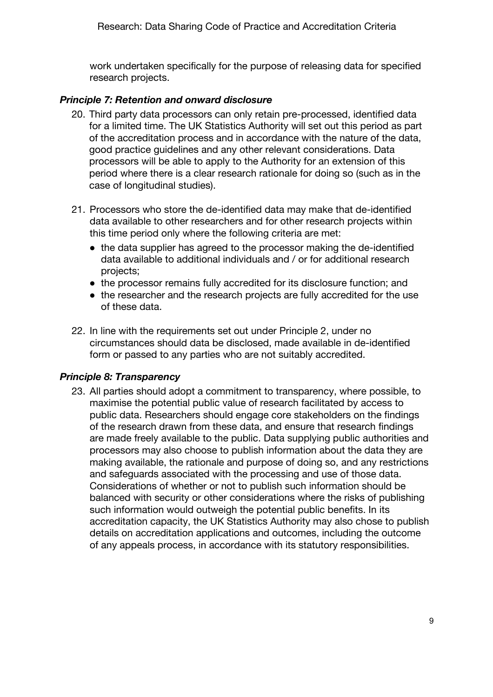work undertaken specifically for the purpose of releasing data for specified research projects.

#### *Principle 7: Retention and onward disclosure*

- 20. Third party data processors can only retain pre-processed, identified data for a limited time. The UK Statistics Authority will set out this period as part of the accreditation process and in accordance with the nature of the data, good practice guidelines and any other relevant considerations. Data processors will be able to apply to the Authority for an extension of this period where there is a clear research rationale for doing so (such as in the case of longitudinal studies).
- 21. Processors who store the de-identified data may make that de-identified data available to other researchers and for other research projects within this time period only where the following criteria are met:
	- the data supplier has agreed to the processor making the de-identified data available to additional individuals and / or for additional research projects;
	- the processor remains fully accredited for its disclosure function; and
	- the researcher and the research projects are fully accredited for the use of these data.
- 22. In line with the requirements set out under Principle 2, under no circumstances should data be disclosed, made available in de-identified form or passed to any parties who are not suitably accredited.

#### *Principle 8: Transparency*

23. All parties should adopt a commitment to transparency, where possible, to maximise the potential public value of research facilitated by access to public data. Researchers should engage core stakeholders on the findings of the research drawn from these data, and ensure that research findings are made freely available to the public. Data supplying public authorities and processors may also choose to publish information about the data they are making available, the rationale and purpose of doing so, and any restrictions and safeguards associated with the processing and use of those data. Considerations of whether or not to publish such information should be balanced with security or other considerations where the risks of publishing such information would outweigh the potential public benefits. In its accreditation capacity, the UK Statistics Authority may also chose to publish details on accreditation applications and outcomes, including the outcome of any appeals process, in accordance with its statutory responsibilities.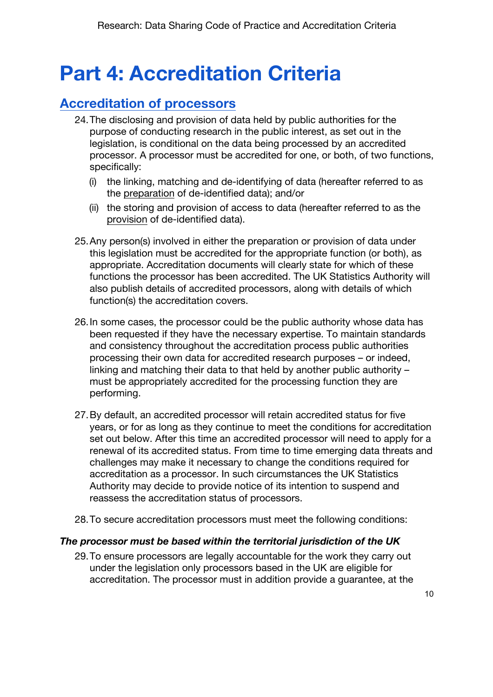# **Part 4: Accreditation Criteria**

### **Accreditation of processors**

- 24.The disclosing and provision of data held by public authorities for the purpose of conducting research in the public interest, as set out in the legislation, is conditional on the data being processed by an accredited processor. A processor must be accredited for one, or both, of two functions, specifically:
	- (i) the linking, matching and de-identifying of data (hereafter referred to as the preparation of de-identified data); and/or
	- (ii) the storing and provision of access to data (hereafter referred to as the provision of de-identified data).
- 25.Any person(s) involved in either the preparation or provision of data under this legislation must be accredited for the appropriate function (or both), as appropriate. Accreditation documents will clearly state for which of these functions the processor has been accredited. The UK Statistics Authority will also publish details of accredited processors, along with details of which function(s) the accreditation covers.
- 26.In some cases, the processor could be the public authority whose data has been requested if they have the necessary expertise. To maintain standards and consistency throughout the accreditation process public authorities processing their own data for accredited research purposes – or indeed, linking and matching their data to that held by another public authority – must be appropriately accredited for the processing function they are performing.
- 27.By default, an accredited processor will retain accredited status for five years, or for as long as they continue to meet the conditions for accreditation set out below. After this time an accredited processor will need to apply for a renewal of its accredited status. From time to time emerging data threats and challenges may make it necessary to change the conditions required for accreditation as a processor. In such circumstances the UK Statistics Authority may decide to provide notice of its intention to suspend and reassess the accreditation status of processors.
- 28.To secure accreditation processors must meet the following conditions:

#### *The processor must be based within the territorial jurisdiction of the UK*

29.To ensure processors are legally accountable for the work they carry out under the legislation only processors based in the UK are eligible for accreditation. The processor must in addition provide a guarantee, at the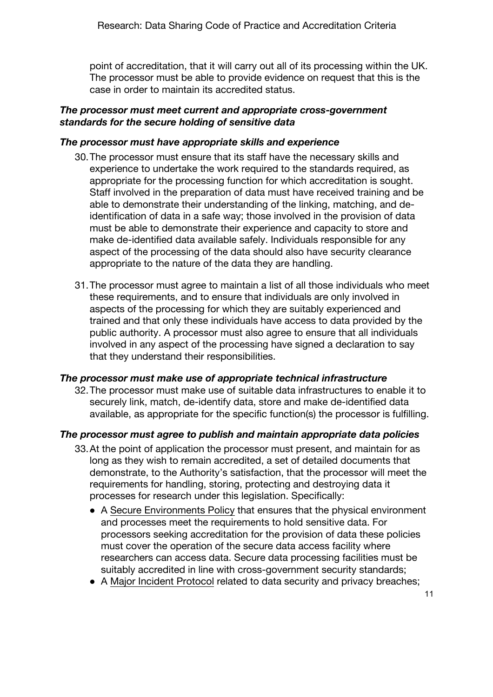point of accreditation, that it will carry out all of its processing within the UK. The processor must be able to provide evidence on request that this is the case in order to maintain its accredited status.

#### *The processor must meet current and appropriate cross-government standards for the secure holding of sensitive data*

#### *The processor must have appropriate skills and experience*

- 30.The processor must ensure that its staff have the necessary skills and experience to undertake the work required to the standards required, as appropriate for the processing function for which accreditation is sought. Staff involved in the preparation of data must have received training and be able to demonstrate their understanding of the linking, matching, and deidentification of data in a safe way; those involved in the provision of data must be able to demonstrate their experience and capacity to store and make de-identified data available safely. Individuals responsible for any aspect of the processing of the data should also have security clearance appropriate to the nature of the data they are handling.
- 31.The processor must agree to maintain a list of all those individuals who meet these requirements, and to ensure that individuals are only involved in aspects of the processing for which they are suitably experienced and trained and that only these individuals have access to data provided by the public authority. A processor must also agree to ensure that all individuals involved in any aspect of the processing have signed a declaration to say that they understand their responsibilities.

#### *The processor must make use of appropriate technical infrastructure*

32.The processor must make use of suitable data infrastructures to enable it to securely link, match, de-identify data, store and make de-identified data available, as appropriate for the specific function(s) the processor is fulfilling.

#### *The processor must agree to publish and maintain appropriate data policies*

- 33.At the point of application the processor must present, and maintain for as long as they wish to remain accredited, a set of detailed documents that demonstrate, to the Authority's satisfaction, that the processor will meet the requirements for handling, storing, protecting and destroying data it processes for research under this legislation. Specifically:
	- A Secure Environments Policy that ensures that the physical environment and processes meet the requirements to hold sensitive data. For processors seeking accreditation for the provision of data these policies must cover the operation of the secure data access facility where researchers can access data. Secure data processing facilities must be suitably accredited in line with cross-government security standards;
	- A Major Incident Protocol related to data security and privacy breaches;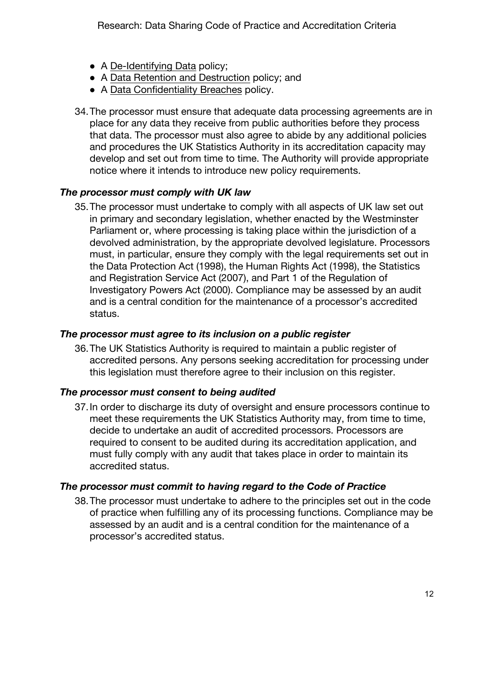- A De-Identifying Data policy;
- A Data Retention and Destruction policy; and
- A Data Confidentiality Breaches policy.
- 34.The processor must ensure that adequate data processing agreements are in place for any data they receive from public authorities before they process that data. The processor must also agree to abide by any additional policies and procedures the UK Statistics Authority in its accreditation capacity may develop and set out from time to time. The Authority will provide appropriate notice where it intends to introduce new policy requirements.

#### *The processor must comply with UK law*

35.The processor must undertake to comply with all aspects of UK law set out in primary and secondary legislation, whether enacted by the Westminster Parliament or, where processing is taking place within the jurisdiction of a devolved administration, by the appropriate devolved legislature. Processors must, in particular, ensure they comply with the legal requirements set out in the Data Protection Act (1998), the Human Rights Act (1998), the Statistics and Registration Service Act (2007), and Part 1 of the Regulation of Investigatory Powers Act (2000). Compliance may be assessed by an audit and is a central condition for the maintenance of a processor's accredited status.

#### *The processor must agree to its inclusion on a public register*

36.The UK Statistics Authority is required to maintain a public register of accredited persons. Any persons seeking accreditation for processing under this legislation must therefore agree to their inclusion on this register.

#### *The processor must consent to being audited*

37.In order to discharge its duty of oversight and ensure processors continue to meet these requirements the UK Statistics Authority may, from time to time, decide to undertake an audit of accredited processors. Processors are required to consent to be audited during its accreditation application, and must fully comply with any audit that takes place in order to maintain its accredited status.

#### *The processor must commit to having regard to the Code of Practice*

38.The processor must undertake to adhere to the principles set out in the code of practice when fulfilling any of its processing functions. Compliance may be assessed by an audit and is a central condition for the maintenance of a processor's accredited status.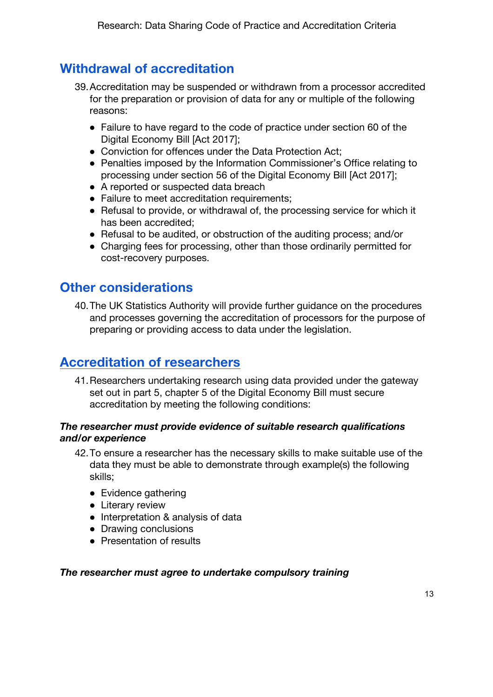## **Withdrawal of accreditation**

- 39.Accreditation may be suspended or withdrawn from a processor accredited for the preparation or provision of data for any or multiple of the following reasons:
	- Failure to have regard to the code of practice under section 60 of the Digital Economy Bill [Act 2017];
	- Conviction for offences under the Data Protection Act;
	- Penalties imposed by the Information Commissioner's Office relating to processing under section 56 of the Digital Economy Bill [Act 2017];
	- A reported or suspected data breach
	- Failure to meet accreditation requirements;
	- Refusal to provide, or withdrawal of, the processing service for which it has been accredited;
	- Refusal to be audited, or obstruction of the auditing process; and/or
	- Charging fees for processing, other than those ordinarily permitted for cost-recovery purposes.

### **Other considerations**

40.The UK Statistics Authority will provide further guidance on the procedures and processes governing the accreditation of processors for the purpose of preparing or providing access to data under the legislation.

### **Accreditation of researchers**

41.Researchers undertaking research using data provided under the gateway set out in part 5, chapter 5 of the Digital Economy Bill must secure accreditation by meeting the following conditions:

#### *The researcher must provide evidence of suitable research qualifications and/or experience*

- 42.To ensure a researcher has the necessary skills to make suitable use of the data they must be able to demonstrate through example(s) the following skills;
	- Evidence gathering
	- Literary review
	- Interpretation & analysis of data
	- Drawing conclusions
	- Presentation of results

#### *The researcher must agree to undertake compulsory training*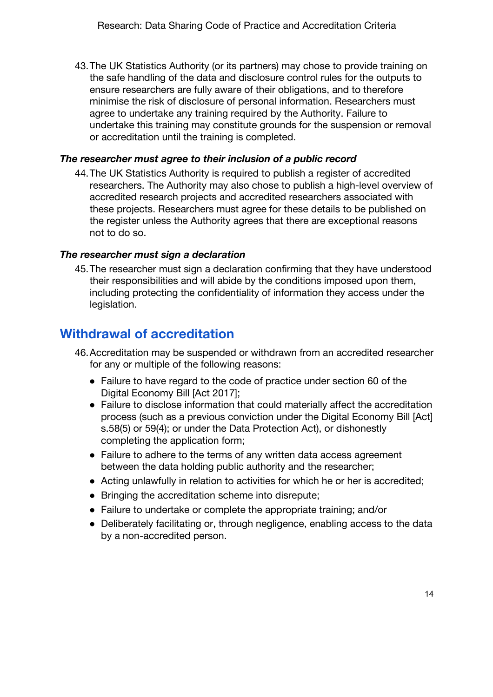43.The UK Statistics Authority (or its partners) may chose to provide training on the safe handling of the data and disclosure control rules for the outputs to ensure researchers are fully aware of their obligations, and to therefore minimise the risk of disclosure of personal information. Researchers must agree to undertake any training required by the Authority. Failure to undertake this training may constitute grounds for the suspension or removal or accreditation until the training is completed.

#### *The researcher must agree to their inclusion of a public record*

44.The UK Statistics Authority is required to publish a register of accredited researchers. The Authority may also chose to publish a high-level overview of accredited research projects and accredited researchers associated with these projects. Researchers must agree for these details to be published on the register unless the Authority agrees that there are exceptional reasons not to do so.

#### *The researcher must sign a declaration*

45.The researcher must sign a declaration confirming that they have understood their responsibilities and will abide by the conditions imposed upon them, including protecting the confidentiality of information they access under the legislation.

### **Withdrawal of accreditation**

- 46.Accreditation may be suspended or withdrawn from an accredited researcher for any or multiple of the following reasons:
	- Failure to have regard to the code of practice under section 60 of the Digital Economy Bill [Act 2017];
	- Failure to disclose information that could materially affect the accreditation process (such as a previous conviction under the Digital Economy Bill [Act] s.58(5) or 59(4); or under the Data Protection Act), or dishonestly completing the application form;
	- Failure to adhere to the terms of any written data access agreement between the data holding public authority and the researcher;
	- Acting unlawfully in relation to activities for which he or her is accredited:
	- Bringing the accreditation scheme into disrepute;
	- Failure to undertake or complete the appropriate training; and/or
	- Deliberately facilitating or, through negligence, enabling access to the data by a non-accredited person.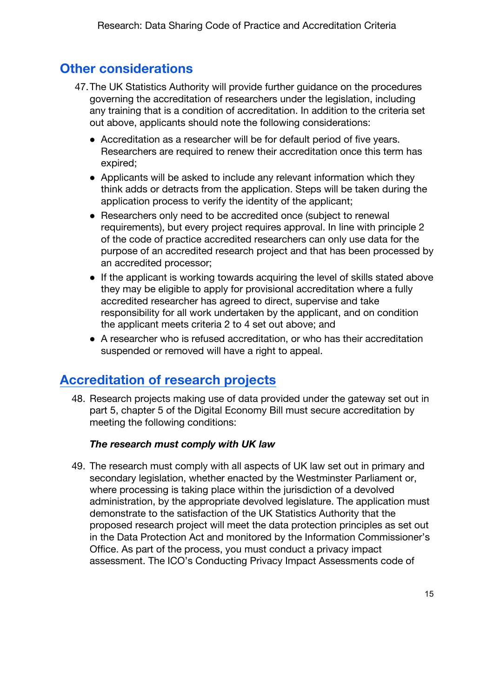### **Other considerations**

- 47.The UK Statistics Authority will provide further guidance on the procedures governing the accreditation of researchers under the legislation, including any training that is a condition of accreditation. In addition to the criteria set out above, applicants should note the following considerations:
	- Accreditation as a researcher will be for default period of five years. Researchers are required to renew their accreditation once this term has expired;
	- Applicants will be asked to include any relevant information which they think adds or detracts from the application. Steps will be taken during the application process to verify the identity of the applicant;
	- Researchers only need to be accredited once (subject to renewal requirements), but every project requires approval. In line with principle 2 of the code of practice accredited researchers can only use data for the purpose of an accredited research project and that has been processed by an accredited processor;
	- If the applicant is working towards acquiring the level of skills stated above they may be eligible to apply for provisional accreditation where a fully accredited researcher has agreed to direct, supervise and take responsibility for all work undertaken by the applicant, and on condition the applicant meets criteria 2 to 4 set out above; and
	- A researcher who is refused accreditation, or who has their accreditation suspended or removed will have a right to appeal.

### **Accreditation of research projects**

48. Research projects making use of data provided under the gateway set out in part 5, chapter 5 of the Digital Economy Bill must secure accreditation by meeting the following conditions:

#### *The research must comply with UK law*

49. The research must comply with all aspects of UK law set out in primary and secondary legislation, whether enacted by the Westminster Parliament or, where processing is taking place within the jurisdiction of a devolved administration, by the appropriate devolved legislature. The application must demonstrate to the satisfaction of the UK Statistics Authority that the proposed research project will meet the data protection principles as set out in the Data Protection Act and monitored by the Information Commissioner's Office. As part of the process, you must conduct a privacy impact assessment. The ICO's Conducting Privacy Impact Assessments code of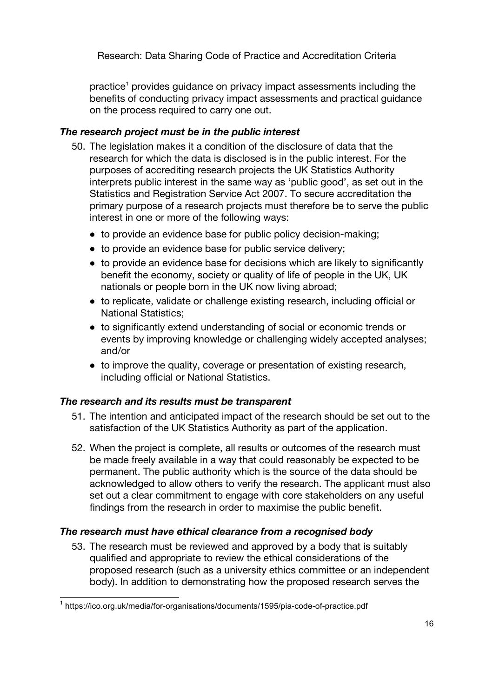practice<sup>1</sup> provides quidance on privacy impact assessments including the benefits of conducting privacy impact assessments and practical guidance on the process required to carry one out.

#### *The research project must be in the public interest*

- 50. The legislation makes it a condition of the disclosure of data that the research for which the data is disclosed is in the public interest. For the purposes of accrediting research projects the UK Statistics Authority interprets public interest in the same way as 'public good', as set out in the Statistics and Registration Service Act 2007. To secure accreditation the primary purpose of a research projects must therefore be to serve the public interest in one or more of the following ways:
	- to provide an evidence base for public policy decision-making;
	- to provide an evidence base for public service delivery;
	- to provide an evidence base for decisions which are likely to significantly benefit the economy, society or quality of life of people in the UK, UK nationals or people born in the UK now living abroad;
	- to replicate, validate or challenge existing research, including official or National Statistics;
	- to significantly extend understanding of social or economic trends or events by improving knowledge or challenging widely accepted analyses; and/or
	- to improve the quality, coverage or presentation of existing research, including official or National Statistics.

#### *The research and its results must be transparent*

- 51. The intention and anticipated impact of the research should be set out to the satisfaction of the UK Statistics Authority as part of the application.
- 52. When the project is complete, all results or outcomes of the research must be made freely available in a way that could reasonably be expected to be permanent. The public authority which is the source of the data should be acknowledged to allow others to verify the research. The applicant must also set out a clear commitment to engage with core stakeholders on any useful findings from the research in order to maximise the public benefit.

#### *The research must have ethical clearance from a recognised body*

53. The research must be reviewed and approved by a body that is suitably qualified and appropriate to review the ethical considerations of the proposed research (such as a university ethics committee or an independent body). In addition to demonstrating how the proposed research serves the

 <sup>1</sup> https://ico.org.uk/media/for-organisations/documents/1595/pia-code-of-practice.pdf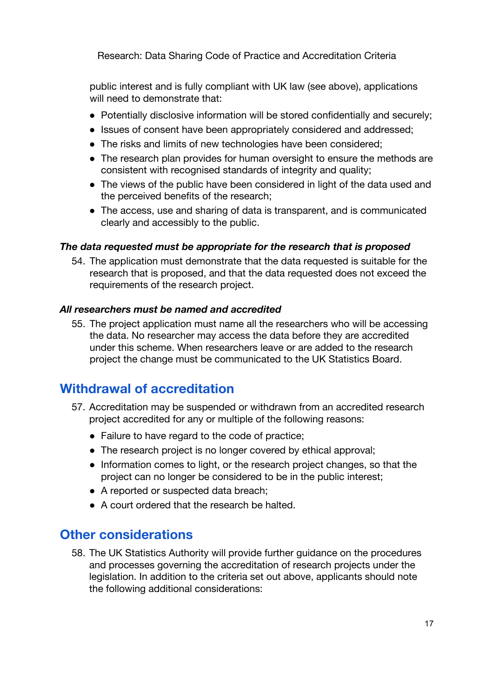public interest and is fully compliant with UK law (see above), applications will need to demonstrate that:

- Potentially disclosive information will be stored confidentially and securely;
- Issues of consent have been appropriately considered and addressed;
- The risks and limits of new technologies have been considered;
- The research plan provides for human oversight to ensure the methods are consistent with recognised standards of integrity and quality;
- The views of the public have been considered in light of the data used and the perceived benefits of the research;
- The access, use and sharing of data is transparent, and is communicated clearly and accessibly to the public.

#### *The data requested must be appropriate for the research that is proposed*

54. The application must demonstrate that the data requested is suitable for the research that is proposed, and that the data requested does not exceed the requirements of the research project.

#### *All researchers must be named and accredited*

55. The project application must name all the researchers who will be accessing the data. No researcher may access the data before they are accredited under this scheme. When researchers leave or are added to the research project the change must be communicated to the UK Statistics Board.

### **Withdrawal of accreditation**

- 57. Accreditation may be suspended or withdrawn from an accredited research project accredited for any or multiple of the following reasons:
	- Failure to have regard to the code of practice;
	- The research project is no longer covered by ethical approval;
	- Information comes to light, or the research project changes, so that the project can no longer be considered to be in the public interest;
	- A reported or suspected data breach;
	- A court ordered that the research be halted.

### **Other considerations**

58. The UK Statistics Authority will provide further guidance on the procedures and processes governing the accreditation of research projects under the legislation. In addition to the criteria set out above, applicants should note the following additional considerations: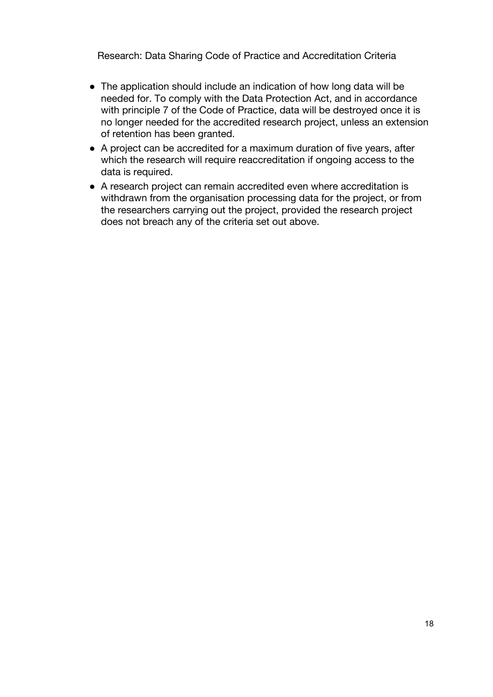- The application should include an indication of how long data will be needed for. To comply with the Data Protection Act, and in accordance with principle 7 of the Code of Practice, data will be destroyed once it is no longer needed for the accredited research project, unless an extension of retention has been granted.
- A project can be accredited for a maximum duration of five years, after which the research will require reaccreditation if ongoing access to the data is required.
- A research project can remain accredited even where accreditation is withdrawn from the organisation processing data for the project, or from the researchers carrying out the project, provided the research project does not breach any of the criteria set out above.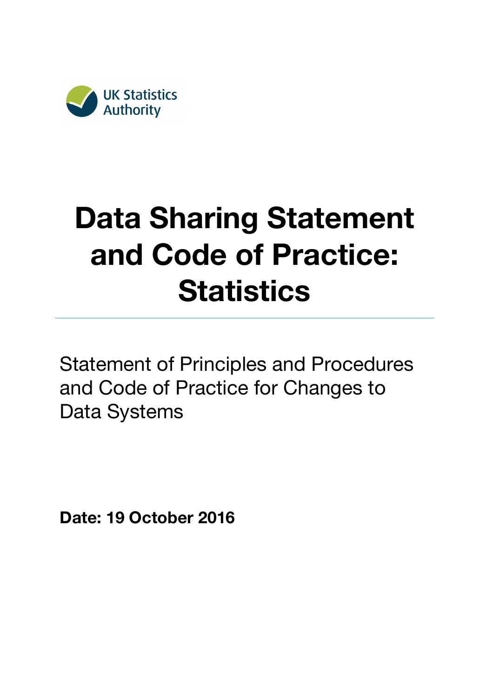

# **Data Sharing Statement and Code of Practice: Statistics**

Statement of Principles and Procedures and Code of Practice for Changes to Data Systems

**Date: 19 October 2016**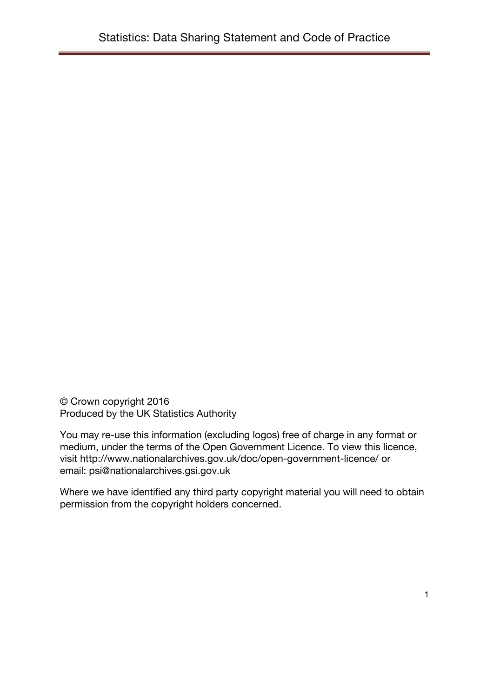© Crown copyright 2016 Produced by the UK Statistics Authority

You may re-use this information (excluding logos) free of charge in any format or medium, under the terms of the Open Government Licence. To view this licence, visit http://www.nationalarchives.gov.uk/doc/open-government-licence/ or email: psi@nationalarchives.gsi.gov.uk

Where we have identified any third party copyright material you will need to obtain permission from the copyright holders concerned.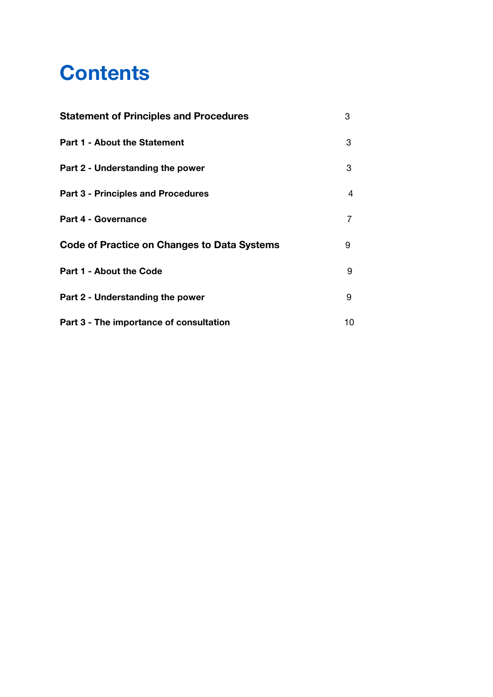# **Contents**

| <b>Statement of Principles and Procedures</b> | 3  |
|-----------------------------------------------|----|
| <b>Part 1 - About the Statement</b>           | 3  |
| Part 2 - Understanding the power              | 3  |
| <b>Part 3 - Principles and Procedures</b>     | 4  |
| <b>Part 4 - Governance</b>                    | 7  |
| Code of Practice on Changes to Data Systems   | 9  |
| <b>Part 1 - About the Code</b>                | 9  |
| Part 2 - Understanding the power              | 9  |
| Part 3 - The importance of consultation       | 10 |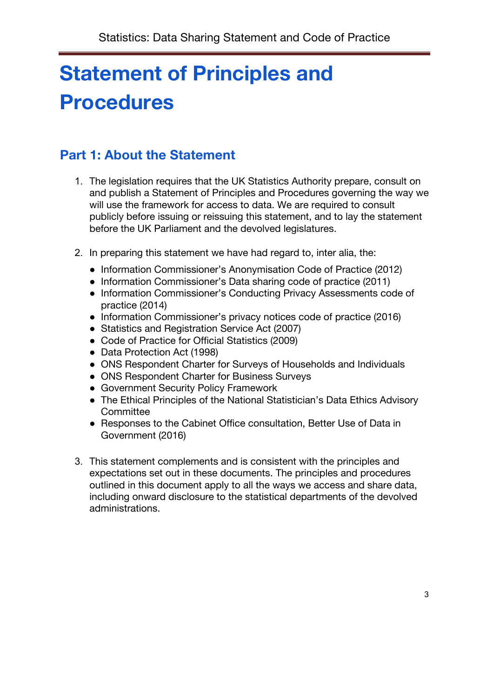# **Statement of Principles and Procedures**

# **Part 1: About the Statement**

- 1. The legislation requires that the UK Statistics Authority prepare, consult on and publish a Statement of Principles and Procedures governing the way we will use the framework for access to data. We are required to consult publicly before issuing or reissuing this statement, and to lay the statement before the UK Parliament and the devolved legislatures.
- 2. In preparing this statement we have had regard to, inter alia, the:
	- Information Commissioner's Anonymisation Code of Practice (2012)
	- Information Commissioner's Data sharing code of practice (2011)
	- Information Commissioner's Conducting Privacy Assessments code of practice (2014)
	- Information Commissioner's privacy notices code of practice (2016)
	- Statistics and Registration Service Act (2007)
	- Code of Practice for Official Statistics (2009)
	- Data Protection Act (1998)
	- ONS Respondent Charter for Surveys of Households and Individuals
	- ONS Respondent Charter for Business Surveys
	- Government Security Policy Framework
	- The Ethical Principles of the National Statistician's Data Ethics Advisory **Committee**
	- Responses to the Cabinet Office consultation, Better Use of Data in Government (2016)
- 3. This statement complements and is consistent with the principles and expectations set out in these documents. The principles and procedures outlined in this document apply to all the ways we access and share data, including onward disclosure to the statistical departments of the devolved administrations.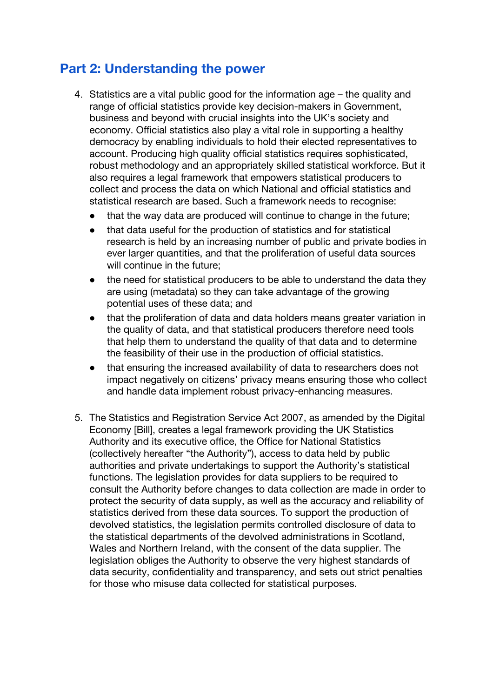## **Part 2: Understanding the power**

- 4. Statistics are a vital public good for the information age the quality and range of official statistics provide key decision-makers in Government, business and beyond with crucial insights into the UK's society and economy. Official statistics also play a vital role in supporting a healthy democracy by enabling individuals to hold their elected representatives to account. Producing high quality official statistics requires sophisticated, robust methodology and an appropriately skilled statistical workforce. But it also requires a legal framework that empowers statistical producers to collect and process the data on which National and official statistics and statistical research are based. Such a framework needs to recognise:
	- that the way data are produced will continue to change in the future;
	- that data useful for the production of statistics and for statistical research is held by an increasing number of public and private bodies in ever larger quantities, and that the proliferation of useful data sources will continue in the future;
	- the need for statistical producers to be able to understand the data they are using (metadata) so they can take advantage of the growing potential uses of these data; and
	- that the proliferation of data and data holders means greater variation in the quality of data, and that statistical producers therefore need tools that help them to understand the quality of that data and to determine the feasibility of their use in the production of official statistics.
	- that ensuring the increased availability of data to researchers does not impact negatively on citizens' privacy means ensuring those who collect and handle data implement robust privacy-enhancing measures.
- 5. The Statistics and Registration Service Act 2007, as amended by the Digital Economy [Bill], creates a legal framework providing the UK Statistics Authority and its executive office, the Office for National Statistics (collectively hereafter "the Authority"), access to data held by public authorities and private undertakings to support the Authority's statistical functions. The legislation provides for data suppliers to be required to consult the Authority before changes to data collection are made in order to protect the security of data supply, as well as the accuracy and reliability of statistics derived from these data sources. To support the production of devolved statistics, the legislation permits controlled disclosure of data to the statistical departments of the devolved administrations in Scotland, Wales and Northern Ireland, with the consent of the data supplier. The legislation obliges the Authority to observe the very highest standards of data security, confidentiality and transparency, and sets out strict penalties for those who misuse data collected for statistical purposes.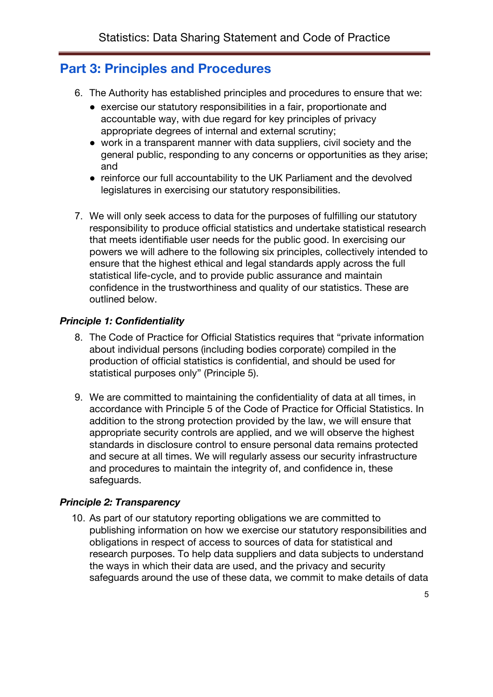### **Part 3: Principles and Procedures**

- 6. The Authority has established principles and procedures to ensure that we:
	- exercise our statutory responsibilities in a fair, proportionate and accountable way, with due regard for key principles of privacy appropriate degrees of internal and external scrutiny;
	- work in a transparent manner with data suppliers, civil society and the general public, responding to any concerns or opportunities as they arise; and
	- reinforce our full accountability to the UK Parliament and the devolved legislatures in exercising our statutory responsibilities.
- 7. We will only seek access to data for the purposes of fulfilling our statutory responsibility to produce official statistics and undertake statistical research that meets identifiable user needs for the public good. In exercising our powers we will adhere to the following six principles, collectively intended to ensure that the highest ethical and legal standards apply across the full statistical life-cycle, and to provide public assurance and maintain confidence in the trustworthiness and quality of our statistics. These are outlined below.

#### *Principle 1: Confidentiality*

- 8. The Code of Practice for Official Statistics requires that "private information about individual persons (including bodies corporate) compiled in the production of official statistics is confidential, and should be used for statistical purposes only" (Principle 5).
- 9. We are committed to maintaining the confidentiality of data at all times, in accordance with Principle 5 of the Code of Practice for Official Statistics. In addition to the strong protection provided by the law, we will ensure that appropriate security controls are applied, and we will observe the highest standards in disclosure control to ensure personal data remains protected and secure at all times. We will regularly assess our security infrastructure and procedures to maintain the integrity of, and confidence in, these safeguards.

#### *Principle 2: Transparency*

10. As part of our statutory reporting obligations we are committed to publishing information on how we exercise our statutory responsibilities and obligations in respect of access to sources of data for statistical and research purposes. To help data suppliers and data subjects to understand the ways in which their data are used, and the privacy and security safeguards around the use of these data, we commit to make details of data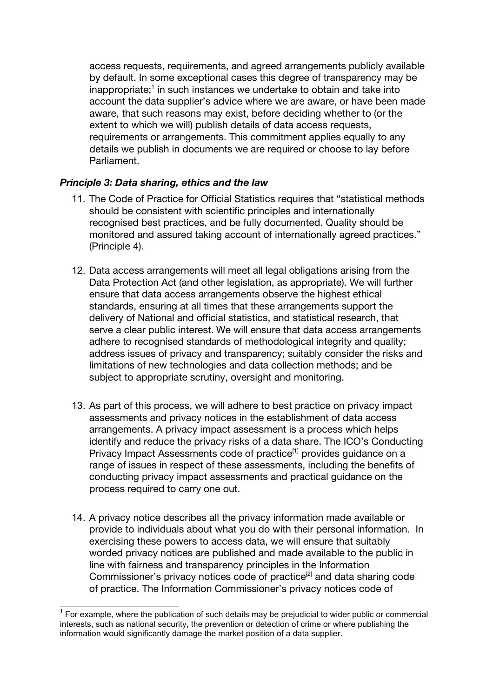access requests, requirements, and agreed arrangements publicly available by default. In some exceptional cases this degree of transparency may be inappropriate;<sup>1</sup> in such instances we undertake to obtain and take into account the data supplier's advice where we are aware, or have been made aware, that such reasons may exist, before deciding whether to (or the extent to which we will) publish details of data access requests, requirements or arrangements. This commitment applies equally to any details we publish in documents we are required or choose to lay before Parliament.

#### *Principle 3: Data sharing, ethics and the law*

- 11. The Code of Practice for Official Statistics requires that "statistical methods should be consistent with scientific principles and internationally recognised best practices, and be fully documented. Quality should be monitored and assured taking account of internationally agreed practices." (Principle 4).
- 12. Data access arrangements will meet all legal obligations arising from the Data Protection Act (and other legislation, as appropriate). We will further ensure that data access arrangements observe the highest ethical standards, ensuring at all times that these arrangements support the delivery of National and official statistics, and statistical research, that serve a clear public interest. We will ensure that data access arrangements adhere to recognised standards of methodological integrity and quality; address issues of privacy and transparency; suitably consider the risks and limitations of new technologies and data collection methods; and be subject to appropriate scrutiny, oversight and monitoring.
- 13. As part of this process, we will adhere to best practice on privacy impact assessments and privacy notices in the establishment of data access arrangements. A privacy impact assessment is a process which helps identify and reduce the privacy risks of a data share. The ICO's Conducting Privacy Impact Assessments code of practice<sup>[1]</sup> provides guidance on a range of issues in respect of these assessments, including the benefits of conducting privacy impact assessments and practical guidance on the process required to carry one out.
- 14. A privacy notice describes all the privacy information made available or provide to individuals about what you do with their personal information. In exercising these powers to access data, we will ensure that suitably worded privacy notices are published and made available to the public in line with fairness and transparency principles in the Information Commissioner's privacy notices code of practice<sup>[2]</sup> and data sharing code of practice. The Information Commissioner's privacy notices code of

 $1$  For example, where the publication of such details may be prejudicial to wider public or commercial interests, such as national security, the prevention or detection of crime or where publishing the information would significantly damage the market position of a data supplier.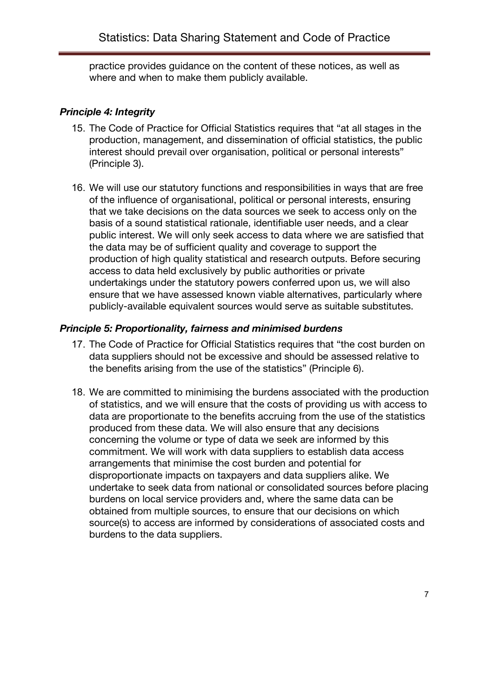practice provides guidance on the content of these notices, as well as where and when to make them publicly available.

### *Principle 4: Integrity*

- 15. The Code of Practice for Official Statistics requires that "at all stages in the production, management, and dissemination of official statistics, the public interest should prevail over organisation, political or personal interests" (Principle 3).
- 16. We will use our statutory functions and responsibilities in ways that are free of the influence of organisational, political or personal interests, ensuring that we take decisions on the data sources we seek to access only on the basis of a sound statistical rationale, identifiable user needs, and a clear public interest. We will only seek access to data where we are satisfied that the data may be of sufficient quality and coverage to support the production of high quality statistical and research outputs. Before securing access to data held exclusively by public authorities or private undertakings under the statutory powers conferred upon us, we will also ensure that we have assessed known viable alternatives, particularly where publicly-available equivalent sources would serve as suitable substitutes.

### *Principle 5: Proportionality, fairness and minimised burdens*

- 17. The Code of Practice for Official Statistics requires that "the cost burden on data suppliers should not be excessive and should be assessed relative to the benefits arising from the use of the statistics" (Principle 6).
- 18. We are committed to minimising the burdens associated with the production of statistics, and we will ensure that the costs of providing us with access to data are proportionate to the benefits accruing from the use of the statistics produced from these data. We will also ensure that any decisions concerning the volume or type of data we seek are informed by this commitment. We will work with data suppliers to establish data access arrangements that minimise the cost burden and potential for disproportionate impacts on taxpayers and data suppliers alike. We undertake to seek data from national or consolidated sources before placing burdens on local service providers and, where the same data can be obtained from multiple sources, to ensure that our decisions on which source(s) to access are informed by considerations of associated costs and burdens to the data suppliers.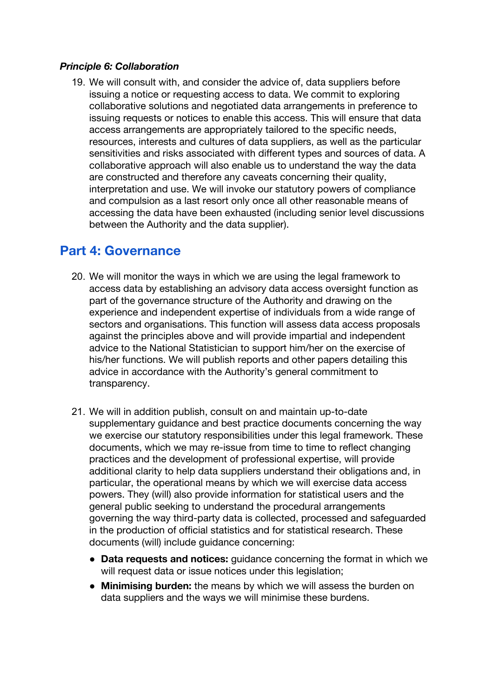### *Principle 6: Collaboration*

19. We will consult with, and consider the advice of, data suppliers before issuing a notice or requesting access to data. We commit to exploring collaborative solutions and negotiated data arrangements in preference to issuing requests or notices to enable this access. This will ensure that data access arrangements are appropriately tailored to the specific needs, resources, interests and cultures of data suppliers, as well as the particular sensitivities and risks associated with different types and sources of data. A collaborative approach will also enable us to understand the way the data are constructed and therefore any caveats concerning their quality, interpretation and use. We will invoke our statutory powers of compliance and compulsion as a last resort only once all other reasonable means of accessing the data have been exhausted (including senior level discussions between the Authority and the data supplier).

## **Part 4: Governance**

- 20. We will monitor the ways in which we are using the legal framework to access data by establishing an advisory data access oversight function as part of the governance structure of the Authority and drawing on the experience and independent expertise of individuals from a wide range of sectors and organisations. This function will assess data access proposals against the principles above and will provide impartial and independent advice to the National Statistician to support him/her on the exercise of his/her functions. We will publish reports and other papers detailing this advice in accordance with the Authority's general commitment to transparency.
- 21. We will in addition publish, consult on and maintain up-to-date supplementary guidance and best practice documents concerning the way we exercise our statutory responsibilities under this legal framework. These documents, which we may re-issue from time to time to reflect changing practices and the development of professional expertise, will provide additional clarity to help data suppliers understand their obligations and, in particular, the operational means by which we will exercise data access powers. They (will) also provide information for statistical users and the general public seeking to understand the procedural arrangements governing the way third-party data is collected, processed and safeguarded in the production of official statistics and for statistical research. These documents (will) include guidance concerning:
	- **Data requests and notices:** guidance concerning the format in which we will request data or issue notices under this legislation;
	- **Minimising burden:** the means by which we will assess the burden on data suppliers and the ways we will minimise these burdens.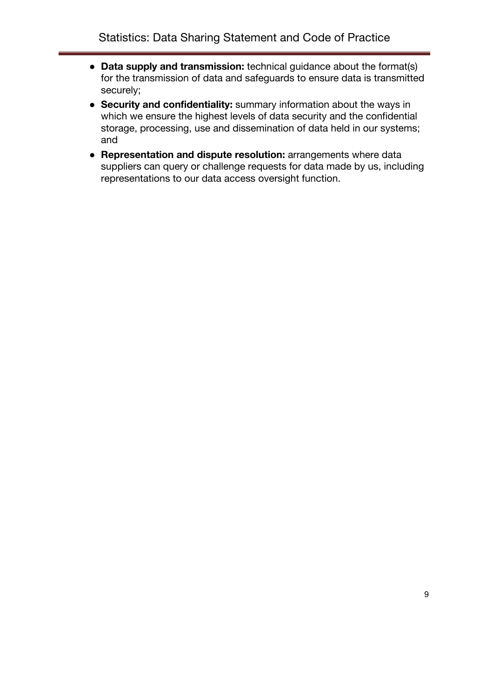- **Data supply and transmission:** technical guidance about the format(s) for the transmission of data and safeguards to ensure data is transmitted securely;
- **Security and confidentiality:** summary information about the ways in which we ensure the highest levels of data security and the confidential storage, processing, use and dissemination of data held in our systems; and
- **Representation and dispute resolution:** arrangements where data suppliers can query or challenge requests for data made by us, including representations to our data access oversight function.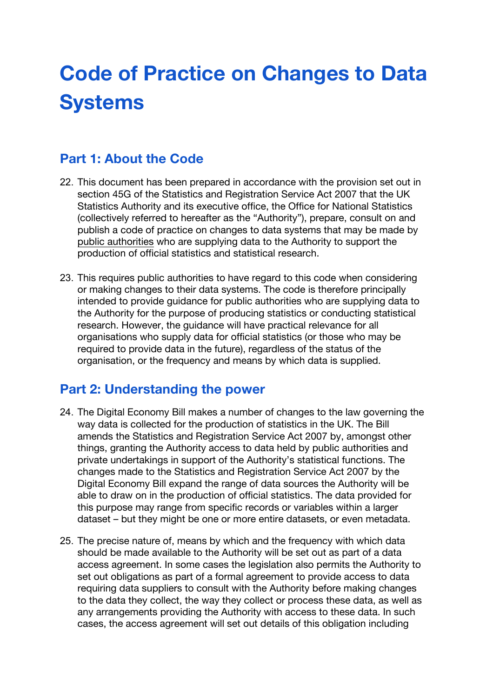# **Code of Practice on Changes to Data Systems**

## **Part 1: About the Code**

- 22. This document has been prepared in accordance with the provision set out in section 45G of the Statistics and Registration Service Act 2007 that the UK Statistics Authority and its executive office, the Office for National Statistics (collectively referred to hereafter as the "Authority"), prepare, consult on and publish a code of practice on changes to data systems that may be made by public authorities who are supplying data to the Authority to support the production of official statistics and statistical research.
- 23. This requires public authorities to have regard to this code when considering or making changes to their data systems. The code is therefore principally intended to provide guidance for public authorities who are supplying data to the Authority for the purpose of producing statistics or conducting statistical research. However, the guidance will have practical relevance for all organisations who supply data for official statistics (or those who may be required to provide data in the future), regardless of the status of the organisation, or the frequency and means by which data is supplied.

## **Part 2: Understanding the power**

- 24. The Digital Economy Bill makes a number of changes to the law governing the way data is collected for the production of statistics in the UK. The Bill amends the Statistics and Registration Service Act 2007 by, amongst other things, granting the Authority access to data held by public authorities and private undertakings in support of the Authority's statistical functions. The changes made to the Statistics and Registration Service Act 2007 by the Digital Economy Bill expand the range of data sources the Authority will be able to draw on in the production of official statistics. The data provided for this purpose may range from specific records or variables within a larger dataset – but they might be one or more entire datasets, or even metadata.
- 25. The precise nature of, means by which and the frequency with which data should be made available to the Authority will be set out as part of a data access agreement. In some cases the legislation also permits the Authority to set out obligations as part of a formal agreement to provide access to data requiring data suppliers to consult with the Authority before making changes to the data they collect, the way they collect or process these data, as well as any arrangements providing the Authority with access to these data. In such cases, the access agreement will set out details of this obligation including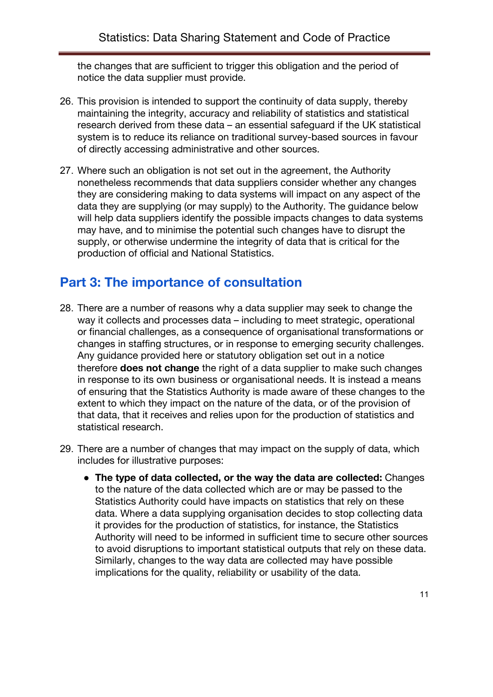the changes that are sufficient to trigger this obligation and the period of notice the data supplier must provide.

- 26. This provision is intended to support the continuity of data supply, thereby maintaining the integrity, accuracy and reliability of statistics and statistical research derived from these data – an essential safeguard if the UK statistical system is to reduce its reliance on traditional survey-based sources in favour of directly accessing administrative and other sources.
- 27. Where such an obligation is not set out in the agreement, the Authority nonetheless recommends that data suppliers consider whether any changes they are considering making to data systems will impact on any aspect of the data they are supplying (or may supply) to the Authority. The guidance below will help data suppliers identify the possible impacts changes to data systems may have, and to minimise the potential such changes have to disrupt the supply, or otherwise undermine the integrity of data that is critical for the production of official and National Statistics.

## **Part 3: The importance of consultation**

- 28. There are a number of reasons why a data supplier may seek to change the way it collects and processes data – including to meet strategic, operational or financial challenges, as a consequence of organisational transformations or changes in staffing structures, or in response to emerging security challenges. Any guidance provided here or statutory obligation set out in a notice therefore **does not change** the right of a data supplier to make such changes in response to its own business or organisational needs. It is instead a means of ensuring that the Statistics Authority is made aware of these changes to the extent to which they impact on the nature of the data, or of the provision of that data, that it receives and relies upon for the production of statistics and statistical research.
- 29. There are a number of changes that may impact on the supply of data, which includes for illustrative purposes:
	- **The type of data collected, or the way the data are collected:** Changes to the nature of the data collected which are or may be passed to the Statistics Authority could have impacts on statistics that rely on these data. Where a data supplying organisation decides to stop collecting data it provides for the production of statistics, for instance, the Statistics Authority will need to be informed in sufficient time to secure other sources to avoid disruptions to important statistical outputs that rely on these data. Similarly, changes to the way data are collected may have possible implications for the quality, reliability or usability of the data.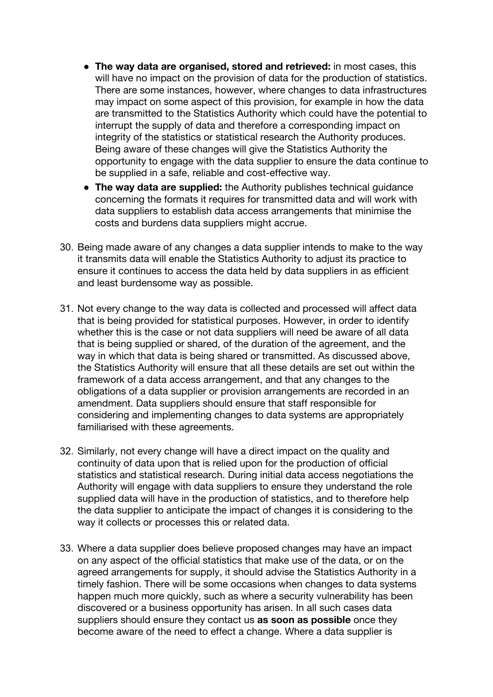- **The way data are organised, stored and retrieved:** in most cases, this will have no impact on the provision of data for the production of statistics. There are some instances, however, where changes to data infrastructures may impact on some aspect of this provision, for example in how the data are transmitted to the Statistics Authority which could have the potential to interrupt the supply of data and therefore a corresponding impact on integrity of the statistics or statistical research the Authority produces. Being aware of these changes will give the Statistics Authority the opportunity to engage with the data supplier to ensure the data continue to be supplied in a safe, reliable and cost-effective way.
- **The way data are supplied:** the Authority publishes technical guidance concerning the formats it requires for transmitted data and will work with data suppliers to establish data access arrangements that minimise the costs and burdens data suppliers might accrue.
- 30. Being made aware of any changes a data supplier intends to make to the way it transmits data will enable the Statistics Authority to adjust its practice to ensure it continues to access the data held by data suppliers in as efficient and least burdensome way as possible.
- 31. Not every change to the way data is collected and processed will affect data that is being provided for statistical purposes. However, in order to identify whether this is the case or not data suppliers will need be aware of all data that is being supplied or shared, of the duration of the agreement, and the way in which that data is being shared or transmitted. As discussed above, the Statistics Authority will ensure that all these details are set out within the framework of a data access arrangement, and that any changes to the obligations of a data supplier or provision arrangements are recorded in an amendment. Data suppliers should ensure that staff responsible for considering and implementing changes to data systems are appropriately familiarised with these agreements.
- 32. Similarly, not every change will have a direct impact on the quality and continuity of data upon that is relied upon for the production of official statistics and statistical research. During initial data access negotiations the Authority will engage with data suppliers to ensure they understand the role supplied data will have in the production of statistics, and to therefore help the data supplier to anticipate the impact of changes it is considering to the way it collects or processes this or related data.
- 33. Where a data supplier does believe proposed changes may have an impact on any aspect of the official statistics that make use of the data, or on the agreed arrangements for supply, it should advise the Statistics Authority in a timely fashion. There will be some occasions when changes to data systems happen much more quickly, such as where a security vulnerability has been discovered or a business opportunity has arisen. In all such cases data suppliers should ensure they contact us **as soon as possible** once they become aware of the need to effect a change. Where a data supplier is